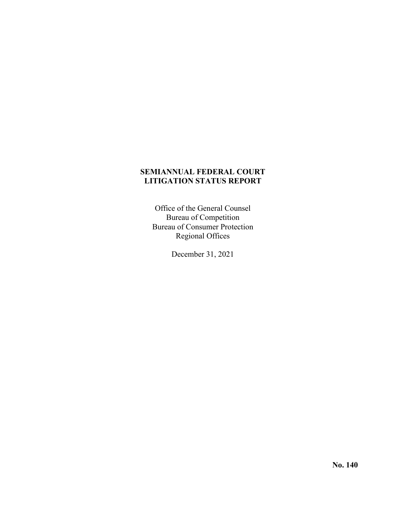## **SEMIANNUAL FEDERAL COURT LITIGATION STATUS REPORT**

Office of the General Counsel Bureau of Competition Bureau of Consumer Protection Regional Offices

December 31, 2021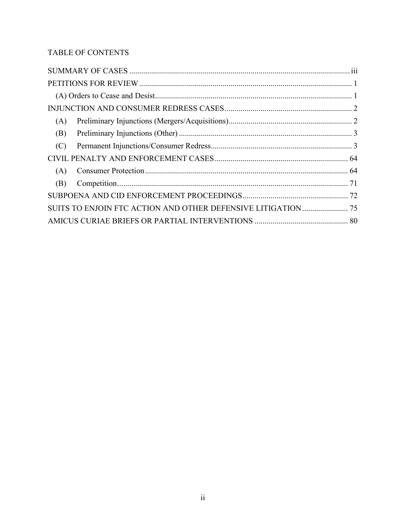# TABLE OF CONTENTS

| (A) |  |
|-----|--|
| (B) |  |
| (C) |  |
|     |  |
| (A) |  |
| (B) |  |
|     |  |
|     |  |
|     |  |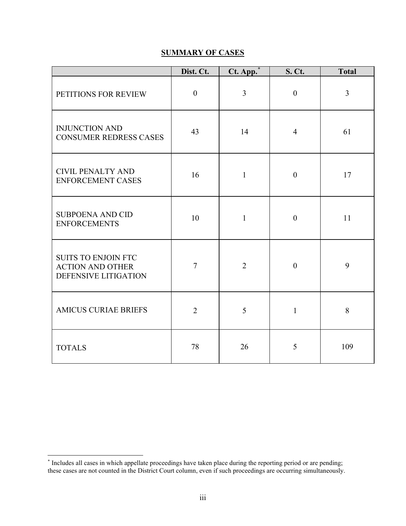# **SUMMARY OF CASES**

<span id="page-2-0"></span>

|                                                                               | Dist. Ct.        | Ct. App.       | <b>S. Ct.</b>    | <b>Total</b>   |
|-------------------------------------------------------------------------------|------------------|----------------|------------------|----------------|
| PETITIONS FOR REVIEW                                                          | $\boldsymbol{0}$ | $\overline{3}$ | $\boldsymbol{0}$ | $\overline{3}$ |
| <b>INJUNCTION AND</b><br><b>CONSUMER REDRESS CASES</b>                        | 43               | 14             | $\overline{4}$   | 61             |
| <b>CIVIL PENALTY AND</b><br><b>ENFORCEMENT CASES</b>                          | 16               | $\mathbf{1}$   | $\boldsymbol{0}$ | 17             |
| <b>SUBPOENA AND CID</b><br><b>ENFORCEMENTS</b>                                | 10               | $\mathbf{1}$   | $\boldsymbol{0}$ | 11             |
| <b>SUITS TO ENJOIN FTC</b><br><b>ACTION AND OTHER</b><br>DEFENSIVE LITIGATION | $\overline{7}$   | $\overline{2}$ | $\overline{0}$   | 9              |
| <b>AMICUS CURIAE BRIEFS</b>                                                   | $\overline{2}$   | 5              | $\mathbf{1}$     | 8              |
| <b>TOTALS</b>                                                                 | 78               | 26             | 5                | 109            |

<span id="page-2-1"></span><sup>\*</sup> Includes all cases in which appellate proceedings have taken place during the reporting period or are pending; these cases are not counted in the District Court column, even if such proceedings are occurring simultaneously.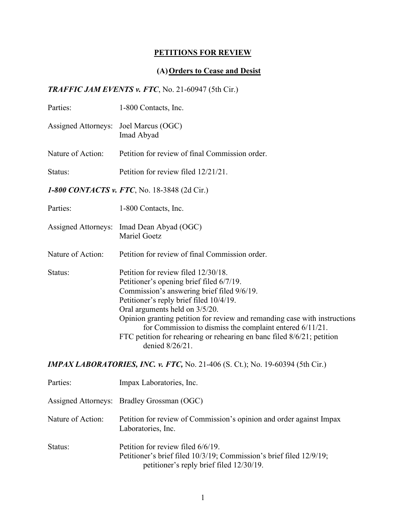# **PETITIONS FOR REVIEW**

# **(A)Orders to Cease and Desist**

*TRAFFIC JAM EVENTS v. FTC*, No. 21-60947 (5th Cir.)

| Parties:                              | 1-800 Contacts, Inc.                                                                                                                                                                                                                                                                                                                                                                                                                             |
|---------------------------------------|--------------------------------------------------------------------------------------------------------------------------------------------------------------------------------------------------------------------------------------------------------------------------------------------------------------------------------------------------------------------------------------------------------------------------------------------------|
| Assigned Attorneys: Joel Marcus (OGC) | Imad Abyad                                                                                                                                                                                                                                                                                                                                                                                                                                       |
| Nature of Action:                     | Petition for review of final Commission order.                                                                                                                                                                                                                                                                                                                                                                                                   |
| Status:                               | Petition for review filed 12/21/21.                                                                                                                                                                                                                                                                                                                                                                                                              |
|                                       | 1-800 CONTACTS v. FTC, No. 18-3848 (2d Cir.)                                                                                                                                                                                                                                                                                                                                                                                                     |
| Parties:                              | 1-800 Contacts, Inc.                                                                                                                                                                                                                                                                                                                                                                                                                             |
|                                       | Assigned Attorneys: Imad Dean Abyad (OGC)<br>Mariel Goetz                                                                                                                                                                                                                                                                                                                                                                                        |
| Nature of Action:                     | Petition for review of final Commission order.                                                                                                                                                                                                                                                                                                                                                                                                   |
| Status:                               | Petition for review filed 12/30/18.<br>Petitioner's opening brief filed 6/7/19.<br>Commission's answering brief filed 9/6/19.<br>Petitioner's reply brief filed 10/4/19.<br>Oral arguments held on 3/5/20.<br>Opinion granting petition for review and remanding case with instructions<br>for Commission to dismiss the complaint entered 6/11/21.<br>FTC petition for rehearing or rehearing en banc filed 8/6/21; petition<br>denied 8/26/21. |
|                                       | <b>IMPAX LABORATORIES, INC. v. FTC, No. 21-406 (S. Ct.); No. 19-60394 (5th Cir.)</b>                                                                                                                                                                                                                                                                                                                                                             |
| Parties:                              | Impax Laboratories, Inc.                                                                                                                                                                                                                                                                                                                                                                                                                         |
| <b>Assigned Attorneys:</b>            | Bradley Grossman (OGC)                                                                                                                                                                                                                                                                                                                                                                                                                           |
| Nature of Action:                     | Petition for review of Commission's opinion and order against Impax<br>Laboratories, Inc.                                                                                                                                                                                                                                                                                                                                                        |
| Status:                               | Petition for review filed 6/6/19.<br>Petitioner's brief filed 10/3/19; Commission's brief filed 12/9/19;                                                                                                                                                                                                                                                                                                                                         |

petitioner's reply brief filed 12/30/19.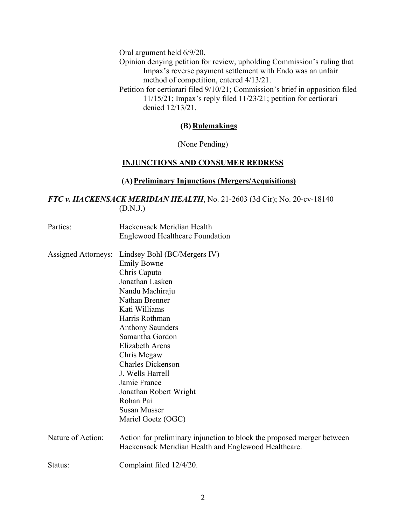Oral argument held 6/9/20.

Opinion denying petition for review, upholding Commission's ruling that Impax's reverse payment settlement with Endo was an unfair method of competition, entered 4/13/21.

Petition for certiorari filed 9/10/21; Commission's brief in opposition filed 11/15/21; Impax's reply filed 11/23/21; petition for certiorari denied 12/13/21.

## **(B) Rulemakings**

(None Pending)

#### **INJUNCTIONS AND CONSUMER REDRESS**

#### **(A)Preliminary Injunctions (Mergers/Acquisitions)**

## *FTC v. HACKENSACK MERIDIAN HEALTH*, No. 21-2603 (3d Cir); No. 20-cv-18140 (D.N.J.)

- Parties: Hackensack Meridian Health Englewood Healthcare Foundation
- Assigned Attorneys: Lindsey Bohl (BC/Mergers IV) Emily Bowne Chris Caputo Jonathan Lasken Nandu Machiraju Nathan Brenner Kati Williams Harris Rothman Anthony Saunders Samantha Gordon Elizabeth Arens Chris Megaw Charles Dickenson J. Wells Harrell Jamie France Jonathan Robert Wright Rohan Pai Susan Musser Mariel Goetz (OGC) Nature of Action: Action for preliminary injunction to block the proposed merger between Hackensack Meridian Health and Englewood Healthcare.
- Status: Complaint filed  $12/4/20$ .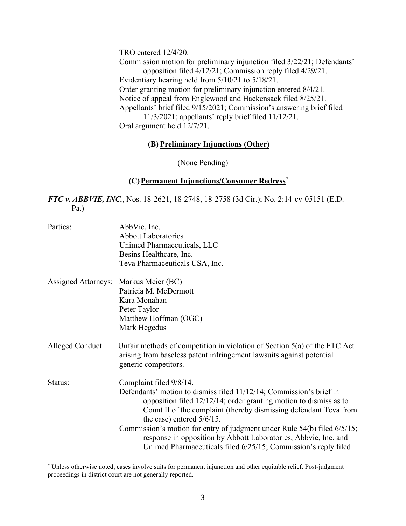TRO entered 12/4/20.

Commission motion for preliminary injunction filed 3/22/21; Defendants' opposition filed 4/12/21; Commission reply filed 4/29/21. Evidentiary hearing held from 5/10/21 to 5/18/21. Order granting motion for preliminary injunction entered 8/4/21. Notice of appeal from Englewood and Hackensack filed 8/25/21. Appellants' brief filed 9/15/2021; Commission's answering brief filed 11/3/2021; appellants' reply brief filed 11/12/21. Oral argument held 12/7/21.

## **(B) Preliminary Injunctions (Other)**

(None Pending)

## **(C)Permanent Injunctions/Consumer Redress[\\*](#page-5-0)**

*FTC v. ABBVIE, INC.*, Nos. 18-2621, 18-2748, 18-2758 (3d Cir.); No. 2:14-cv-05151 (E.D. Pa.)

| Parties:                              | AbbVie, Inc.<br><b>Abbott Laboratories</b><br>Unimed Pharmaceuticals, LLC<br>Besins Healthcare, Inc.<br>Teva Pharmaceuticals USA, Inc.                                                                                                                                                                                                                                                                                                                                                       |
|---------------------------------------|----------------------------------------------------------------------------------------------------------------------------------------------------------------------------------------------------------------------------------------------------------------------------------------------------------------------------------------------------------------------------------------------------------------------------------------------------------------------------------------------|
| Assigned Attorneys: Markus Meier (BC) | Patricia M. McDermott<br>Kara Monahan<br>Peter Taylor<br>Matthew Hoffman (OGC)<br>Mark Hegedus                                                                                                                                                                                                                                                                                                                                                                                               |
| Alleged Conduct:                      | Unfair methods of competition in violation of Section $5(a)$ of the FTC Act<br>arising from baseless patent infringement lawsuits against potential<br>generic competitors.                                                                                                                                                                                                                                                                                                                  |
| Status:                               | Complaint filed 9/8/14.<br>Defendants' motion to dismiss filed 11/12/14; Commission's brief in<br>opposition filed $12/12/14$ ; order granting motion to dismiss as to<br>Count II of the complaint (thereby dismissing defendant Teva from<br>the case) entered $5/6/15$ .<br>Commission's motion for entry of judgment under Rule 54(b) filed 6/5/15;<br>response in opposition by Abbott Laboratories, Abbvie, Inc. and<br>Unimed Pharmaceuticals filed 6/25/15; Commission's reply filed |

<span id="page-5-0"></span><sup>\*</sup> Unless otherwise noted, cases involve suits for permanent injunction and other equitable relief. Post-judgment proceedings in district court are not generally reported.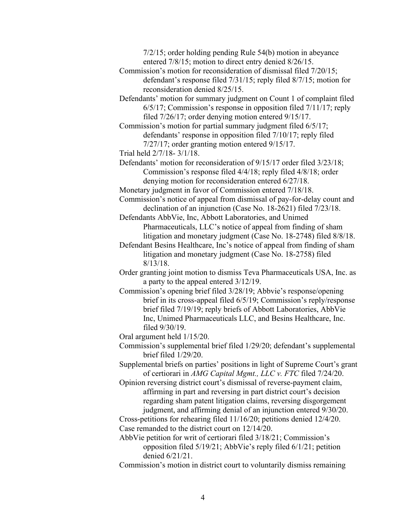7/2/15; order holding pending Rule 54(b) motion in abeyance entered 7/8/15; motion to direct entry denied 8/26/15.

- Commission's motion for reconsideration of dismissal filed 7/20/15; defendant's response filed 7/31/15; reply filed 8/7/15; motion for reconsideration denied 8/25/15.
- Defendants' motion for summary judgment on Count 1 of complaint filed 6/5/17; Commission's response in opposition filed 7/11/17; reply filed 7/26/17; order denying motion entered 9/15/17.

Commission's motion for partial summary judgment filed 6/5/17; defendants' response in opposition filed 7/10/17; reply filed 7/27/17; order granting motion entered 9/15/17.

Trial held 2/7/18- 3/1/18.

Defendants' motion for reconsideration of 9/15/17 order filed 3/23/18; Commission's response filed 4/4/18; reply filed 4/8/18; order denying motion for reconsideration entered 6/27/18.

Monetary judgment in favor of Commission entered 7/18/18.

Commission's notice of appeal from dismissal of pay-for-delay count and declination of an injunction (Case No. 18-2621) filed 7/23/18.

Defendants AbbVie, Inc, Abbott Laboratories, and Unimed Pharmaceuticals, LLC's notice of appeal from finding of sham litigation and monetary judgment (Case No. 18-2748) filed 8/8/18.

- Defendant Besins Healthcare, Inc's notice of appeal from finding of sham litigation and monetary judgment (Case No. 18-2758) filed 8/13/18.
- Order granting joint motion to dismiss Teva Pharmaceuticals USA, Inc. as a party to the appeal entered 3/12/19.
- Commission's opening brief filed 3/28/19; Abbvie's response/opening brief in its cross-appeal filed 6/5/19; Commission's reply/response brief filed 7/19/19; reply briefs of Abbott Laboratories, AbbVie Inc, Unimed Pharmaceuticals LLC, and Besins Healthcare, Inc. filed 9/30/19.

Oral argument held 1/15/20.

Commission's supplemental brief filed 1/29/20; defendant's supplemental brief filed 1/29/20.

Supplemental briefs on parties' positions in light of Supreme Court's grant of certiorari in *AMG Capital Mgmt., LLC v. FTC* filed 7/24/20.

Opinion reversing district court's dismissal of reverse-payment claim, affirming in part and reversing in part district court's decision regarding sham patent litigation claims, reversing disgorgement judgment, and affirming denial of an injunction entered 9/30/20.

Cross-petitions for rehearing filed 11/16/20; petitions denied 12/4/20. Case remanded to the district court on 12/14/20.

- AbbVie petition for writ of certiorari filed 3/18/21; Commission's opposition filed 5/19/21; AbbVie's reply filed 6/1/21; petition denied 6/21/21.
- Commission's motion in district court to voluntarily dismiss remaining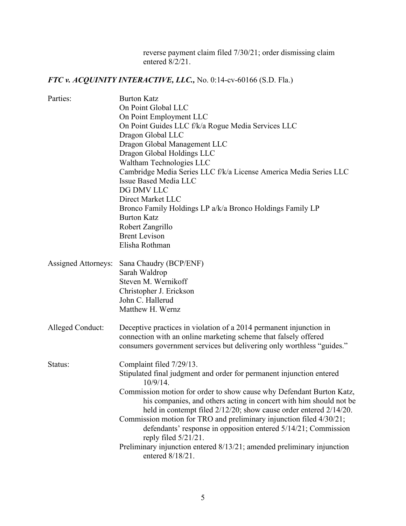reverse payment claim filed 7/30/21; order dismissing claim entered 8/2/21.

# *FTC v. ACQUINITY INTERACTIVE, LLC.,* No. 0:14-cv-60166 (S.D. Fla.)

| Parties:                   | <b>Burton Katz</b>                                                                                |
|----------------------------|---------------------------------------------------------------------------------------------------|
|                            | On Point Global LLC                                                                               |
|                            | On Point Employment LLC                                                                           |
|                            | On Point Guides LLC f/k/a Rogue Media Services LLC                                                |
|                            | Dragon Global LLC                                                                                 |
|                            | Dragon Global Management LLC                                                                      |
|                            | Dragon Global Holdings LLC                                                                        |
|                            | Waltham Technologies LLC                                                                          |
|                            | Cambridge Media Series LLC f/k/a License America Media Series LLC                                 |
|                            | <b>Issue Based Media LLC</b>                                                                      |
|                            | DG DMV LLC                                                                                        |
|                            | Direct Market LLC                                                                                 |
|                            | Bronco Family Holdings LP a/k/a Bronco Holdings Family LP                                         |
|                            | <b>Burton Katz</b>                                                                                |
|                            | Robert Zangrillo                                                                                  |
|                            | <b>Brent Levison</b>                                                                              |
|                            | Elisha Rothman                                                                                    |
| <b>Assigned Attorneys:</b> | Sana Chaudry (BCP/ENF)                                                                            |
|                            | Sarah Waldrop                                                                                     |
|                            | Steven M. Wernikoff                                                                               |
|                            | Christopher J. Erickson                                                                           |
|                            | John C. Hallerud                                                                                  |
|                            | Matthew H. Wernz                                                                                  |
|                            |                                                                                                   |
| Alleged Conduct:           | Deceptive practices in violation of a 2014 permanent injunction in                                |
|                            | connection with an online marketing scheme that falsely offered                                   |
|                            | consumers government services but delivering only worthless "guides."                             |
| Status:                    | Complaint filed 7/29/13.                                                                          |
|                            | Stipulated final judgment and order for permanent injunction entered<br>10/9/14.                  |
|                            | Commission motion for order to show cause why Defendant Burton Katz,                              |
|                            | his companies, and others acting in concert with him should not be                                |
|                            | held in contempt filed 2/12/20; show cause order entered 2/14/20.                                 |
|                            | Commission motion for TRO and preliminary injunction filed 4/30/21;                               |
|                            | defendants' response in opposition entered 5/14/21; Commission                                    |
|                            | reply filed $5/21/21$ .<br>Preliminary injunction entered 8/13/21; amended preliminary injunction |
|                            | entered 8/18/21.                                                                                  |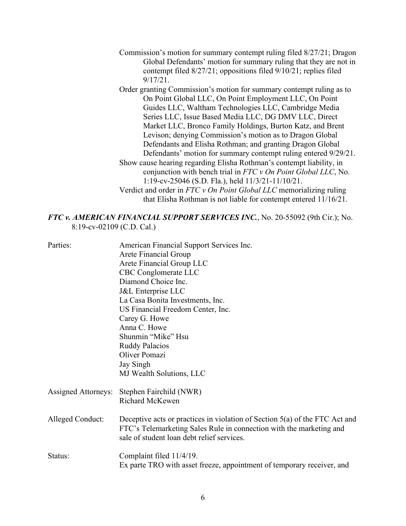- Commission's motion for summary contempt ruling filed 8/27/21; Dragon Global Defendants' motion for summary ruling that they are not in contempt filed 8/27/21; oppositions filed 9/10/21; replies filed 9/17/21.
- Order granting Commission's motion for summary contempt ruling as to On Point Global LLC, On Point Employment LLC, On Point Guides LLC, Waltham Technologies LLC, Cambridge Media Series LLC, Issue Based Media LLC, DG DMV LLC, Direct Market LLC, Bronco Family Holdings, Burton Katz, and Brent Levison; denying Commission's motion as to Dragon Global Defendants and Elisha Rothman; and granting Dragon Global Defendants' motion for summary contempt ruling entered 9/29/21. Show cause hearing regarding Elisha Rothman's contempt liability, in conjunction with bench trial in *FTC v On Point Global LLC*, No. 1:19-cv-25046 (S.D. Fla.), held 11/3/21-11/10/21.
- Verdict and order in *FTC v On Point Global LLC* memorializing ruling that Elisha Rothman is not liable for contempt entered 11/16/21.

#### *FTC v. AMERICAN FINANCIAL SUPPORT SERVICES INC.*, No. 20-55092 (9th Cir.); No. 8:19-cv-02109 (C.D. Cal.)

| Parties:            | American Financial Support Services Inc.                                                                                                             |
|---------------------|------------------------------------------------------------------------------------------------------------------------------------------------------|
|                     | Arete Financial Group                                                                                                                                |
|                     | Arete Financial Group LLC                                                                                                                            |
|                     | CBC Conglomerate LLC                                                                                                                                 |
|                     | Diamond Choice Inc.                                                                                                                                  |
|                     | J&L Enterprise LLC                                                                                                                                   |
|                     | La Casa Bonita Investments, Inc.                                                                                                                     |
|                     | US Financial Freedom Center, Inc.                                                                                                                    |
|                     | Carey G. Howe                                                                                                                                        |
|                     | Anna C. Howe                                                                                                                                         |
|                     | Shunmin "Mike" Hsu                                                                                                                                   |
|                     | <b>Ruddy Palacios</b>                                                                                                                                |
|                     | Oliver Pomazi                                                                                                                                        |
|                     | Jay Singh                                                                                                                                            |
|                     | MJ Wealth Solutions, LLC                                                                                                                             |
| Assigned Attorneys: | Stephen Fairchild (NWR)                                                                                                                              |
|                     | Richard McKewen                                                                                                                                      |
| Alleged Conduct:    | Deceptive acts or practices in violation of Section $5(a)$ of the FTC Act and<br>FTC's Telemarketing Sales Rule in connection with the marketing and |
|                     | sale of student loan debt relief services.                                                                                                           |
| Status:             | Complaint filed 11/4/19.                                                                                                                             |
|                     | Ex parte TRO with asset freeze, appointment of temporary receiver, and                                                                               |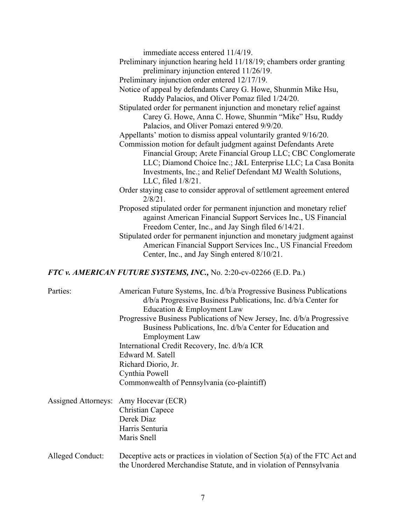| immediate access entered 11/4/19.                                                     |
|---------------------------------------------------------------------------------------|
| Preliminary injunction hearing held 11/18/19; chambers order granting                 |
| preliminary injunction entered 11/26/19.                                              |
| Preliminary injunction order entered 12/17/19.                                        |
| Notice of appeal by defendants Carey G. Howe, Shunmin Mike Hsu,                       |
| Ruddy Palacios, and Oliver Pomaz filed 1/24/20.                                       |
| Stipulated order for permanent injunction and monetary relief against                 |
| Carey G. Howe, Anna C. Howe, Shunmin "Mike" Hsu, Ruddy                                |
| Palacios, and Oliver Pomazi entered 9/9/20.                                           |
| Appellants' motion to dismiss appeal voluntarily granted 9/16/20.                     |
| Commission motion for default judgment against Defendants Arete                       |
| Financial Group; Arete Financial Group LLC; CBC Conglomerate                          |
| LLC; Diamond Choice Inc.; J&L Enterprise LLC; La Casa Bonita                          |
| Investments, Inc.; and Relief Defendant MJ Wealth Solutions,                          |
| LLC, filed $1/8/21$ .                                                                 |
| Order staying case to consider approval of settlement agreement entered<br>$2/8/21$ . |
| Proposed stipulated order for permanent injunction and monetary relief                |
| against American Financial Support Services Inc., US Financial                        |
| Freedom Center, Inc., and Jay Singh filed 6/14/21.                                    |
| Stipulated order for permanent injunction and monetary judgment against               |
| American Financial Support Services Inc., US Financial Freedom                        |
| Center, Inc., and Jay Singh entered 8/10/21.                                          |
|                                                                                       |

# *FTC v. AMERICAN FUTURE SYSTEMS, INC.,* No. 2:20-cv-02266 (E.D. Pa.)

| Parties:         | American Future Systems, Inc. d/b/a Progressive Business Publications<br>d/b/a Progressive Business Publications, Inc. d/b/a Center for<br>Education & Employment Law<br>Progressive Business Publications of New Jersey, Inc. d/b/a Progressive<br>Business Publications, Inc. d/b/a Center for Education and<br><b>Employment Law</b><br>International Credit Recovery, Inc. d/b/a ICR<br>Edward M. Satell<br>Richard Diorio, Jr.<br>Cynthia Powell<br>Commonwealth of Pennsylvania (co-plaintiff) |
|------------------|------------------------------------------------------------------------------------------------------------------------------------------------------------------------------------------------------------------------------------------------------------------------------------------------------------------------------------------------------------------------------------------------------------------------------------------------------------------------------------------------------|
|                  | Assigned Attorneys: Amy Hocevar (ECR)<br><b>Christian Capece</b><br>Derek Diaz<br>Harris Senturia<br>Maris Snell                                                                                                                                                                                                                                                                                                                                                                                     |
| Alleged Conduct: | Deceptive acts or practices in violation of Section 5(a) of the FTC Act and<br>the Unordered Merchandise Statute, and in violation of Pennsylvania                                                                                                                                                                                                                                                                                                                                                   |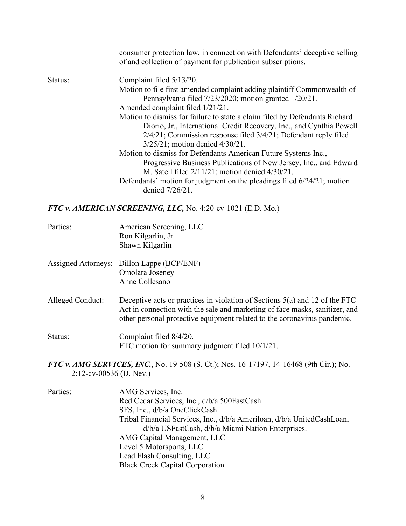|         | consumer protection law, in connection with Defendants' deceptive selling<br>of and collection of payment for publication subscriptions. |
|---------|------------------------------------------------------------------------------------------------------------------------------------------|
| Status: | Complaint filed 5/13/20.                                                                                                                 |
|         | Motion to file first amended complaint adding plaintiff Commonwealth of                                                                  |
|         | Pennsylvania filed 7/23/2020; motion granted 1/20/21.                                                                                    |
|         | Amended complaint filed 1/21/21.                                                                                                         |
|         | Motion to dismiss for failure to state a claim filed by Defendants Richard                                                               |
|         | Diorio, Jr., International Credit Recovery, Inc., and Cynthia Powell                                                                     |
|         | 2/4/21; Commission response filed 3/4/21; Defendant reply filed                                                                          |
|         | 3/25/21; motion denied 4/30/21.                                                                                                          |
|         | Motion to dismiss for Defendants American Future Systems Inc.,                                                                           |
|         | Progressive Business Publications of New Jersey, Inc., and Edward                                                                        |
|         | M. Satell filed $2/11/21$ ; motion denied $4/30/21$ .                                                                                    |
|         | Defendants' motion for judgment on the pleadings filed 6/24/21; motion                                                                   |
|         | denied 7/26/21.                                                                                                                          |
|         | FTC v. AMERICAN SCREENING, LLC, No. 4:20-cv-1021 (E.D. Mo.)                                                                              |

| Parties: | American Screening, LLC |
|----------|-------------------------|
|          | Ron Kilgarlin, Jr.      |
|          | Shawn Kilgarlin         |

- Assigned Attorneys: Dillon Lappe (BCP/ENF) Omolara Joseney Anne Collesano
- Alleged Conduct: Deceptive acts or practices in violation of Sections 5(a) and 12 of the FTC Act in connection with the sale and marketing of face masks, sanitizer, and other personal protective equipment related to the coronavirus pandemic.

Status: Complaint filed  $8/4/20$ . FTC motion for summary judgment filed 10/1/21.

*FTC v. AMG SERVICES, INC.*, No. 19-508 (S. Ct.); Nos. 16-17197, 14-16468 (9th Cir.); No. 2:12-cv-00536 (D. Nev.)

Parties: AMG Services, Inc. Red Cedar Services, Inc., d/b/a 500FastCash SFS, Inc., d/b/a OneClickCash Tribal Financial Services, Inc., d/b/a Ameriloan, d/b/a UnitedCashLoan, d/b/a USFastCash, d/b/a Miami Nation Enterprises. AMG Capital Management, LLC Level 5 Motorsports, LLC Lead Flash Consulting, LLC Black Creek Capital Corporation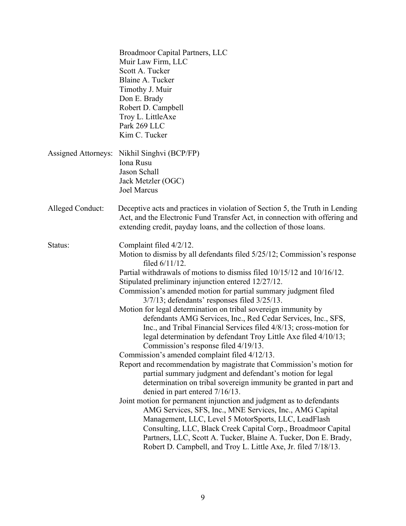|                  | Broadmoor Capital Partners, LLC<br>Muir Law Firm, LLC<br>Scott A. Tucker<br>Blaine A. Tucker<br>Timothy J. Muir<br>Don E. Brady<br>Robert D. Campbell<br>Troy L. LittleAxe<br>Park 269 LLC<br>Kim C. Tucker                                                                                                                                                                                                                                                                                                                                                                                                                                                                                                                                                                                                                                                                                                                                                                                                                                                                                                                                                                                                                                                                                                                                                                                    |
|------------------|------------------------------------------------------------------------------------------------------------------------------------------------------------------------------------------------------------------------------------------------------------------------------------------------------------------------------------------------------------------------------------------------------------------------------------------------------------------------------------------------------------------------------------------------------------------------------------------------------------------------------------------------------------------------------------------------------------------------------------------------------------------------------------------------------------------------------------------------------------------------------------------------------------------------------------------------------------------------------------------------------------------------------------------------------------------------------------------------------------------------------------------------------------------------------------------------------------------------------------------------------------------------------------------------------------------------------------------------------------------------------------------------|
|                  | Assigned Attorneys: Nikhil Singhvi (BCP/FP)<br>Iona Rusu<br>Jason Schall<br>Jack Metzler (OGC)<br><b>Joel Marcus</b>                                                                                                                                                                                                                                                                                                                                                                                                                                                                                                                                                                                                                                                                                                                                                                                                                                                                                                                                                                                                                                                                                                                                                                                                                                                                           |
| Alleged Conduct: | Deceptive acts and practices in violation of Section 5, the Truth in Lending<br>Act, and the Electronic Fund Transfer Act, in connection with offering and<br>extending credit, payday loans, and the collection of those loans.                                                                                                                                                                                                                                                                                                                                                                                                                                                                                                                                                                                                                                                                                                                                                                                                                                                                                                                                                                                                                                                                                                                                                               |
| Status:          | Complaint filed 4/2/12.<br>Motion to dismiss by all defendants filed 5/25/12; Commission's response<br>filed $6/11/12$ .<br>Partial withdrawals of motions to dismiss filed 10/15/12 and 10/16/12.<br>Stipulated preliminary injunction entered 12/27/12.<br>Commission's amended motion for partial summary judgment filed<br>3/7/13; defendants' responses filed 3/25/13.<br>Motion for legal determination on tribal sovereign immunity by<br>defendants AMG Services, Inc., Red Cedar Services, Inc., SFS,<br>Inc., and Tribal Financial Services filed 4/8/13; cross-motion for<br>legal determination by defendant Troy Little Axe filed 4/10/13;<br>Commission's response filed 4/19/13.<br>Commission's amended complaint filed 4/12/13.<br>Report and recommendation by magistrate that Commission's motion for<br>partial summary judgment and defendant's motion for legal<br>determination on tribal sovereign immunity be granted in part and<br>denied in part entered 7/16/13.<br>Joint motion for permanent injunction and judgment as to defendants<br>AMG Services, SFS, Inc., MNE Services, Inc., AMG Capital<br>Management, LLC, Level 5 MotorSports, LLC, LeadFlash<br>Consulting, LLC, Black Creek Capital Corp., Broadmoor Capital<br>Partners, LLC, Scott A. Tucker, Blaine A. Tucker, Don E. Brady,<br>Robert D. Campbell, and Troy L. Little Axe, Jr. filed 7/18/13. |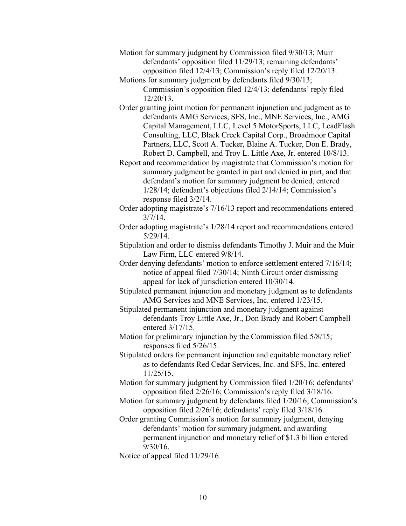- Motion for summary judgment by Commission filed 9/30/13; Muir defendants' opposition filed 11/29/13; remaining defendants' opposition filed 12/4/13; Commission's reply filed 12/20/13.
- Motions for summary judgment by defendants filed 9/30/13; Commission's opposition filed 12/4/13; defendants' reply filed 12/20/13.
- Order granting joint motion for permanent injunction and judgment as to defendants AMG Services, SFS, Inc., MNE Services, Inc., AMG Capital Management, LLC, Level 5 MotorSports, LLC, LeadFlash Consulting, LLC, Black Creek Capital Corp., Broadmoor Capital Partners, LLC, Scott A. Tucker, Blaine A. Tucker, Don E. Brady, Robert D. Campbell, and Troy L. Little Axe, Jr. entered 10/8/13.
- Report and recommendation by magistrate that Commission's motion for summary judgment be granted in part and denied in part, and that defendant's motion for summary judgment be denied, entered 1/28/14; defendant's objections filed 2/14/14; Commission's response filed 3/2/14.
- Order adopting magistrate's 7/16/13 report and recommendations entered  $3/7/14$ .
- Order adopting magistrate's 1/28/14 report and recommendations entered 5/29/14.
- Stipulation and order to dismiss defendants Timothy J. Muir and the Muir Law Firm, LLC entered 9/8/14.
- Order denying defendants' motion to enforce settlement entered 7/16/14; notice of appeal filed 7/30/14; Ninth Circuit order dismissing appeal for lack of jurisdiction entered 10/30/14.
- Stipulated permanent injunction and monetary judgment as to defendants AMG Services and MNE Services, Inc. entered 1/23/15.
- Stipulated permanent injunction and monetary judgment against defendants Troy Little Axe, Jr., Don Brady and Robert Campbell entered 3/17/15.
- Motion for preliminary injunction by the Commission filed 5/8/15; responses filed 5/26/15.
- Stipulated orders for permanent injunction and equitable monetary relief as to defendants Red Cedar Services, Inc. and SFS, Inc. entered 11/25/15.
- Motion for summary judgment by Commission filed 1/20/16; defendants' opposition filed 2/26/16; Commission's reply filed 3/18/16.
- Motion for summary judgment by defendants filed 1/20/16; Commission's opposition filed 2/26/16; defendants' reply filed 3/18/16.
- Order granting Commission's motion for summary judgment, denying defendants' motion for summary judgment, and awarding permanent injunction and monetary relief of \$1.3 billion entered 9/30/16.
- Notice of appeal filed 11/29/16.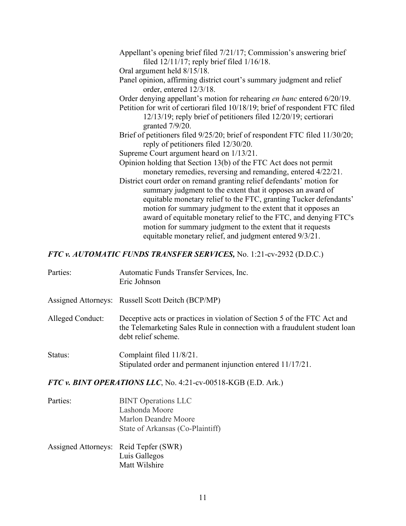| Appellant's opening brief filed 7/21/17; Commission's answering brief         |
|-------------------------------------------------------------------------------|
| filed $12/11/17$ ; reply brief filed $1/16/18$ .                              |
| Oral argument held 8/15/18.                                                   |
| Panel opinion, affirming district court's summary judgment and relief         |
| order, entered 12/3/18.                                                       |
| Order denying appellant's motion for rehearing en banc entered 6/20/19.       |
| Petition for writ of certiorari filed 10/18/19; brief of respondent FTC filed |
| 12/13/19; reply brief of petitioners filed 12/20/19; certiorari               |
| granted $7/9/20$ .                                                            |
| Brief of petitioners filed 9/25/20; brief of respondent FTC filed 11/30/20;   |
| reply of petitioners filed 12/30/20.                                          |
| Supreme Court argument heard on 1/13/21.                                      |
| Opinion holding that Section 13(b) of the FTC Act does not permit             |
| monetary remedies, reversing and remanding, entered 4/22/21.                  |
| District court order on remand granting relief defendants' motion for         |
| summary judgment to the extent that it opposes an award of                    |
| equitable monetary relief to the FTC, granting Tucker defendants'             |
| motion for summary judgment to the extent that it opposes an                  |
| award of equitable monetary relief to the FTC, and denying FTC's              |
| motion for summary judgment to the extent that it requests                    |
| equitable monetary relief, and judgment entered 9/3/21.                       |

## *FTC v. AUTOMATIC FUNDS TRANSFER SERVICES,* No. 1:21-cv-2932 (D.D.C.)

| Parties:         | Automatic Funds Transfer Services, Inc.<br>Eric Johnson                                                                                                                      |
|------------------|------------------------------------------------------------------------------------------------------------------------------------------------------------------------------|
|                  | Assigned Attorneys: Russell Scott Deitch (BCP/MP)                                                                                                                            |
| Alleged Conduct: | Deceptive acts or practices in violation of Section 5 of the FTC Act and<br>the Telemarketing Sales Rule in connection with a fraudulent student loan<br>debt relief scheme. |
| Status:          | Complaint filed 11/8/21.<br>Stipulated order and permanent injunction entered 11/17/21.                                                                                      |

## *FTC v. BINT OPERATIONS LLC*, No. 4:21-cv-00518-KGB (E.D. Ark.)

- Parties: BINT Operations LLC Lashonda Moore Marlon Deandre Moore State of Arkansas (Co-Plaintiff)
- Assigned Attorneys: Reid Tepfer (SWR) Luis Gallegos Matt Wilshire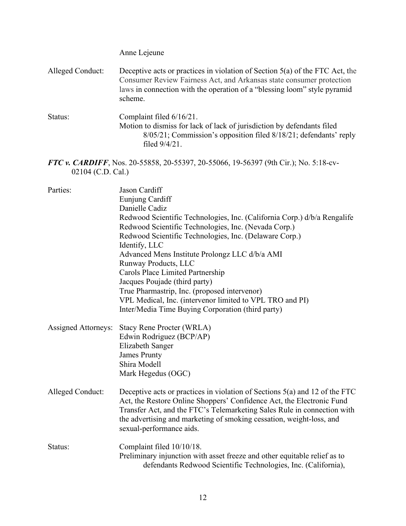Anne Lejeune Alleged Conduct: Deceptive acts or practices in violation of Section 5(a) of the FTC Act, the Consumer Review Fairness Act, and Arkansas state consumer protection laws in connection with the operation of a "blessing loom" style pyramid scheme. Status: Complaint filed  $6/16/21$ . Motion to dismiss for lack of lack of jurisdiction by defendants filed 8/05/21; Commission's opposition filed 8/18/21; defendants' reply filed 9/4/21. *FTC v. CARDIFF*, Nos. 20-55858, 20-55397, 20-55066, 19-56397 (9th Cir.); No. 5:18-cv-02104 (C.D. Cal.)

| Parties:                   | Jason Cardiff<br>Eunjung Cardiff<br>Danielle Cadiz<br>Redwood Scientific Technologies, Inc. (California Corp.) d/b/a Rengalife<br>Redwood Scientific Technologies, Inc. (Nevada Corp.)<br>Redwood Scientific Technologies, Inc. (Delaware Corp.)<br>Identify, LLC<br>Advanced Mens Institute Prolongz LLC d/b/a AMI<br>Runway Products, LLC<br><b>Carols Place Limited Partnership</b><br>Jacques Poujade (third party)<br>True Pharmastrip, Inc. (proposed intervenor)<br>VPL Medical, Inc. (intervenor limited to VPL TRO and PI)<br>Inter/Media Time Buying Corporation (third party) |
|----------------------------|------------------------------------------------------------------------------------------------------------------------------------------------------------------------------------------------------------------------------------------------------------------------------------------------------------------------------------------------------------------------------------------------------------------------------------------------------------------------------------------------------------------------------------------------------------------------------------------|
| <b>Assigned Attorneys:</b> | <b>Stacy Rene Procter (WRLA)</b><br>Edwin Rodriguez (BCP/AP)<br><b>Elizabeth Sanger</b><br><b>James Prunty</b><br>Shira Modell<br>Mark Hegedus (OGC)                                                                                                                                                                                                                                                                                                                                                                                                                                     |
| Alleged Conduct:           | Deceptive acts or practices in violation of Sections 5(a) and 12 of the FTC<br>Act, the Restore Online Shoppers' Confidence Act, the Electronic Fund<br>Transfer Act, and the FTC's Telemarketing Sales Rule in connection with<br>the advertising and marketing of smoking cessation, weight-loss, and<br>sexual-performance aids.                                                                                                                                                                                                                                                      |
| Status:                    | Complaint filed 10/10/18.<br>Preliminary injunction with asset freeze and other equitable relief as to<br>defendants Redwood Scientific Technologies, Inc. (California),                                                                                                                                                                                                                                                                                                                                                                                                                 |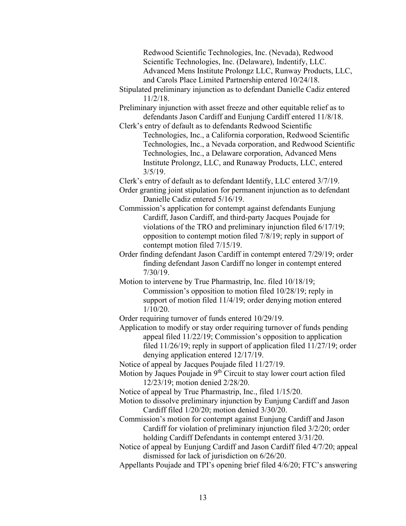Redwood Scientific Technologies, Inc. (Nevada), Redwood Scientific Technologies, Inc. (Delaware), Indentify, LLC. Advanced Mens Institute Prolongz LLC, Runway Products, LLC, and Carols Place Limited Partnership entered 10/24/18.

- Stipulated preliminary injunction as to defendant Danielle Cadiz entered 11/2/18.
- Preliminary injunction with asset freeze and other equitable relief as to defendants Jason Cardiff and Eunjung Cardiff entered 11/8/18.
- Clerk's entry of default as to defendants Redwood Scientific Technologies, Inc., a California corporation, Redwood Scientific Technologies, Inc., a Nevada corporation, and Redwood Scientific Technologies, Inc., a Delaware corporation, Advanced Mens Institute Prolongz, LLC, and Runaway Products, LLC, entered  $3/5/19$ .

Clerk's entry of default as to defendant Identify, LLC entered 3/7/19.

- Order granting joint stipulation for permanent injunction as to defendant Danielle Cadiz entered 5/16/19.
- Commission's application for contempt against defendants Eunjung Cardiff, Jason Cardiff, and third-party Jacques Poujade for violations of the TRO and preliminary injunction filed 6/17/19; opposition to contempt motion filed 7/8/19; reply in support of contempt motion filed 7/15/19.
- Order finding defendant Jason Cardiff in contempt entered 7/29/19; order finding defendant Jason Cardiff no longer in contempt entered 7/30/19.
- Motion to intervene by True Pharmastrip, Inc. filed 10/18/19; Commission's opposition to motion filed 10/28/19; reply in support of motion filed 11/4/19; order denying motion entered 1/10/20.

Order requiring turnover of funds entered 10/29/19.

Application to modify or stay order requiring turnover of funds pending appeal filed 11/22/19; Commission's opposition to application filed 11/26/19; reply in support of application filed 11/27/19; order denying application entered 12/17/19.

Notice of appeal by Jacques Poujade filed 11/27/19.

Motion by Jaques Poujade in 9<sup>th</sup> Circuit to stay lower court action filed 12/23/19; motion denied 2/28/20.

Notice of appeal by True Pharmastrip, Inc., filed 1/15/20.

- Motion to dissolve preliminary injunction by Eunjung Cardiff and Jason Cardiff filed 1/20/20; motion denied 3/30/20.
- Commission's motion for contempt against Eunjung Cardiff and Jason Cardiff for violation of preliminary injunction filed 3/2/20; order holding Cardiff Defendants in contempt entered 3/31/20.
- Notice of appeal by Eunjung Cardiff and Jason Cardiff filed 4/7/20; appeal dismissed for lack of jurisdiction on 6/26/20.
- Appellants Poujade and TPI's opening brief filed 4/6/20; FTC's answering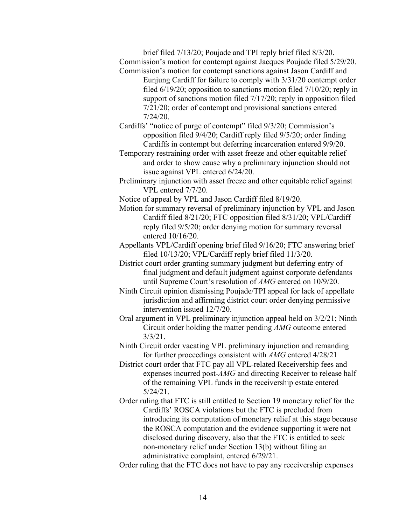brief filed 7/13/20; Poujade and TPI reply brief filed 8/3/20. Commission's motion for contempt against Jacques Poujade filed 5/29/20. Commission's motion for contempt sanctions against Jason Cardiff and

Eunjung Cardiff for failure to comply with 3/31/20 contempt order filed 6/19/20; opposition to sanctions motion filed 7/10/20; reply in support of sanctions motion filed 7/17/20; reply in opposition filed 7/21/20; order of contempt and provisional sanctions entered 7/24/20.

Cardiffs' "notice of purge of contempt" filed 9/3/20; Commission's opposition filed 9/4/20; Cardiff reply filed 9/5/20; order finding Cardiffs in contempt but deferring incarceration entered 9/9/20.

Temporary restraining order with asset freeze and other equitable relief and order to show cause why a preliminary injunction should not issue against VPL entered 6/24/20.

Preliminary injunction with asset freeze and other equitable relief against VPL entered 7/7/20.

Notice of appeal by VPL and Jason Cardiff filed 8/19/20.

Motion for summary reversal of preliminary injunction by VPL and Jason Cardiff filed 8/21/20; FTC opposition filed 8/31/20; VPL/Cardiff reply filed 9/5/20; order denying motion for summary reversal entered 10/16/20.

Appellants VPL/Cardiff opening brief filed 9/16/20; FTC answering brief filed 10/13/20; VPL/Cardiff reply brief filed 11/3/20.

District court order granting summary judgment but deferring entry of final judgment and default judgment against corporate defendants until Supreme Court's resolution of *AMG* entered on 10/9/20.

Ninth Circuit opinion dismissing Poujade/TPI appeal for lack of appellate jurisdiction and affirming district court order denying permissive intervention issued 12/7/20.

Oral argument in VPL preliminary injunction appeal held on 3/2/21; Ninth Circuit order holding the matter pending *AMG* outcome entered 3/3/21.

Ninth Circuit order vacating VPL preliminary injunction and remanding for further proceedings consistent with *AMG* entered 4/28/21

District court order that FTC pay all VPL-related Receivership fees and expenses incurred post-*AMG* and directing Receiver to release half of the remaining VPL funds in the receivership estate entered 5/24/21.

Order ruling that FTC is still entitled to Section 19 monetary relief for the Cardiffs' ROSCA violations but the FTC is precluded from introducing its computation of monetary relief at this stage because the ROSCA computation and the evidence supporting it were not disclosed during discovery, also that the FTC is entitled to seek non-monetary relief under Section 13(b) without filing an administrative complaint, entered 6/29/21.

Order ruling that the FTC does not have to pay any receivership expenses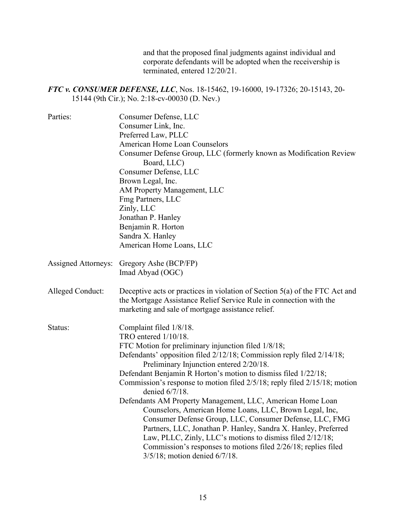and that the proposed final judgments against individual and corporate defendants will be adopted when the receivership is terminated, entered 12/20/21.

*FTC v. CONSUMER DEFENSE, LLC*, Nos. 18-15462, 19-16000, 19-17326; 20-15143, 20- 15144 (9th Cir.); No. 2:18-cv-00030 (D. Nev.)

| Parties:                   | Consumer Defense, LLC                                                                                                                                                                                  |
|----------------------------|--------------------------------------------------------------------------------------------------------------------------------------------------------------------------------------------------------|
|                            | Consumer Link, Inc.                                                                                                                                                                                    |
|                            | Preferred Law, PLLC                                                                                                                                                                                    |
|                            | <b>American Home Loan Counselors</b>                                                                                                                                                                   |
|                            | Consumer Defense Group, LLC (formerly known as Modification Review                                                                                                                                     |
|                            | Board, LLC)                                                                                                                                                                                            |
|                            | Consumer Defense, LLC                                                                                                                                                                                  |
|                            | Brown Legal, Inc.                                                                                                                                                                                      |
|                            | AM Property Management, LLC                                                                                                                                                                            |
|                            | Fmg Partners, LLC                                                                                                                                                                                      |
|                            | Zinly, LLC                                                                                                                                                                                             |
|                            | Jonathan P. Hanley                                                                                                                                                                                     |
|                            | Benjamin R. Horton                                                                                                                                                                                     |
|                            | Sandra X. Hanley                                                                                                                                                                                       |
|                            | American Home Loans, LLC                                                                                                                                                                               |
| <b>Assigned Attorneys:</b> | Gregory Ashe (BCP/FP)                                                                                                                                                                                  |
|                            | Imad Abyad (OGC)                                                                                                                                                                                       |
| Alleged Conduct:           | Deceptive acts or practices in violation of Section 5(a) of the FTC Act and<br>the Mortgage Assistance Relief Service Rule in connection with the<br>marketing and sale of mortgage assistance relief. |
| Status:                    | Complaint filed 1/8/18.                                                                                                                                                                                |
|                            | TRO entered $1/10/18$ .                                                                                                                                                                                |
|                            | FTC Motion for preliminary injunction filed 1/8/18;                                                                                                                                                    |
|                            | Defendants' opposition filed 2/12/18; Commission reply filed 2/14/18;<br>Preliminary Injunction entered 2/20/18.                                                                                       |
|                            | Defendant Benjamin R Horton's motion to dismiss filed 1/22/18;                                                                                                                                         |
|                            | Commission's response to motion filed 2/5/18; reply filed 2/15/18; motion<br>denied 6/7/18.                                                                                                            |
|                            | Defendants AM Property Management, LLC, American Home Loan                                                                                                                                             |
|                            | Counselors, American Home Loans, LLC, Brown Legal, Inc,                                                                                                                                                |
|                            | Consumer Defense Group, LLC, Consumer Defense, LLC, FMG                                                                                                                                                |
|                            | Partners, LLC, Jonathan P. Hanley, Sandra X. Hanley, Preferred                                                                                                                                         |
|                            | Law, PLLC, Zinly, LLC's motions to dismiss filed 2/12/18;                                                                                                                                              |
|                            | Commission's responses to motions filed 2/26/18; replies filed                                                                                                                                         |
|                            | 3/5/18; motion denied 6/7/18.                                                                                                                                                                          |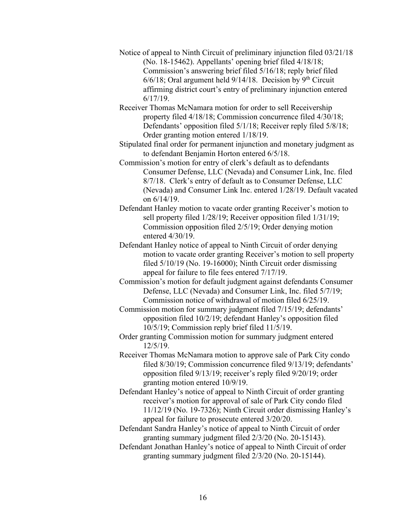- Notice of appeal to Ninth Circuit of preliminary injunction filed 03/21/18 (No. 18-15462). Appellants' opening brief filed 4/18/18; Commission's answering brief filed 5/16/18; reply brief filed  $6/6/18$ ; Oral argument held  $9/14/18$ . Decision by 9<sup>th</sup> Circuit affirming district court's entry of preliminary injunction entered 6/17/19.
- Receiver Thomas McNamara motion for order to sell Receivership property filed 4/18/18; Commission concurrence filed 4/30/18; Defendants' opposition filed 5/1/18; Receiver reply filed 5/8/18; Order granting motion entered 1/18/19.
- Stipulated final order for permanent injunction and monetary judgment as to defendant Benjamin Horton entered 6/5/18.
- Commission's motion for entry of clerk's default as to defendants Consumer Defense, LLC (Nevada) and Consumer Link, Inc. filed 8/7/18. Clerk's entry of default as to Consumer Defense, LLC (Nevada) and Consumer Link Inc. entered 1/28/19. Default vacated on 6/14/19.
- Defendant Hanley motion to vacate order granting Receiver's motion to sell property filed 1/28/19; Receiver opposition filed 1/31/19; Commission opposition filed 2/5/19; Order denying motion entered 4/30/19.
- Defendant Hanley notice of appeal to Ninth Circuit of order denying motion to vacate order granting Receiver's motion to sell property filed 5/10/19 (No. 19-16000); Ninth Circuit order dismissing appeal for failure to file fees entered 7/17/19.
- Commission's motion for default judgment against defendants Consumer Defense, LLC (Nevada) and Consumer Link, Inc. filed 5/7/19; Commission notice of withdrawal of motion filed 6/25/19.
- Commission motion for summary judgment filed 7/15/19; defendants' opposition filed 10/2/19; defendant Hanley's opposition filed 10/5/19; Commission reply brief filed 11/5/19.
- Order granting Commission motion for summary judgment entered 12/5/19.
- Receiver Thomas McNamara motion to approve sale of Park City condo filed 8/30/19; Commission concurrence filed 9/13/19; defendants' opposition filed 9/13/19; receiver's reply filed 9/20/19; order granting motion entered 10/9/19.
- Defendant Hanley's notice of appeal to Ninth Circuit of order granting receiver's motion for approval of sale of Park City condo filed 11/12/19 (No. 19-7326); Ninth Circuit order dismissing Hanley's appeal for failure to prosecute entered 3/20/20.
- Defendant Sandra Hanley's notice of appeal to Ninth Circuit of order granting summary judgment filed 2/3/20 (No. 20-15143).
- Defendant Jonathan Hanley's notice of appeal to Ninth Circuit of order granting summary judgment filed 2/3/20 (No. 20-15144).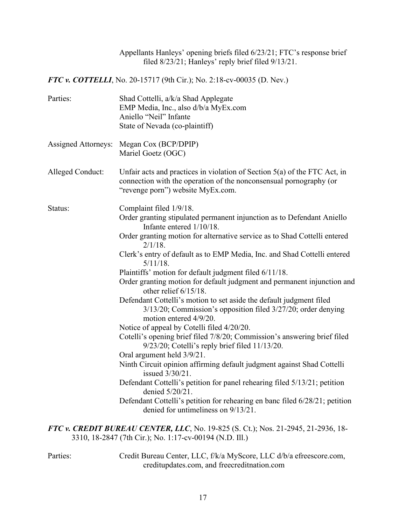Appellants Hanleys' opening briefs filed 6/23/21; FTC's response brief filed 8/23/21; Hanleys' reply brief filed 9/13/21.

*FTC v. COTTELLI*, No. 20-15717 (9th Cir.); No. 2:18-cv-00035 (D. Nev.)

| Parties:                   | Shad Cottelli, a/k/a Shad Applegate<br>EMP Media, Inc., also d/b/a MyEx.com<br>Aniello "Neil" Infante<br>State of Nevada (co-plaintiff)                                                |
|----------------------------|----------------------------------------------------------------------------------------------------------------------------------------------------------------------------------------|
| <b>Assigned Attorneys:</b> | Megan Cox (BCP/DPIP)<br>Mariel Goetz (OGC)                                                                                                                                             |
| Alleged Conduct:           | Unfair acts and practices in violation of Section $5(a)$ of the FTC Act, in<br>connection with the operation of the nonconsensual pornography (or<br>"revenge porn") website MyEx.com. |
| Status:                    | Complaint filed 1/9/18.<br>Order granting stipulated permanent injunction as to Defendant Aniello<br>Infante entered $1/10/18$ .                                                       |
|                            | Order granting motion for alternative service as to Shad Cottelli entered<br>$2/1/18$ .                                                                                                |
|                            | Clerk's entry of default as to EMP Media, Inc. and Shad Cottelli entered<br>$5/11/18$ .                                                                                                |
|                            | Plaintiffs' motion for default judgment filed 6/11/18.                                                                                                                                 |
|                            | Order granting motion for default judgment and permanent injunction and<br>other relief $6/15/18$ .                                                                                    |
|                            | Defendant Cottelli's motion to set aside the default judgment filed<br>3/13/20; Commission's opposition filed 3/27/20; order denying<br>motion entered 4/9/20.                         |
|                            | Notice of appeal by Cotelli filed 4/20/20.                                                                                                                                             |
|                            | Cotelli's opening brief filed 7/8/20; Commission's answering brief filed<br>9/23/20; Cotelli's reply brief filed 11/13/20.                                                             |
|                            | Oral argument held $3/9/21$ .                                                                                                                                                          |
|                            | Ninth Circuit opinion affirming default judgment against Shad Cottelli<br>issued 3/30/21.                                                                                              |
|                            | Defendant Cottelli's petition for panel rehearing filed 5/13/21; petition<br>denied 5/20/21.                                                                                           |
|                            | Defendant Cottelli's petition for rehearing en banc filed 6/28/21; petition<br>denied for untimeliness on 9/13/21.                                                                     |
|                            | FTC v. CREDIT BUREAU CENTER, LLC, No. 19-825 (S. Ct.); Nos. 21-2945, 21-2936, 18-<br>3310, 18-2847 (7th Cir.); No. 1:17-cv-00194 (N.D. Ill.)                                           |

Parties: Credit Bureau Center, LLC, f/k/a MyScore, LLC d/b/a efreescore.com, creditupdates.com, and freecreditnation.com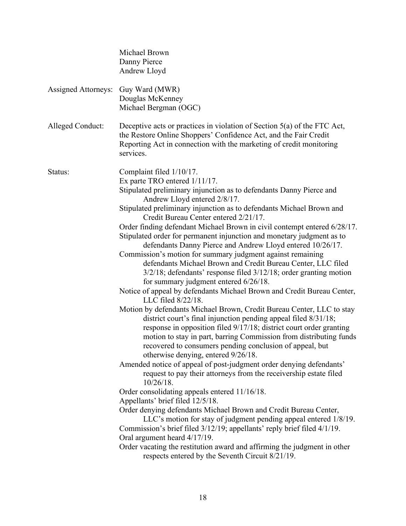|                            | Michael Brown<br>Danny Pierce<br>Andrew Lloyd                                                                                                                                                                                                                                                                                                                                                                                                                                                                                                                                                                                                                                                                                                                                                                                                                                                                                                                                                                                                                                                                                                                                                                                                                                                                                                                                                                                                                                                                                                                                                                                                                                                                                                                                                                                                                                                |
|----------------------------|----------------------------------------------------------------------------------------------------------------------------------------------------------------------------------------------------------------------------------------------------------------------------------------------------------------------------------------------------------------------------------------------------------------------------------------------------------------------------------------------------------------------------------------------------------------------------------------------------------------------------------------------------------------------------------------------------------------------------------------------------------------------------------------------------------------------------------------------------------------------------------------------------------------------------------------------------------------------------------------------------------------------------------------------------------------------------------------------------------------------------------------------------------------------------------------------------------------------------------------------------------------------------------------------------------------------------------------------------------------------------------------------------------------------------------------------------------------------------------------------------------------------------------------------------------------------------------------------------------------------------------------------------------------------------------------------------------------------------------------------------------------------------------------------------------------------------------------------------------------------------------------------|
| <b>Assigned Attorneys:</b> | Guy Ward (MWR)<br>Douglas McKenney<br>Michael Bergman (OGC)                                                                                                                                                                                                                                                                                                                                                                                                                                                                                                                                                                                                                                                                                                                                                                                                                                                                                                                                                                                                                                                                                                                                                                                                                                                                                                                                                                                                                                                                                                                                                                                                                                                                                                                                                                                                                                  |
| Alleged Conduct:           | Deceptive acts or practices in violation of Section $5(a)$ of the FTC Act,<br>the Restore Online Shoppers' Confidence Act, and the Fair Credit<br>Reporting Act in connection with the marketing of credit monitoring<br>services.                                                                                                                                                                                                                                                                                                                                                                                                                                                                                                                                                                                                                                                                                                                                                                                                                                                                                                                                                                                                                                                                                                                                                                                                                                                                                                                                                                                                                                                                                                                                                                                                                                                           |
| Status:                    | Complaint filed 1/10/17.<br>Ex parte TRO entered $1/11/17$ .<br>Stipulated preliminary injunction as to defendants Danny Pierce and<br>Andrew Lloyd entered 2/8/17.<br>Stipulated preliminary injunction as to defendants Michael Brown and<br>Credit Bureau Center entered 2/21/17.<br>Order finding defendant Michael Brown in civil contempt entered 6/28/17.<br>Stipulated order for permanent injunction and monetary judgment as to<br>defendants Danny Pierce and Andrew Lloyd entered 10/26/17.<br>Commission's motion for summary judgment against remaining<br>defendants Michael Brown and Credit Bureau Center, LLC filed<br>$3/2/18$ ; defendants' response filed $3/12/18$ ; order granting motion<br>for summary judgment entered 6/26/18.<br>Notice of appeal by defendants Michael Brown and Credit Bureau Center,<br>LLC filed $8/22/18$ .<br>Motion by defendants Michael Brown, Credit Bureau Center, LLC to stay<br>district court's final injunction pending appeal filed 8/31/18;<br>response in opposition filed 9/17/18; district court order granting<br>motion to stay in part, barring Commission from distributing funds<br>recovered to consumers pending conclusion of appeal, but<br>otherwise denying, entered 9/26/18.<br>Amended notice of appeal of post-judgment order denying defendants'<br>request to pay their attorneys from the receivership estate filed<br>$10/26/18$ .<br>Order consolidating appeals entered 11/16/18.<br>Appellants' brief filed 12/5/18.<br>Order denying defendants Michael Brown and Credit Bureau Center,<br>LLC's motion for stay of judgment pending appeal entered 1/8/19.<br>Commission's brief filed 3/12/19; appellants' reply brief filed 4/1/19.<br>Oral argument heard 4/17/19.<br>Order vacating the restitution award and affirming the judgment in other<br>respects entered by the Seventh Circuit 8/21/19. |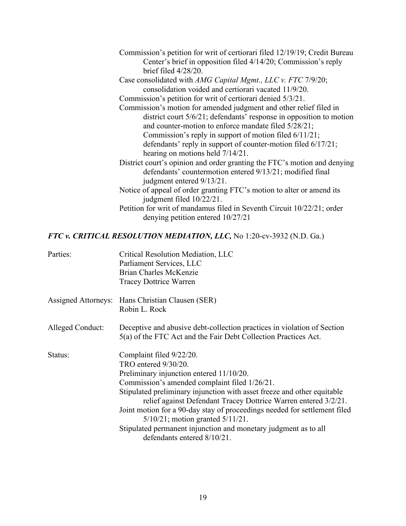| Commission's petition for writ of certiorari filed 12/19/19; Credit Bureau<br>Center's brief in opposition filed 4/14/20; Commission's reply<br>brief filed $4/28/20$ . |
|-------------------------------------------------------------------------------------------------------------------------------------------------------------------------|
| Case consolidated with AMG Capital Mgmt., LLC v. FTC 7/9/20;<br>consolidation voided and certiorari vacated 11/9/20.                                                    |
| Commission's petition for writ of certiorari denied 5/3/21.                                                                                                             |
| Commission's motion for amended judgment and other relief filed in<br>district court 5/6/21; defendants' response in opposition to motion                               |
| and counter-motion to enforce mandate filed 5/28/21;                                                                                                                    |
| Commission's reply in support of motion filed $6/11/21$ ;                                                                                                               |
| defendants' reply in support of counter-motion filed 6/17/21;<br>hearing on motions held $7/14/21$ .                                                                    |
| District court's opinion and order granting the FTC's motion and denying<br>defendants' countermotion entered 9/13/21; modified final<br>judgment entered 9/13/21.      |
| Notice of appeal of order granting FTC's motion to alter or amend its<br>judgment filed 10/22/21.                                                                       |
| Petition for writ of mandamus filed in Seventh Circuit 10/22/21; order<br>denying petition entered $10/27/21$                                                           |

# *FTC v. CRITICAL RESOLUTION MEDIATION, LLC,* No 1:20-cv-3932 (N.D. Ga.)

| Parties:         | Critical Resolution Mediation, LLC<br>Parliament Services, LLC                                                                             |
|------------------|--------------------------------------------------------------------------------------------------------------------------------------------|
|                  | Brian Charles McKenzie                                                                                                                     |
|                  | <b>Tracey Dottrice Warren</b>                                                                                                              |
|                  | Assigned Attorneys: Hans Christian Clausen (SER)<br>Robin L. Rock                                                                          |
| Alleged Conduct: | Deceptive and abusive debt-collection practices in violation of Section<br>5(a) of the FTC Act and the Fair Debt Collection Practices Act. |
| Status:          | Complaint filed 9/22/20.                                                                                                                   |
|                  | TRO entered 9/30/20.                                                                                                                       |
|                  | Preliminary injunction entered 11/10/20.                                                                                                   |
|                  | Commission's amended complaint filed 1/26/21.                                                                                              |
|                  | Stipulated preliminary injunction with asset freeze and other equitable<br>relief against Defendant Tracey Dottrice Warren entered 3/2/21. |
|                  | Joint motion for a 90-day stay of proceedings needed for settlement filed<br>$5/10/21$ ; motion granted $5/11/21$ .                        |
|                  | Stipulated permanent injunction and monetary judgment as to all<br>defendants entered 8/10/21.                                             |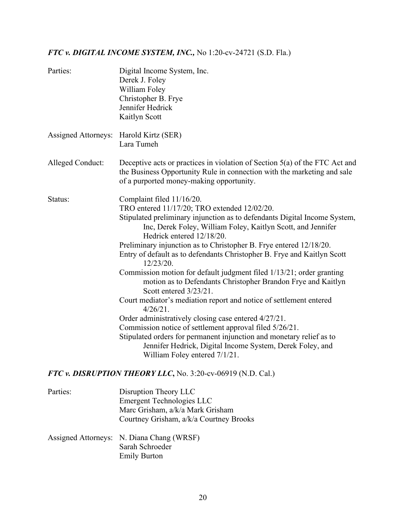# *FTC v. DIGITAL INCOME SYSTEM, INC.,* No 1:20-cv-24721 (S.D. Fla.)

| Parties:                               | Digital Income System, Inc.<br>Derek J. Foley<br>William Foley<br>Christopher B. Frye<br>Jennifer Hedrick<br>Kaitlyn Scott                                                                                                                                                                                                                                                                                                                                                                                                                                                                                                                                                                                                                                                                                                                                                                                                                                        |
|----------------------------------------|-------------------------------------------------------------------------------------------------------------------------------------------------------------------------------------------------------------------------------------------------------------------------------------------------------------------------------------------------------------------------------------------------------------------------------------------------------------------------------------------------------------------------------------------------------------------------------------------------------------------------------------------------------------------------------------------------------------------------------------------------------------------------------------------------------------------------------------------------------------------------------------------------------------------------------------------------------------------|
| Assigned Attorneys: Harold Kirtz (SER) | Lara Tumeh                                                                                                                                                                                                                                                                                                                                                                                                                                                                                                                                                                                                                                                                                                                                                                                                                                                                                                                                                        |
| Alleged Conduct:                       | Deceptive acts or practices in violation of Section 5(a) of the FTC Act and<br>the Business Opportunity Rule in connection with the marketing and sale<br>of a purported money-making opportunity.                                                                                                                                                                                                                                                                                                                                                                                                                                                                                                                                                                                                                                                                                                                                                                |
| Status:                                | Complaint filed 11/16/20.<br>TRO entered 11/17/20; TRO extended 12/02/20.<br>Stipulated preliminary injunction as to defendants Digital Income System,<br>Inc, Derek Foley, William Foley, Kaitlyn Scott, and Jennifer<br>Hedrick entered 12/18/20.<br>Preliminary injunction as to Christopher B. Frye entered 12/18/20.<br>Entry of default as to defendants Christopher B. Frye and Kaitlyn Scott<br>12/23/20.<br>Commission motion for default judgment filed 1/13/21; order granting<br>motion as to Defendants Christopher Brandon Frye and Kaitlyn<br>Scott entered 3/23/21.<br>Court mediator's mediation report and notice of settlement entered<br>$4/26/21$ .<br>Order administratively closing case entered 4/27/21.<br>Commission notice of settlement approval filed 5/26/21.<br>Stipulated orders for permanent injunction and monetary relief as to<br>Jennifer Hedrick, Digital Income System, Derek Foley, and<br>William Foley entered 7/1/21. |
|                                        | FTC v. DISRUPTION THEORY LLC, No. 3:20-cv-06919 (N.D. Cal.)                                                                                                                                                                                                                                                                                                                                                                                                                                                                                                                                                                                                                                                                                                                                                                                                                                                                                                       |
| Parties:                               | Disruption Theory LLC                                                                                                                                                                                                                                                                                                                                                                                                                                                                                                                                                                                                                                                                                                                                                                                                                                                                                                                                             |

| rafties. | DISTUPLION THEOTY LLU                     |
|----------|-------------------------------------------|
|          | Emergent Technologies LLC                 |
|          | Marc Grisham, a/k/a Mark Grisham          |
|          | Courtney Grisham, a/k/a Courtney Brooks   |
|          | Assigned Attorneys: N. Diana Chang (WRSF) |
|          | Sarah Schroeder                           |
|          | <b>Emily Burton</b>                       |
|          |                                           |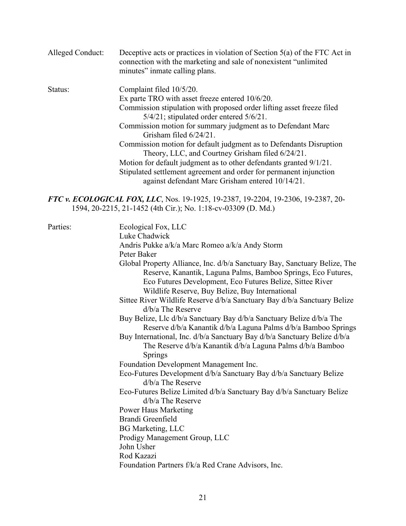| Alleged Conduct: | Deceptive acts or practices in violation of Section $5(a)$ of the FTC Act in<br>connection with the marketing and sale of nonexistent "unlimited"<br>minutes" inmate calling plans. |
|------------------|-------------------------------------------------------------------------------------------------------------------------------------------------------------------------------------|
| Status:          | Complaint filed 10/5/20.                                                                                                                                                            |
|                  | Ex parte TRO with asset freeze entered 10/6/20.                                                                                                                                     |
|                  | Commission stipulation with proposed order lifting asset freeze filed<br>5/4/21; stipulated order entered 5/6/21.                                                                   |
|                  | Commission motion for summary judgment as to Defendant Marc<br>Grisham filed 6/24/21.                                                                                               |
|                  | Commission motion for default judgment as to Defendants Disruption<br>Theory, LLC, and Courtney Grisham filed 6/24/21.                                                              |
|                  | Motion for default judgment as to other defendants granted 9/1/21.                                                                                                                  |
|                  | Stipulated settlement agreement and order for permanent injunction<br>against defendant Marc Grisham entered 10/14/21.                                                              |
|                  | FTC v. ECOLOGICAL FOX, LLC, Nos. 19-1925, 19-2387, 19-2204, 19-2306, 19-2387, 20-<br>1594, 20-2215, 21-1452 (4th Cir.); No. 1:18-cv-03309 (D. Md.)                                  |
| Parties:         | Ecological Fox, LLC                                                                                                                                                                 |

| Luke Chadwick                                                             |
|---------------------------------------------------------------------------|
| Andris Pukke a/k/a Marc Romeo a/k/a Andy Storm                            |
| Peter Baker                                                               |
| Global Property Alliance, Inc. d/b/a Sanctuary Bay, Sanctuary Belize, The |
| Reserve, Kanantik, Laguna Palms, Bamboo Springs, Eco Futures,             |
| Eco Futures Development, Eco Futures Belize, Sittee River                 |
| Wildlife Reserve, Buy Belize, Buy International                           |
| Sittee River Wildlife Reserve d/b/a Sanctuary Bay d/b/a Sanctuary Belize  |
| $d/b/a$ The Reserve                                                       |
| Buy Belize, Llc d/b/a Sanctuary Bay d/b/a Sanctuary Belize d/b/a The      |
| Reserve d/b/a Kanantik d/b/a Laguna Palms d/b/a Bamboo Springs            |
| Buy International, Inc. d/b/a Sanctuary Bay d/b/a Sanctuary Belize d/b/a  |
| The Reserve d/b/a Kanantik d/b/a Laguna Palms d/b/a Bamboo                |
| Springs                                                                   |
| Foundation Development Management Inc.                                    |
| Eco-Futures Development d/b/a Sanctuary Bay d/b/a Sanctuary Belize        |
| $d/b/a$ The Reserve                                                       |
| Eco-Futures Belize Limited d/b/a Sanctuary Bay d/b/a Sanctuary Belize     |
| d/b/a The Reserve                                                         |
| <b>Power Haus Marketing</b>                                               |
| Brandi Greenfield                                                         |
| <b>BG</b> Marketing, LLC                                                  |
| Prodigy Management Group, LLC                                             |
| John Usher                                                                |
| Rod Kazazi                                                                |
| Foundation Partners f/k/a Red Crane Advisors, Inc.                        |
|                                                                           |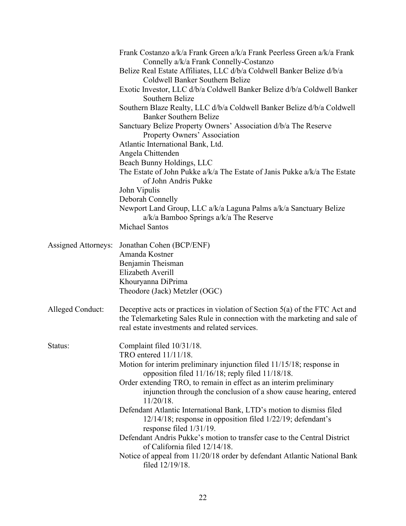|                            | Frank Costanzo a/k/a Frank Green a/k/a Frank Peerless Green a/k/a Frank<br>Connelly a/k/a Frank Connelly-Costanzo<br>Belize Real Estate Affiliates, LLC d/b/a Coldwell Banker Belize d/b/a                |
|----------------------------|-----------------------------------------------------------------------------------------------------------------------------------------------------------------------------------------------------------|
|                            | Coldwell Banker Southern Belize<br>Exotic Investor, LLC d/b/a Coldwell Banker Belize d/b/a Coldwell Banker<br>Southern Belize                                                                             |
|                            | Southern Blaze Realty, LLC d/b/a Coldwell Banker Belize d/b/a Coldwell<br><b>Banker Southern Belize</b>                                                                                                   |
|                            | Sanctuary Belize Property Owners' Association d/b/a The Reserve<br>Property Owners' Association                                                                                                           |
|                            | Atlantic International Bank, Ltd.<br>Angela Chittenden                                                                                                                                                    |
|                            | Beach Bunny Holdings, LLC<br>The Estate of John Pukke a/k/a The Estate of Janis Pukke a/k/a The Estate<br>of John Andris Pukke                                                                            |
|                            | John Vipulis                                                                                                                                                                                              |
|                            | Deborah Connelly<br>Newport Land Group, LLC a/k/a Laguna Palms a/k/a Sanctuary Belize<br>$a/k/a$ Bamboo Springs $a/k/a$ The Reserve<br>Michael Santos                                                     |
|                            |                                                                                                                                                                                                           |
| <b>Assigned Attorneys:</b> | Jonathan Cohen (BCP/ENF)<br>Amanda Kostner                                                                                                                                                                |
|                            | Benjamin Theisman<br>Elizabeth Averill                                                                                                                                                                    |
|                            | Khouryanna DiPrima<br>Theodore (Jack) Metzler (OGC)                                                                                                                                                       |
| Alleged Conduct:           | Deceptive acts or practices in violation of Section 5(a) of the FTC Act and<br>the Telemarketing Sales Rule in connection with the marketing and sale of<br>real estate investments and related services. |
| Status:                    | Complaint filed 10/31/18.<br>TRO entered $11/11/18$ .                                                                                                                                                     |
|                            | Motion for interim preliminary injunction filed 11/15/18; response in<br>opposition filed 11/16/18; reply filed 11/18/18.                                                                                 |
|                            | Order extending TRO, to remain in effect as an interim preliminary<br>injunction through the conclusion of a show cause hearing, entered<br>$11/20/18$ .                                                  |
|                            | Defendant Atlantic International Bank, LTD's motion to dismiss filed<br>12/14/18; response in opposition filed 1/22/19; defendant's<br>response filed $1/31/19$ .                                         |
|                            | Defendant Andris Pukke's motion to transfer case to the Central District<br>of California filed 12/14/18.                                                                                                 |
|                            | Notice of appeal from 11/20/18 order by defendant Atlantic National Bank<br>filed 12/19/18.                                                                                                               |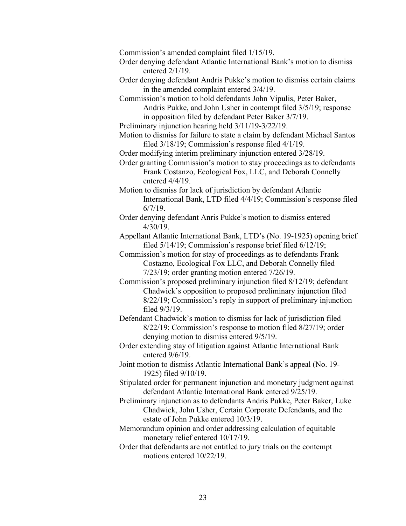Commission's amended complaint filed 1/15/19.

Order denying defendant Atlantic International Bank's motion to dismiss entered 2/1/19.

Order denying defendant Andris Pukke's motion to dismiss certain claims in the amended complaint entered 3/4/19.

Commission's motion to hold defendants John Vipulis, Peter Baker, Andris Pukke, and John Usher in contempt filed 3/5/19; response in opposition filed by defendant Peter Baker 3/7/19.

Preliminary injunction hearing held 3/11/19-3/22/19.

Motion to dismiss for failure to state a claim by defendant Michael Santos filed 3/18/19; Commission's response filed 4/1/19.

Order modifying interim preliminary injunction entered 3/28/19.

Order granting Commission's motion to stay proceedings as to defendants Frank Costanzo, Ecological Fox, LLC, and Deborah Connelly entered 4/4/19.

Motion to dismiss for lack of jurisdiction by defendant Atlantic International Bank, LTD filed 4/4/19; Commission's response filed 6/7/19.

Order denying defendant Anris Pukke's motion to dismiss entered 4/30/19.

Appellant Atlantic International Bank, LTD's (No. 19-1925) opening brief filed 5/14/19; Commission's response brief filed 6/12/19;

Commission's motion for stay of proceedings as to defendants Frank Costazno, Ecological Fox LLC, and Deborah Connelly filed 7/23/19; order granting motion entered 7/26/19.

Commission's proposed preliminary injunction filed 8/12/19; defendant Chadwick's opposition to proposed preliminary injunction filed 8/22/19; Commission's reply in support of preliminary injunction filed 9/3/19.

Defendant Chadwick's motion to dismiss for lack of jurisdiction filed 8/22/19; Commission's response to motion filed 8/27/19; order denying motion to dismiss entered 9/5/19.

Order extending stay of litigation against Atlantic International Bank entered 9/6/19.

Joint motion to dismiss Atlantic International Bank's appeal (No. 19- 1925) filed 9/10/19.

Stipulated order for permanent injunction and monetary judgment against defendant Atlantic International Bank entered 9/25/19.

Preliminary injunction as to defendants Andris Pukke, Peter Baker, Luke Chadwick, John Usher, Certain Corporate Defendants, and the estate of John Pukke entered 10/3/19.

Memorandum opinion and order addressing calculation of equitable monetary relief entered 10/17/19.

Order that defendants are not entitled to jury trials on the contempt motions entered 10/22/19.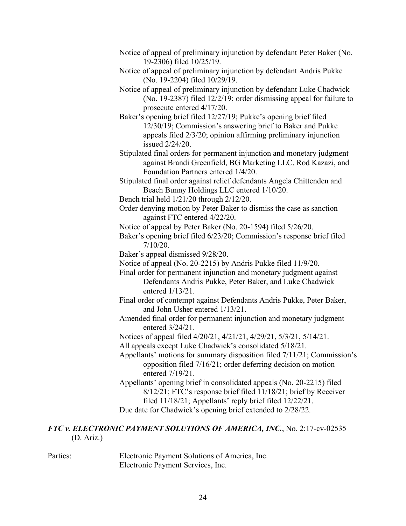| Notice of appeal of preliminary injunction by defendant Peter Baker (No. |  |  |
|--------------------------------------------------------------------------|--|--|
| 19-2306) filed $10/25/19$ .                                              |  |  |

Notice of appeal of preliminary injunction by defendant Andris Pukke (No. 19-2204) filed 10/29/19.

Notice of appeal of preliminary injunction by defendant Luke Chadwick (No. 19-2387) filed 12/2/19; order dismissing appeal for failure to prosecute entered 4/17/20.

Baker's opening brief filed 12/27/19; Pukke's opening brief filed 12/30/19; Commission's answering brief to Baker and Pukke appeals filed 2/3/20; opinion affirming preliminary injunction issued 2/24/20.

Stipulated final orders for permanent injunction and monetary judgment against Brandi Greenfield, BG Marketing LLC, Rod Kazazi, and Foundation Partners entered 1/4/20.

Stipulated final order against relief defendants Angela Chittenden and Beach Bunny Holdings LLC entered 1/10/20.

Bench trial held 1/21/20 through 2/12/20.

Order denying motion by Peter Baker to dismiss the case as sanction against FTC entered 4/22/20.

Notice of appeal by Peter Baker (No. 20-1594) filed 5/26/20.

Baker's opening brief filed 6/23/20; Commission's response brief filed 7/10/20.

Baker's appeal dismissed 9/28/20.

Notice of appeal (No. 20-2215) by Andris Pukke filed 11/9/20.

Final order for permanent injunction and monetary judgment against Defendants Andris Pukke, Peter Baker, and Luke Chadwick entered 1/13/21.

Final order of contempt against Defendants Andris Pukke, Peter Baker, and John Usher entered 1/13/21.

Amended final order for permanent injunction and monetary judgment entered 3/24/21.

Notices of appeal filed 4/20/21, 4/21/21, 4/29/21, 5/3/21, 5/14/21.

All appeals except Luke Chadwick's consolidated 5/18/21.

Appellants' motions for summary disposition filed 7/11/21; Commission's opposition filed 7/16/21; order deferring decision on motion entered 7/19/21.

Appellants' opening brief in consolidated appeals (No. 20-2215) filed 8/12/21; FTC's response brief filed 11/18/21; brief by Receiver filed 11/18/21; Appellants' reply brief filed 12/22/21. Due date for Chadwick's opening brief extended to 2/28/22.

## *FTC v. ELECTRONIC PAYMENT SOLUTIONS OF AMERICA, INC.*, No. 2:17-cv-02535 (D. Ariz.)

Parties: Electronic Payment Solutions of America, Inc. Electronic Payment Services, Inc.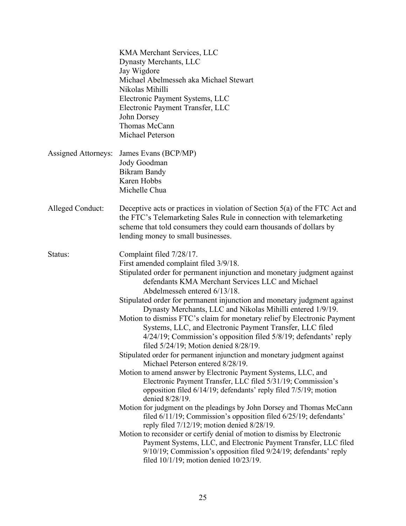|                     | KMA Merchant Services, LLC<br>Dynasty Merchants, LLC<br>Jay Wigdore<br>Michael Abelmesseh aka Michael Stewart<br>Nikolas Mihilli<br>Electronic Payment Systems, LLC<br>Electronic Payment Transfer, LLC<br>John Dorsey<br>Thomas McCann<br>Michael Peterson                                                                                                                                                                                                                                                                                                                                                                                                                                                                                                                                                                                                                                                                                                                                                                                                                                                                                                                                                                                                                                                                                                                                                                               |
|---------------------|-------------------------------------------------------------------------------------------------------------------------------------------------------------------------------------------------------------------------------------------------------------------------------------------------------------------------------------------------------------------------------------------------------------------------------------------------------------------------------------------------------------------------------------------------------------------------------------------------------------------------------------------------------------------------------------------------------------------------------------------------------------------------------------------------------------------------------------------------------------------------------------------------------------------------------------------------------------------------------------------------------------------------------------------------------------------------------------------------------------------------------------------------------------------------------------------------------------------------------------------------------------------------------------------------------------------------------------------------------------------------------------------------------------------------------------------|
| Assigned Attorneys: | James Evans (BCP/MP)<br>Jody Goodman<br><b>Bikram Bandy</b><br>Karen Hobbs<br>Michelle Chua                                                                                                                                                                                                                                                                                                                                                                                                                                                                                                                                                                                                                                                                                                                                                                                                                                                                                                                                                                                                                                                                                                                                                                                                                                                                                                                                               |
| Alleged Conduct:    | Deceptive acts or practices in violation of Section 5(a) of the FTC Act and<br>the FTC's Telemarketing Sales Rule in connection with telemarketing<br>scheme that told consumers they could earn thousands of dollars by<br>lending money to small businesses.                                                                                                                                                                                                                                                                                                                                                                                                                                                                                                                                                                                                                                                                                                                                                                                                                                                                                                                                                                                                                                                                                                                                                                            |
| Status:             | Complaint filed 7/28/17.<br>First amended complaint filed 3/9/18.<br>Stipulated order for permanent injunction and monetary judgment against<br>defendants KMA Merchant Services LLC and Michael<br>Abdelmesseh entered 6/13/18.<br>Stipulated order for permanent injunction and monetary judgment against<br>Dynasty Merchants, LLC and Nikolas Mihilli entered 1/9/19.<br>Motion to dismiss FTC's claim for monetary relief by Electronic Payment<br>Systems, LLC, and Electronic Payment Transfer, LLC filed<br>4/24/19; Commission's opposition filed 5/8/19; defendants' reply<br>filed 5/24/19; Motion denied 8/28/19.<br>Stipulated order for permanent injunction and monetary judgment against<br>Michael Peterson entered 8/28/19.<br>Motion to amend answer by Electronic Payment Systems, LLC, and<br>Electronic Payment Transfer, LLC filed 5/31/19; Commission's<br>opposition filed 6/14/19; defendants' reply filed 7/5/19; motion<br>denied 8/28/19.<br>Motion for judgment on the pleadings by John Dorsey and Thomas McCann<br>filed 6/11/19; Commission's opposition filed 6/25/19; defendants'<br>reply filed 7/12/19; motion denied 8/28/19.<br>Motion to reconsider or certify denial of motion to dismiss by Electronic<br>Payment Systems, LLC, and Electronic Payment Transfer, LLC filed<br>9/10/19; Commission's opposition filed 9/24/19; defendants' reply<br>filed $10/1/19$ ; motion denied $10/23/19$ . |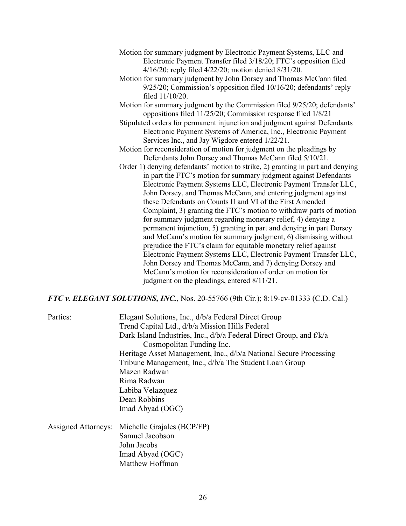- Motion for summary judgment by Electronic Payment Systems, LLC and Electronic Payment Transfer filed 3/18/20; FTC's opposition filed 4/16/20; reply filed 4/22/20; motion denied 8/31/20.
- Motion for summary judgment by John Dorsey and Thomas McCann filed 9/25/20; Commission's opposition filed 10/16/20; defendants' reply filed 11/10/20.
- Motion for summary judgment by the Commission filed 9/25/20; defendants' oppositions filed 11/25/20; Commission response filed 1/8/21
- Stipulated orders for permanent injunction and judgment against Defendants Electronic Payment Systems of America, Inc., Electronic Payment Services Inc., and Jay Wigdore entered 1/22/21.
- Motion for reconsideration of motion for judgment on the pleadings by Defendants John Dorsey and Thomas McCann filed 5/10/21.
- Order 1) denying defendants' motion to strike, 2) granting in part and denying in part the FTC's motion for summary judgment against Defendants Electronic Payment Systems LLC, Electronic Payment Transfer LLC, John Dorsey, and Thomas McCann, and entering judgment against these Defendants on Counts II and VI of the First Amended Complaint, 3) granting the FTC's motion to withdraw parts of motion for summary judgment regarding monetary relief, 4) denying a permanent injunction, 5) granting in part and denying in part Dorsey and McCann's motion for summary judgment, 6) dismissing without prejudice the FTC's claim for equitable monetary relief against Electronic Payment Systems LLC, Electronic Payment Transfer LLC, John Dorsey and Thomas McCann, and 7) denying Dorsey and McCann's motion for reconsideration of order on motion for judgment on the pleadings, entered 8/11/21.

#### *FTC v. ELEGANT SOLUTIONS, INC.*, Nos. 20-55766 (9th Cir.); 8:19-cv-01333 (C.D. Cal.)

| Parties:            | Elegant Solutions, Inc., d/b/a Federal Direct Group<br>Trend Capital Ltd., d/b/a Mission Hills Federal<br>Dark Island Industries, Inc., d/b/a Federal Direct Group, and f/k/a<br>Cosmopolitan Funding Inc.<br>Heritage Asset Management, Inc., d/b/a National Secure Processing<br>Tribune Management, Inc., d/b/a The Student Loan Group<br>Mazen Radwan<br>Rima Radwan<br>Labiba Velazquez<br>Dean Robbins<br>Imad Abyad (OGC) |
|---------------------|----------------------------------------------------------------------------------------------------------------------------------------------------------------------------------------------------------------------------------------------------------------------------------------------------------------------------------------------------------------------------------------------------------------------------------|
| Assigned Attorneys: | Michelle Grajales (BCP/FP)<br>Samuel Jacobson<br>John Jacobs<br>Imad Abyad (OGC)<br>Matthew Hoffman                                                                                                                                                                                                                                                                                                                              |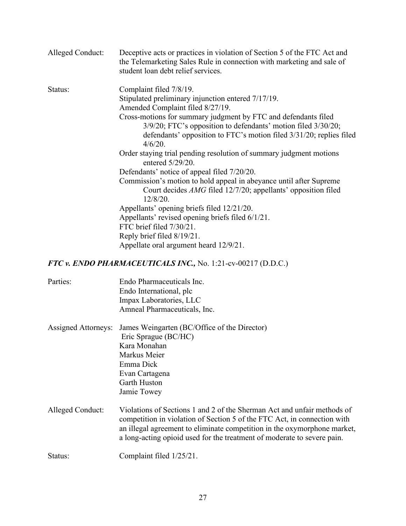| Alleged Conduct:           | Deceptive acts or practices in violation of Section 5 of the FTC Act and<br>the Telemarketing Sales Rule in connection with marketing and sale of<br>student loan debt relief services. |
|----------------------------|-----------------------------------------------------------------------------------------------------------------------------------------------------------------------------------------|
| Status:                    | Complaint filed 7/8/19.                                                                                                                                                                 |
|                            | Stipulated preliminary injunction entered 7/17/19.                                                                                                                                      |
|                            | Amended Complaint filed 8/27/19.                                                                                                                                                        |
|                            | Cross-motions for summary judgment by FTC and defendants filed                                                                                                                          |
|                            | 3/9/20; FTC's opposition to defendants' motion filed 3/30/20;                                                                                                                           |
|                            | defendants' opposition to FTC's motion filed 3/31/20; replies filed                                                                                                                     |
|                            | $4/6/20$ .                                                                                                                                                                              |
|                            | Order staying trial pending resolution of summary judgment motions<br>entered 5/29/20.                                                                                                  |
|                            | Defendants' notice of appeal filed 7/20/20.                                                                                                                                             |
|                            | Commission's motion to hold appeal in abeyance until after Supreme                                                                                                                      |
|                            | Court decides AMG filed 12/7/20; appellants' opposition filed                                                                                                                           |
|                            | 12/8/20.                                                                                                                                                                                |
|                            | Appellants' opening briefs filed 12/21/20.                                                                                                                                              |
|                            | Appellants' revised opening briefs filed 6/1/21.                                                                                                                                        |
|                            | FTC brief filed 7/30/21.                                                                                                                                                                |
|                            | Reply brief filed 8/19/21.                                                                                                                                                              |
|                            | Appellate oral argument heard 12/9/21.                                                                                                                                                  |
|                            | FTC v. ENDO PHARMACEUTICALS INC., No. 1:21-cv-00217 (D.D.C.)                                                                                                                            |
| Parties:                   | Endo Pharmaceuticals Inc.                                                                                                                                                               |
|                            | Endo International, plc                                                                                                                                                                 |
|                            | Impax Laboratories, LLC                                                                                                                                                                 |
|                            | Amneal Pharmaceuticals, Inc.                                                                                                                                                            |
| <b>Assigned Attorneys:</b> | James Weingarten (BC/Office of the Director)                                                                                                                                            |
|                            | $\text{Fric}$ $\text{Gergau}_2$ $(\text{RCM})$                                                                                                                                          |

| $\Delta$ ssigned $\Delta$ ttorneys. Games weingarten (DC/OTHee of the Director) |
|---------------------------------------------------------------------------------|
| Eric Sprague (BC/HC)                                                            |
| Kara Monahan                                                                    |
| Markus Meier                                                                    |
| Emma Dick                                                                       |
| Evan Cartagena                                                                  |
| Garth Huston                                                                    |
| Jamie Towey                                                                     |
|                                                                                 |

Alleged Conduct: Violations of Sections 1 and 2 of the Sherman Act and unfair methods of competition in violation of Section 5 of the FTC Act, in connection with an illegal agreement to eliminate competition in the oxymorphone market, a long-acting opioid used for the treatment of moderate to severe pain.

Status: Complaint filed  $1/25/21$ .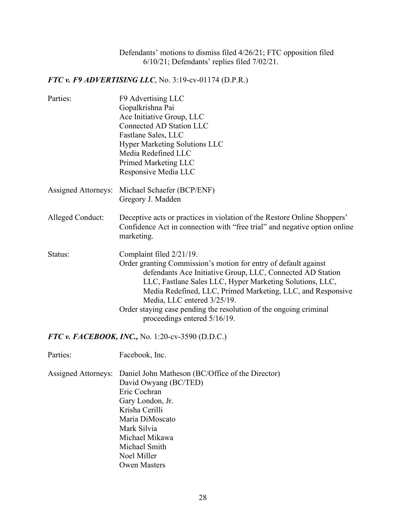Defendants' motions to dismiss filed 4/26/21; FTC opposition filed 6/10/21; Defendants' replies filed 7/02/21.

*FTC v. F9 ADVERTISING LLC*, No. 3:19-cv-01174 (D.P.R.)

| Parties:                   | F9 Advertising LLC<br>Gopalkrishna Pai<br>Ace Initiative Group, LLC<br>Connected AD Station LLC<br>Fastlane Sales, LLC<br><b>Hyper Marketing Solutions LLC</b><br>Media Redefined LLC<br>Primed Marketing LLC<br>Responsive Media LLC                                                                                                                                                                                    |
|----------------------------|--------------------------------------------------------------------------------------------------------------------------------------------------------------------------------------------------------------------------------------------------------------------------------------------------------------------------------------------------------------------------------------------------------------------------|
| <b>Assigned Attorneys:</b> | Michael Schaefer (BCP/ENF)<br>Gregory J. Madden                                                                                                                                                                                                                                                                                                                                                                          |
| Alleged Conduct:           | Deceptive acts or practices in violation of the Restore Online Shoppers'<br>Confidence Act in connection with "free trial" and negative option online<br>marketing.                                                                                                                                                                                                                                                      |
| Status:                    | Complaint filed 2/21/19.<br>Order granting Commission's motion for entry of default against<br>defendants Ace Initiative Group, LLC, Connected AD Station<br>LLC, Fastlane Sales LLC, Hyper Marketing Solutions, LLC,<br>Media Redefined, LLC, Primed Marketing, LLC, and Responsive<br>Media, LLC entered 3/25/19.<br>Order staying case pending the resolution of the ongoing criminal<br>proceedings entered 5/16/19. |
|                            | FTC v. FACEBOOK, INC., No. 1:20-cv-3590 (D.D.C.)                                                                                                                                                                                                                                                                                                                                                                         |
| Parties:                   | Facebook, Inc.                                                                                                                                                                                                                                                                                                                                                                                                           |
|                            | Assigned Attorneys: Daniel John Matheson (BC/Office of the Director)<br>David Owyang (BC/TED)<br>Eric Cochran<br>Gary London, Jr.<br>Krisha Cerilli<br>Maria DiMoscato<br>Mark Silvia                                                                                                                                                                                                                                    |

Michael Smith Noel Miller

Michael Mikawa

Owen Masters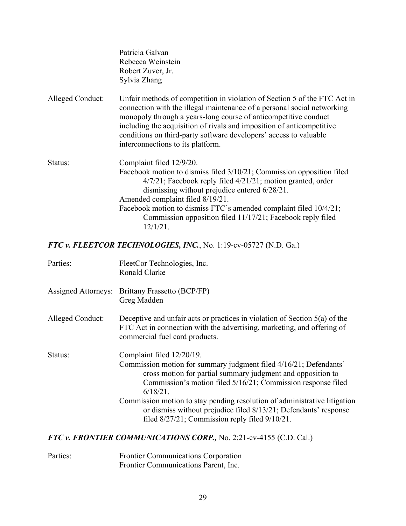|                  | Patricia Galvan<br>Rebecca Weinstein<br>Robert Zuver, Jr.<br>Sylvia Zhang                                                                                                                                                                                                                                                                                                                                  |
|------------------|------------------------------------------------------------------------------------------------------------------------------------------------------------------------------------------------------------------------------------------------------------------------------------------------------------------------------------------------------------------------------------------------------------|
| Alleged Conduct: | Unfair methods of competition in violation of Section 5 of the FTC Act in<br>connection with the illegal maintenance of a personal social networking<br>monopoly through a years-long course of anticompetitive conduct<br>including the acquisition of rivals and imposition of anticompetitive<br>conditions on third-party software developers' access to valuable<br>interconnections to its platform. |
| Status:          | Complaint filed 12/9/20.<br>Facebook motion to dismiss filed 3/10/21; Commission opposition filed<br>$4/7/21$ ; Facebook reply filed $4/21/21$ ; motion granted, order<br>dismissing without prejudice entered 6/28/21.<br>Amended complaint filed 8/19/21.<br>Facebook motion to dismiss FTC's amended complaint filed 10/4/21;<br>Commission opposition filed 11/17/21; Facebook reply filed<br>12/1/21. |

*FTC v. FLEETCOR TECHNOLOGIES, INC.*, No. 1:19-cv-05727 (N.D. Ga.)

| Parties:                   | FleetCor Technologies, Inc.<br>Ronald Clarke                                                                                                                                                                                                                                                                                                                                                                                                    |
|----------------------------|-------------------------------------------------------------------------------------------------------------------------------------------------------------------------------------------------------------------------------------------------------------------------------------------------------------------------------------------------------------------------------------------------------------------------------------------------|
| <b>Assigned Attorneys:</b> | Brittany Frassetto (BCP/FP)<br>Greg Madden                                                                                                                                                                                                                                                                                                                                                                                                      |
| Alleged Conduct:           | Deceptive and unfair acts or practices in violation of Section $5(a)$ of the<br>FTC Act in connection with the advertising, marketing, and offering of<br>commercial fuel card products.                                                                                                                                                                                                                                                        |
| Status:                    | Complaint filed 12/20/19.<br>Commission motion for summary judgment filed 4/16/21; Defendants'<br>cross motion for partial summary judgment and opposition to<br>Commission's motion filed 5/16/21; Commission response filed<br>$6/18/21$ .<br>Commission motion to stay pending resolution of administrative litigation<br>or dismiss without prejudice filed 8/13/21; Defendants' response<br>filed 8/27/21; Commission reply filed 9/10/21. |

# *FTC v. FRONTIER COMMUNICATIONS CORP.,* No. 2:21-cv-4155 (C.D. Cal.)

| Parties: | <b>Frontier Communications Corporation</b> |
|----------|--------------------------------------------|
|          | Frontier Communications Parent, Inc.       |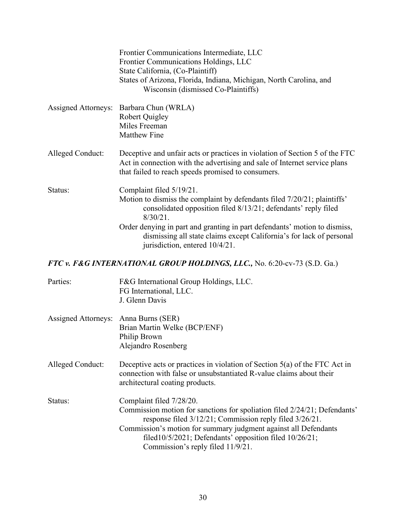|                            | Frontier Communications Intermediate, LLC<br>Frontier Communications Holdings, LLC<br>State California, (Co-Plaintiff)<br>States of Arizona, Florida, Indiana, Michigan, North Carolina, and<br>Wisconsin (dismissed Co-Plaintiffs)                                                                                                                                          |
|----------------------------|------------------------------------------------------------------------------------------------------------------------------------------------------------------------------------------------------------------------------------------------------------------------------------------------------------------------------------------------------------------------------|
| <b>Assigned Attorneys:</b> | Barbara Chun (WRLA)<br><b>Robert Quigley</b><br>Miles Freeman<br><b>Matthew Fine</b>                                                                                                                                                                                                                                                                                         |
| Alleged Conduct:           | Deceptive and unfair acts or practices in violation of Section 5 of the FTC<br>Act in connection with the advertising and sale of Internet service plans<br>that failed to reach speeds promised to consumers.                                                                                                                                                               |
| Status:                    | Complaint filed 5/19/21.<br>Motion to dismiss the complaint by defendants filed 7/20/21; plaintiffs'<br>consolidated opposition filed 8/13/21; defendants' reply filed<br>$8/30/21$ .<br>Order denying in part and granting in part defendants' motion to dismiss,<br>dismissing all state claims except California's for lack of personal<br>jurisdiction, entered 10/4/21. |

# *FTC v. F&G INTERNATIONAL GROUP HOLDINGS, LLC.,* No. 6:20-cv-73 (S.D. Ga.)

| Parties:            | F&G International Group Holdings, LLC.<br>FG International, LLC.<br>J. Glenn Davis                                                                                                                                                                                                                                                        |
|---------------------|-------------------------------------------------------------------------------------------------------------------------------------------------------------------------------------------------------------------------------------------------------------------------------------------------------------------------------------------|
| Assigned Attorneys: | Anna Burns (SER)<br>Brian Martin Welke (BCP/ENF)<br>Philip Brown<br>Alejandro Rosenberg                                                                                                                                                                                                                                                   |
| Alleged Conduct:    | Deceptive acts or practices in violation of Section $5(a)$ of the FTC Act in<br>connection with false or unsubstantiated R-value claims about their<br>architectural coating products.                                                                                                                                                    |
| Status:             | Complaint filed 7/28/20.<br>Commission motion for sanctions for spoliation filed 2/24/21; Defendants'<br>response filed 3/12/21; Commission reply filed 3/26/21.<br>Commission's motion for summary judgment against all Defendants<br>filed $10/5/2021$ ; Defendants' opposition filed $10/26/21$ ;<br>Commission's reply filed 11/9/21. |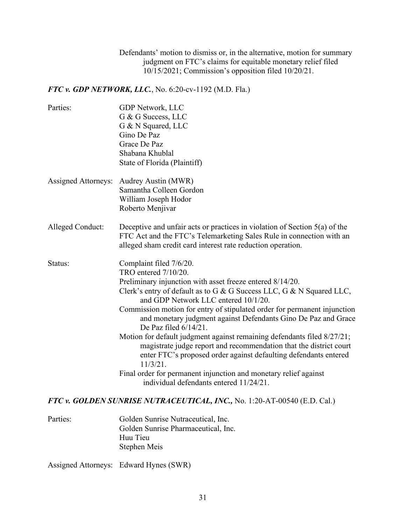Defendants' motion to dismiss or, in the alternative, motion for summary judgment on FTC's claims for equitable monetary relief filed 10/15/2021; Commission's opposition filed 10/20/21.

*FTC v. GDP NETWORK, LLC.*, No. 6:20-cv-1192 (M.D. Fla.)

| Parties:                   | GDP Network, LLC<br>G & G Success, LLC<br>G & N Squared, LLC<br>Gino De Paz<br>Grace De Paz<br>Shabana Khublal<br>State of Florida (Plaintiff)                                                                                                                                                                                                                                                                                                                                                                                                                                                                                                                                                                                                         |
|----------------------------|--------------------------------------------------------------------------------------------------------------------------------------------------------------------------------------------------------------------------------------------------------------------------------------------------------------------------------------------------------------------------------------------------------------------------------------------------------------------------------------------------------------------------------------------------------------------------------------------------------------------------------------------------------------------------------------------------------------------------------------------------------|
| <b>Assigned Attorneys:</b> | Audrey Austin (MWR)<br>Samantha Colleen Gordon<br>William Joseph Hodor<br>Roberto Menjivar                                                                                                                                                                                                                                                                                                                                                                                                                                                                                                                                                                                                                                                             |
| Alleged Conduct:           | Deceptive and unfair acts or practices in violation of Section $5(a)$ of the<br>FTC Act and the FTC's Telemarketing Sales Rule in connection with an<br>alleged sham credit card interest rate reduction operation.                                                                                                                                                                                                                                                                                                                                                                                                                                                                                                                                    |
| Status:                    | Complaint filed 7/6/20.<br>TRO entered 7/10/20.<br>Preliminary injunction with asset freeze entered 8/14/20.<br>Clerk's entry of default as to G & G Success LLC, G & N Squared LLC,<br>and GDP Network LLC entered 10/1/20.<br>Commission motion for entry of stipulated order for permanent injunction<br>and monetary judgment against Defendants Gino De Paz and Grace<br>De Paz filed 6/14/21.<br>Motion for default judgment against remaining defendants filed 8/27/21;<br>magistrate judge report and recommendation that the district court<br>enter FTC's proposed order against defaulting defendants entered<br>$11/3/21$ .<br>Final order for permanent injunction and monetary relief against<br>individual defendants entered 11/24/21. |
|                            | $\alpha$ EITEL $\alpha$ if International information $\Box$                                                                                                                                                                                                                                                                                                                                                                                                                                                                                                                                                                                                                                                                                            |

*FTC v. GOLDEN SUNRISE NUTRACEUTICAL, INC.,* No. 1:20-AT-00540 (E.D. Cal.)

Parties: Golden Sunrise Nutraceutical, Inc. Golden Sunrise Pharmaceutical, Inc. Huu Tieu Stephen Meis

Assigned Attorneys: Edward Hynes (SWR)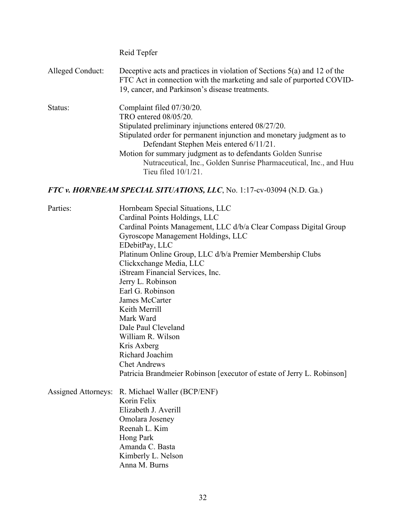|                  | Reid Tepfer                                                                                                                                                                                                                                                                                                                                                                                  |
|------------------|----------------------------------------------------------------------------------------------------------------------------------------------------------------------------------------------------------------------------------------------------------------------------------------------------------------------------------------------------------------------------------------------|
| Alleged Conduct: | Deceptive acts and practices in violation of Sections $5(a)$ and 12 of the<br>FTC Act in connection with the marketing and sale of purported COVID-<br>19, cancer, and Parkinson's disease treatments.                                                                                                                                                                                       |
| Status:          | Complaint filed 07/30/20.<br>TRO entered 08/05/20.<br>Stipulated preliminary injunctions entered 08/27/20.<br>Stipulated order for permanent injunction and monetary judgment as to<br>Defendant Stephen Meis entered 6/11/21.<br>Motion for summary judgment as to defendants Golden Sunrise<br>Nutraceutical, Inc., Golden Sunrise Pharmaceutical, Inc., and Huu<br>Tieu filed $10/1/21$ . |

#### *FTC v. HORNBEAM SPECIAL SITUATIONS, LLC*, No. 1:17-cv-03094 (N.D. Ga.)

Parties: Hornbeam Special Situations, LLC Cardinal Points Holdings, LLC Cardinal Points Management, LLC d/b/a Clear Compass Digital Group Gyroscope Management Holdings, LLC EDebitPay, LLC Platinum Online Group, LLC d/b/a Premier Membership Clubs Clickxchange Media, LLC iStream Financial Services, Inc. Jerry L. Robinson Earl G. Robinson James McCarter Keith Merrill Mark Ward Dale Paul Cleveland William R. Wilson Kris Axberg Richard Joachim Chet Andrews Patricia Brandmeier Robinson [executor of estate of Jerry L. Robinson]

Assigned Attorneys: R. Michael Waller (BCP/ENF) Korin Felix Elizabeth J. Averill Omolara Joseney Reenah L. Kim Hong Park Amanda C. Basta Kimberly L. Nelson Anna M. Burns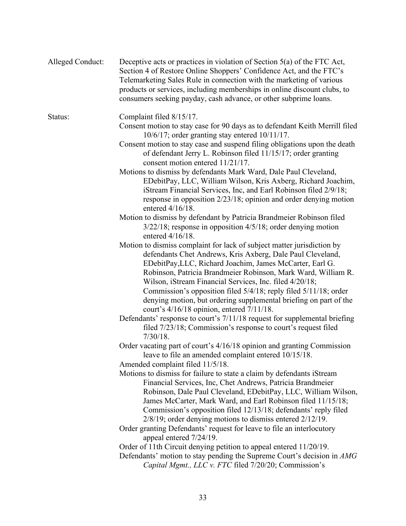| <b>Alleged Conduct:</b> | Deceptive acts or practices in violation of Section $5(a)$ of the FTC Act,<br>Section 4 of Restore Online Shoppers' Confidence Act, and the FTC's<br>Telemarketing Sales Rule in connection with the marketing of various<br>products or services, including memberships in online discount clubs, to<br>consumers seeking payday, cash advance, or other subprime loans.                                                                                                                                          |
|-------------------------|--------------------------------------------------------------------------------------------------------------------------------------------------------------------------------------------------------------------------------------------------------------------------------------------------------------------------------------------------------------------------------------------------------------------------------------------------------------------------------------------------------------------|
| Status:                 | Complaint filed 8/15/17.<br>Consent motion to stay case for 90 days as to defendant Keith Merrill filed<br>$10/6/17$ ; order granting stay entered $10/11/17$ .                                                                                                                                                                                                                                                                                                                                                    |
|                         | Consent motion to stay case and suspend filing obligations upon the death<br>of defendant Jerry L. Robinson filed 11/15/17; order granting<br>consent motion entered 11/21/17.                                                                                                                                                                                                                                                                                                                                     |
|                         | Motions to dismiss by defendants Mark Ward, Dale Paul Cleveland,<br>EDebitPay, LLC, William Wilson, Kris Axberg, Richard Joachim,<br>iStream Financial Services, Inc, and Earl Robinson filed 2/9/18;<br>response in opposition $2/23/18$ ; opinion and order denying motion<br>entered $4/16/18$ .                                                                                                                                                                                                                |
|                         | Motion to dismiss by defendant by Patricia Brandmeier Robinson filed<br>$3/22/18$ ; response in opposition $4/5/18$ ; order denying motion<br>entered $4/16/18$ .                                                                                                                                                                                                                                                                                                                                                  |
|                         | Motion to dismiss complaint for lack of subject matter jurisdiction by<br>defendants Chet Andrews, Kris Axberg, Dale Paul Cleveland,<br>EDebitPay, LLC, Richard Joachim, James McCarter, Earl G.<br>Robinson, Patricia Brandmeier Robinson, Mark Ward, William R.<br>Wilson, iStream Financial Services, Inc. filed 4/20/18;<br>Commission's opposition filed 5/4/18; reply filed 5/11/18; order<br>denying motion, but ordering supplemental briefing on part of the<br>court's 4/16/18 opinion, entered 7/11/18. |
|                         | Defendants' response to court's 7/11/18 request for supplemental briefing<br>filed 7/23/18; Commission's response to court's request filed<br>$7/30/18$ .                                                                                                                                                                                                                                                                                                                                                          |
|                         | Order vacating part of court's 4/16/18 opinion and granting Commission<br>leave to file an amended complaint entered 10/15/18.<br>Amended complaint filed 11/5/18.                                                                                                                                                                                                                                                                                                                                                 |
|                         | Motions to dismiss for failure to state a claim by defendants iStream<br>Financial Services, Inc, Chet Andrews, Patricia Brandmeier<br>Robinson, Dale Paul Cleveland, EDebitPay, LLC, William Wilson,<br>James McCarter, Mark Ward, and Earl Robinson filed 11/15/18;<br>Commission's opposition filed 12/13/18; defendants' reply filed<br>$2/8/19$ ; order denying motions to dismiss entered $2/12/19$ .                                                                                                        |
|                         | Order granting Defendants' request for leave to file an interlocutory<br>appeal entered 7/24/19.                                                                                                                                                                                                                                                                                                                                                                                                                   |
|                         | Order of 11th Circuit denying petition to appeal entered 11/20/19.<br>Defendants' motion to stay pending the Supreme Court's decision in AMG<br>Capital Mgmt., LLC v. FTC filed 7/20/20; Commission's                                                                                                                                                                                                                                                                                                              |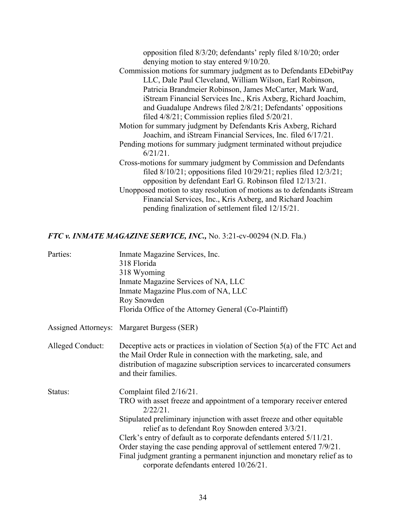opposition filed 8/3/20; defendants' reply filed 8/10/20; order denying motion to stay entered 9/10/20.

Commission motions for summary judgment as to Defendants EDebitPay LLC, Dale Paul Cleveland, William Wilson, Earl Robinson, Patricia Brandmeier Robinson, James McCarter, Mark Ward, iStream Financial Services Inc., Kris Axberg, Richard Joachim, and Guadalupe Andrews filed 2/8/21; Defendants' oppositions filed 4/8/21; Commission replies filed 5/20/21.

Motion for summary judgment by Defendants Kris Axberg, Richard Joachim, and iStream Financial Services, Inc. filed 6/17/21.

- Pending motions for summary judgment terminated without prejudice 6/21/21.
- Cross-motions for summary judgment by Commission and Defendants filed 8/10/21; oppositions filed 10/29/21; replies filed 12/3/21; opposition by defendant Earl G. Robinson filed 12/13/21.
- Unopposed motion to stay resolution of motions as to defendants iStream Financial Services, Inc., Kris Axberg, and Richard Joachim pending finalization of settlement filed 12/15/21.

#### *FTC v. INMATE MAGAZINE SERVICE, INC.,* No. 3:21-cv-00294 (N.D. Fla.)

| Parties:         | Inmate Magazine Services, Inc.<br>318 Florida<br>318 Wyoming<br>Inmate Magazine Services of NA, LLC<br>Inmate Magazine Plus.com of NA, LLC<br>Roy Snowden<br>Florida Office of the Attorney General (Co-Plaintiff)                                                                                                                                                                                                                                                                                                       |
|------------------|--------------------------------------------------------------------------------------------------------------------------------------------------------------------------------------------------------------------------------------------------------------------------------------------------------------------------------------------------------------------------------------------------------------------------------------------------------------------------------------------------------------------------|
|                  | Assigned Attorneys: Margaret Burgess (SER)                                                                                                                                                                                                                                                                                                                                                                                                                                                                               |
| Alleged Conduct: | Deceptive acts or practices in violation of Section $5(a)$ of the FTC Act and<br>the Mail Order Rule in connection with the marketing, sale, and<br>distribution of magazine subscription services to incarcerated consumers<br>and their families.                                                                                                                                                                                                                                                                      |
| Status:          | Complaint filed 2/16/21.<br>TRO with asset freeze and appointment of a temporary receiver entered<br>$2/22/21$ .<br>Stipulated preliminary injunction with asset freeze and other equitable<br>relief as to defendant Roy Snowden entered 3/3/21.<br>Clerk's entry of default as to corporate defendants entered 5/11/21.<br>Order staying the case pending approval of settlement entered 7/9/21.<br>Final judgment granting a permanent injunction and monetary relief as to<br>corporate defendants entered 10/26/21. |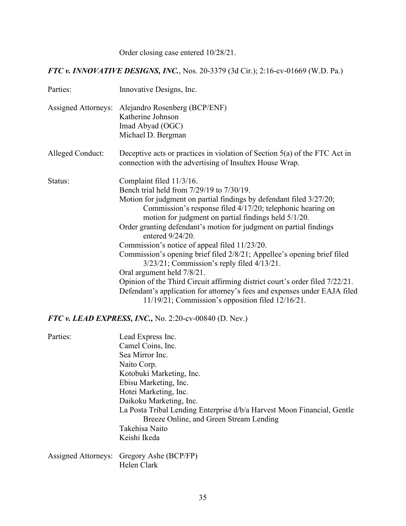Order closing case entered 10/28/21.

# *FTC v. INNOVATIVE DESIGNS, INC.*, Nos. 20-3379 (3d Cir.); 2:16-cv-01669 (W.D. Pa.)

| Parties:                   | Innovative Designs, Inc.                                                                                                                                                                                                                                                                                                                                                                                                                                                                                                                                                                                                                                                                                                                                                                           |
|----------------------------|----------------------------------------------------------------------------------------------------------------------------------------------------------------------------------------------------------------------------------------------------------------------------------------------------------------------------------------------------------------------------------------------------------------------------------------------------------------------------------------------------------------------------------------------------------------------------------------------------------------------------------------------------------------------------------------------------------------------------------------------------------------------------------------------------|
| <b>Assigned Attorneys:</b> | Alejandro Rosenberg (BCP/ENF)<br>Katherine Johnson<br>Imad Abyad (OGC)<br>Michael D. Bergman                                                                                                                                                                                                                                                                                                                                                                                                                                                                                                                                                                                                                                                                                                       |
| Alleged Conduct:           | Deceptive acts or practices in violation of Section $5(a)$ of the FTC Act in<br>connection with the advertising of Insultex House Wrap.                                                                                                                                                                                                                                                                                                                                                                                                                                                                                                                                                                                                                                                            |
| Status:                    | Complaint filed 11/3/16.<br>Bench trial held from 7/29/19 to 7/30/19.<br>Motion for judgment on partial findings by defendant filed 3/27/20;<br>Commission's response filed 4/17/20; telephonic hearing on<br>motion for judgment on partial findings held 5/1/20.<br>Order granting defendant's motion for judgment on partial findings<br>entered 9/24/20.<br>Commission's notice of appeal filed 11/23/20.<br>Commission's opening brief filed 2/8/21; Appellee's opening brief filed<br>$3/23/21$ ; Commission's reply filed $4/13/21$ .<br>Oral argument held 7/8/21.<br>Opinion of the Third Circuit affirming district court's order filed 7/22/21.<br>Defendant's application for attorney's fees and expenses under EAJA filed<br>$11/19/21$ ; Commission's opposition filed $12/16/21$ . |

*FTC v. LEAD EXPRESS, INC.,* No. 2:20-cv-00840 (D. Nev.)

| Parties: | Lead Express Inc.                                                       |
|----------|-------------------------------------------------------------------------|
|          | Camel Coins, Inc.                                                       |
|          | Sea Mirror Inc.                                                         |
|          | Naito Corp.                                                             |
|          | Kotobuki Marketing, Inc.                                                |
|          | Ebisu Marketing, Inc.                                                   |
|          | Hotei Marketing, Inc.                                                   |
|          | Daikoku Marketing, Inc.                                                 |
|          | La Posta Tribal Lending Enterprise d/b/a Harvest Moon Financial, Gentle |
|          | Breeze Online, and Green Stream Lending                                 |
|          | Takehisa Naito                                                          |
|          | Keishi Ikeda                                                            |
|          | Assigned Attorneys: Gregory Ashe (BCP/FP)                               |
|          | Helen Clark                                                             |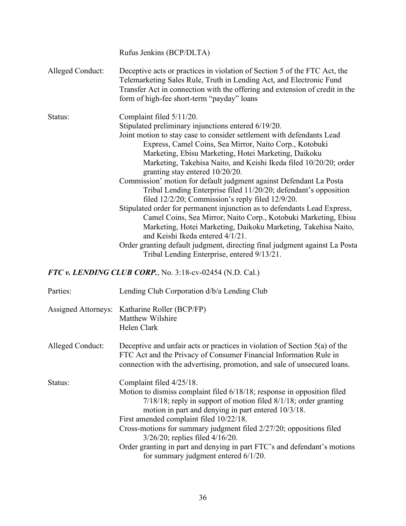|                  | Rufus Jenkins (BCP/DLTA)                                                                                                                                                                                                                                                      |
|------------------|-------------------------------------------------------------------------------------------------------------------------------------------------------------------------------------------------------------------------------------------------------------------------------|
| Alleged Conduct: | Deceptive acts or practices in violation of Section 5 of the FTC Act, the<br>Telemarketing Sales Rule, Truth in Lending Act, and Electronic Fund<br>Transfer Act in connection with the offering and extension of credit in the<br>form of high-fee short-term "payday" loans |
| Status:          | Complaint filed 5/11/20.                                                                                                                                                                                                                                                      |
|                  | Stipulated preliminary injunctions entered 6/19/20.                                                                                                                                                                                                                           |
|                  | Joint motion to stay case to consider settlement with defendants Lead                                                                                                                                                                                                         |
|                  | Express, Camel Coins, Sea Mirror, Naito Corp., Kotobuki                                                                                                                                                                                                                       |
|                  | Marketing, Ebisu Marketing, Hotei Marketing, Daikoku                                                                                                                                                                                                                          |
|                  | Marketing, Takehisa Naito, and Keishi Ikeda filed 10/20/20; order                                                                                                                                                                                                             |
|                  | granting stay entered 10/20/20.                                                                                                                                                                                                                                               |
|                  | Commission' motion for default judgment against Defendant La Posta                                                                                                                                                                                                            |
|                  | Tribal Lending Enterprise filed 11/20/20; defendant's opposition                                                                                                                                                                                                              |
|                  | filed $12/2/20$ ; Commission's reply filed $12/9/20$ .                                                                                                                                                                                                                        |
|                  | Stipulated order for permanent injunction as to defendants Lead Express,                                                                                                                                                                                                      |
|                  | Camel Coins, Sea Mirror, Naito Corp., Kotobuki Marketing, Ebisu                                                                                                                                                                                                               |
|                  | Marketing, Hotei Marketing, Daikoku Marketing, Takehisa Naito,                                                                                                                                                                                                                |
|                  | and Keishi Ikeda entered 4/1/21.                                                                                                                                                                                                                                              |
|                  | Order granting default judgment, directing final judgment against La Posta<br>Tribal Lending Enterprise, entered 9/13/21.                                                                                                                                                     |

*FTC v. LENDING CLUB CORP.*, No. 3:18-cv-02454 (N.D. Cal.)

| Parties:         | Lending Club Corporation d/b/a Lending Club                                                                                                                                                                                                                                                                                                                                                                                                                                                                            |
|------------------|------------------------------------------------------------------------------------------------------------------------------------------------------------------------------------------------------------------------------------------------------------------------------------------------------------------------------------------------------------------------------------------------------------------------------------------------------------------------------------------------------------------------|
|                  | Assigned Attorneys: Katharine Roller (BCP/FP)<br>Matthew Wilshire<br>Helen Clark                                                                                                                                                                                                                                                                                                                                                                                                                                       |
| Alleged Conduct: | Deceptive and unfair acts or practices in violation of Section $5(a)$ of the<br>FTC Act and the Privacy of Consumer Financial Information Rule in<br>connection with the advertising, promotion, and sale of unsecured loans.                                                                                                                                                                                                                                                                                          |
| Status:          | Complaint filed 4/25/18.<br>Motion to dismiss complaint filed 6/18/18; response in opposition filed<br>$7/18/18$ ; reply in support of motion filed $8/1/18$ ; order granting<br>motion in part and denying in part entered 10/3/18.<br>First amended complaint filed 10/22/18.<br>Cross-motions for summary judgment filed 2/27/20; oppositions filed<br>$3/26/20$ ; replies filed $4/16/20$ .<br>Order granting in part and denying in part FTC's and defendant's motions<br>for summary judgment entered $6/1/20$ . |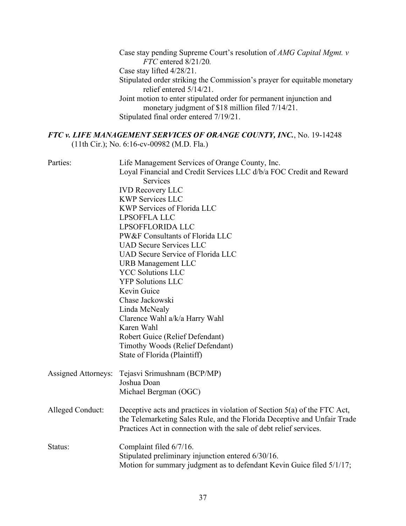Case stay pending Supreme Court's resolution of *AMG Capital Mgmt. v FTC* entered 8/21/20*.* Case stay lifted 4/28/21. Stipulated order striking the Commission's prayer for equitable monetary relief entered 5/14/21. Joint motion to enter stipulated order for permanent injunction and monetary judgment of \$18 million filed  $7/14/21$ . Stipulated final order entered 7/19/21.

### *FTC v. LIFE MANAGEMENT SERVICES OF ORANGE COUNTY, INC.*, No. 19-14248 (11th Cir.); No. 6:16-cv-00982 (M.D. Fla.)

| Parties:                   | Life Management Services of Orange County, Inc.                             |
|----------------------------|-----------------------------------------------------------------------------|
|                            | Loyal Financial and Credit Services LLC d/b/a FOC Credit and Reward         |
|                            | Services                                                                    |
|                            | <b>IVD Recovery LLC</b>                                                     |
|                            | <b>KWP Services LLC</b>                                                     |
|                            | <b>KWP Services of Florida LLC</b>                                          |
|                            | LPSOFFLA LLC                                                                |
|                            | LPSOFFLORIDA LLC                                                            |
|                            | PW&F Consultants of Florida LLC                                             |
|                            | <b>UAD Secure Services LLC</b>                                              |
|                            | <b>UAD Secure Service of Florida LLC</b>                                    |
|                            | <b>URB</b> Management LLC                                                   |
|                            | <b>YCC Solutions LLC</b>                                                    |
|                            | <b>YFP Solutions LLC</b>                                                    |
|                            | Kevin Guice                                                                 |
|                            | Chase Jackowski                                                             |
|                            | Linda McNealy                                                               |
|                            | Clarence Wahl a/k/a Harry Wahl                                              |
|                            | Karen Wahl                                                                  |
|                            | Robert Guice (Relief Defendant)                                             |
|                            | Timothy Woods (Relief Defendant)                                            |
|                            | State of Florida (Plaintiff)                                                |
| <b>Assigned Attorneys:</b> | Tejasvi Srimushnam (BCP/MP)                                                 |
|                            | Joshua Doan                                                                 |
|                            | Michael Bergman (OGC)                                                       |
|                            |                                                                             |
| Alleged Conduct:           | Deceptive acts and practices in violation of Section $5(a)$ of the FTC Act, |
|                            | the Telemarketing Sales Rule, and the Florida Deceptive and Unfair Trade    |
|                            | Practices Act in connection with the sale of debt relief services.          |
| Status:                    | Complaint filed 6/7/16.                                                     |
|                            | Stipulated preliminary injunction entered 6/30/16.                          |
|                            | Motion for summary judgment as to defendant Kevin Guice filed 5/1/17;       |
|                            |                                                                             |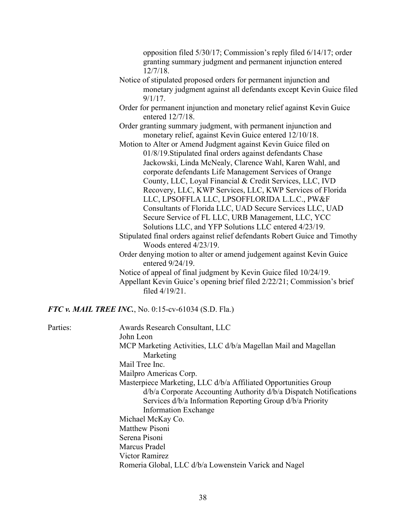opposition filed 5/30/17; Commission's reply filed 6/14/17; order granting summary judgment and permanent injunction entered 12/7/18.

- Notice of stipulated proposed orders for permanent injunction and monetary judgment against all defendants except Kevin Guice filed  $9/1/17$ .
- Order for permanent injunction and monetary relief against Kevin Guice entered 12/7/18.
- Order granting summary judgment, with permanent injunction and monetary relief, against Kevin Guice entered 12/10/18.
- Motion to Alter or Amend Judgment against Kevin Guice filed on 01/8/19.Stipulated final orders against defendants Chase Jackowski, Linda McNealy, Clarence Wahl, Karen Wahl, and corporate defendants Life Management Services of Orange County, LLC, Loyal Financial & Credit Services, LLC, IVD Recovery, LLC, KWP Services, LLC, KWP Services of Florida LLC, LPSOFFLA LLC, LPSOFFLORIDA L.L.C., PW&F Consultants of Florida LLC, UAD Secure Services LLC, UAD Secure Service of FL LLC, URB Management, LLC, YCC Solutions LLC, and YFP Solutions LLC entered 4/23/19. Stipulated final orders against relief defendants Robert Guice and Timothy Woods entered 4/23/19.
- Order denying motion to alter or amend judgement against Kevin Guice entered 9/24/19.
- Notice of appeal of final judgment by Kevin Guice filed 10/24/19. Appellant Kevin Guice's opening brief filed 2/22/21; Commission's brief filed 4/19/21.

*FTC v. MAIL TREE INC.*, No. 0:15-cv-61034 (S.D. Fla.)

Parties: Awards Research Consultant, LLC John Leon MCP Marketing Activities, LLC d/b/a Magellan Mail and Magellan Marketing Mail Tree Inc. Mailpro Americas Corp. Masterpiece Marketing, LLC d/b/a Affiliated Opportunities Group d/b/a Corporate Accounting Authority d/b/a Dispatch Notifications Services d/b/a Information Reporting Group d/b/a Priority Information Exchange Michael McKay Co. Matthew Pisoni Serena Pisoni Marcus Pradel Victor Ramirez Romeria Global, LLC d/b/a Lowenstein Varick and Nagel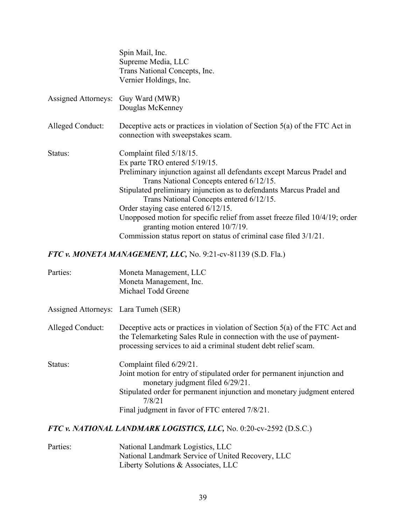|                                      | Spin Mail, Inc.<br>Supreme Media, LLC<br>Trans National Concepts, Inc.<br>Vernier Holdings, Inc.                                                                                                                                                                                                                                                                                                                                                                                                                                   |
|--------------------------------------|------------------------------------------------------------------------------------------------------------------------------------------------------------------------------------------------------------------------------------------------------------------------------------------------------------------------------------------------------------------------------------------------------------------------------------------------------------------------------------------------------------------------------------|
| <b>Assigned Attorneys:</b>           | Guy Ward (MWR)<br>Douglas McKenney                                                                                                                                                                                                                                                                                                                                                                                                                                                                                                 |
| Alleged Conduct:                     | Deceptive acts or practices in violation of Section $5(a)$ of the FTC Act in<br>connection with sweepstakes scam.                                                                                                                                                                                                                                                                                                                                                                                                                  |
| Status:                              | Complaint filed 5/18/15.<br>Ex parte TRO entered 5/19/15.<br>Preliminary injunction against all defendants except Marcus Pradel and<br>Trans National Concepts entered 6/12/15.<br>Stipulated preliminary injunction as to defendants Marcus Pradel and<br>Trans National Concepts entered 6/12/15.<br>Order staying case entered 6/12/15.<br>Unopposed motion for specific relief from asset freeze filed 10/4/19; order<br>granting motion entered 10/7/19.<br>Commission status report on status of criminal case filed 3/1/21. |
|                                      | FTC v. MONETA MANAGEMENT, LLC, No. 9:21-cv-81139 (S.D. Fla.)                                                                                                                                                                                                                                                                                                                                                                                                                                                                       |
| Parties:                             | Moneta Management, LLC<br>Moneta Management, Inc.<br>Michael Todd Greene                                                                                                                                                                                                                                                                                                                                                                                                                                                           |
| Assigned Attorneys: Lara Tumeh (SER) |                                                                                                                                                                                                                                                                                                                                                                                                                                                                                                                                    |
| <b>Alleged Conduct:</b>              | Deceptive acts or practices in violation of Section 5(a) of the FTC Act and<br>the Telemarketing Sales Rule in connection with the use of payment-<br>processing services to aid a criminal student debt relief scam.                                                                                                                                                                                                                                                                                                              |

Status: Complaint filed 6/29/21. Joint motion for entry of stipulated order for permanent injunction and monetary judgment filed 6/29/21. Stipulated order for permanent injunction and monetary judgment entered 7/8/21 Final judgment in favor of FTC entered 7/8/21.

### *FTC v. NATIONAL LANDMARK LOGISTICS, LLC,* No. 0:20-cv-2592 (D.S.C.)

| Parties: | National Landmark Logistics, LLC                  |
|----------|---------------------------------------------------|
|          | National Landmark Service of United Recovery, LLC |
|          | Liberty Solutions & Associates, LLC               |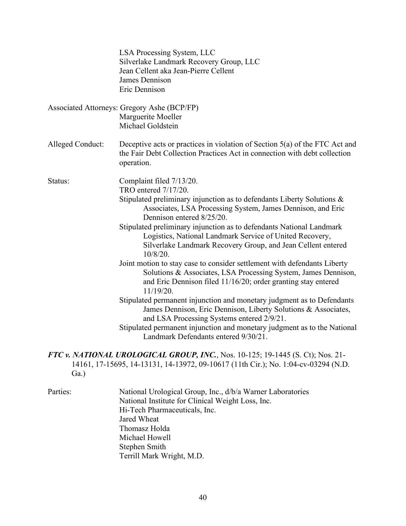|                  | LSA Processing System, LLC                                                                                                                                                                                   |
|------------------|--------------------------------------------------------------------------------------------------------------------------------------------------------------------------------------------------------------|
|                  | Silverlake Landmark Recovery Group, LLC                                                                                                                                                                      |
|                  | Jean Cellent aka Jean-Pierre Cellent                                                                                                                                                                         |
|                  | James Dennison                                                                                                                                                                                               |
|                  | Eric Dennison                                                                                                                                                                                                |
|                  |                                                                                                                                                                                                              |
|                  | Associated Attorneys: Gregory Ashe (BCP/FP)                                                                                                                                                                  |
|                  | Marguerite Moeller                                                                                                                                                                                           |
|                  | Michael Goldstein                                                                                                                                                                                            |
|                  |                                                                                                                                                                                                              |
| Alleged Conduct: | Deceptive acts or practices in violation of Section 5(a) of the FTC Act and<br>the Fair Debt Collection Practices Act in connection with debt collection<br>operation.                                       |
|                  |                                                                                                                                                                                                              |
| Status:          | Complaint filed 7/13/20.                                                                                                                                                                                     |
|                  | TRO entered 7/17/20.                                                                                                                                                                                         |
|                  | Stipulated preliminary injunction as to defendants Liberty Solutions &<br>Associates, LSA Processing System, James Dennison, and Eric<br>Dennison entered 8/25/20.                                           |
|                  | Stipulated preliminary injunction as to defendants National Landmark<br>Logistics, National Landmark Service of United Recovery,<br>Silverlake Landmark Recovery Group, and Jean Cellent entered<br>10/8/20. |
|                  | Joint motion to stay case to consider settlement with defendants Liberty                                                                                                                                     |
|                  | Solutions & Associates, LSA Processing System, James Dennison,<br>and Eric Dennison filed 11/16/20; order granting stay entered<br>11/19/20.                                                                 |
|                  | Stipulated permanent injunction and monetary judgment as to Defendants<br>James Dennison, Eric Dennison, Liberty Solutions & Associates,<br>and LSA Processing Systems entered 2/9/21.                       |
|                  | Stipulated permanent injunction and monetary judgment as to the National<br>Landmark Defendants entered 9/30/21.                                                                                             |
| $Ga.$ )          | FTC v. NATIONAL UROLOGICAL GROUP, INC., Nos. 10-125; 19-1445 (S. Ct); Nos. 21-<br>14161, 17-15695, 14-13131, 14-13972, 09-10617 (11th Cir.); No. 1:04-cv-03294 (N.D.                                         |

Parties: National Urological Group, Inc., d/b/a Warner Laboratories National Institute for Clinical Weight Loss, Inc. Hi-Tech Pharmaceuticals, Inc. Jared Wheat Thomasz Holda Michael Howell Stephen Smith Terrill Mark Wright, M.D.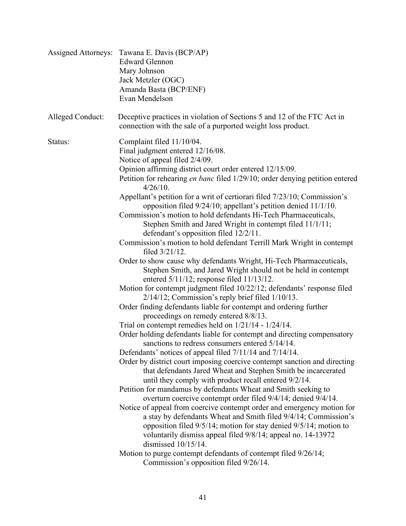| <b>Assigned Attorneys:</b> | Tawana E. Davis (BCP/AP)<br><b>Edward Glennon</b><br>Mary Johnson<br>Jack Metzler (OGC)<br>Amanda Basta (BCP/ENF)<br>Evan Mendelson                                                                                                                                                                                                     |
|----------------------------|-----------------------------------------------------------------------------------------------------------------------------------------------------------------------------------------------------------------------------------------------------------------------------------------------------------------------------------------|
| Alleged Conduct:           | Deceptive practices in violation of Sections 5 and 12 of the FTC Act in<br>connection with the sale of a purported weight loss product.                                                                                                                                                                                                 |
| Status:                    | Complaint filed 11/10/04.<br>Final judgment entered 12/16/08.<br>Notice of appeal filed 2/4/09.<br>Opinion affirming district court order entered 12/15/09.<br>Petition for rehearing en banc filed 1/29/10; order denying petition entered<br>$4/26/10$ .<br>Appellant's petition for a writ of certiorari filed 7/23/10; Commission's |
|                            | opposition filed 9/24/10; appellant's petition denied 11/1/10.<br>Commission's motion to hold defendants Hi-Tech Pharmaceuticals,<br>Stephen Smith and Jared Wright in contempt filed 11/1/11;<br>defendant's opposition filed 12/2/11.<br>Commission's motion to hold defendant Terrill Mark Wright in contempt<br>filed $3/21/12$ .   |
|                            | Order to show cause why defendants Wright, Hi-Tech Pharmaceuticals,<br>Stephen Smith, and Jared Wright should not be held in contempt<br>entered $5/11/12$ ; response filed $11/13/12$ .<br>Motion for contempt judgment filed 10/22/12; defendants' response filed                                                                     |
|                            | $2/14/12$ ; Commission's reply brief filed $1/10/13$ .<br>Order finding defendants liable for contempt and ordering further<br>proceedings on remedy entered 8/8/13.<br>Trial on contempt remedies held on $1/21/14 - 1/24/14$ .                                                                                                        |
|                            | Order holding defendants liable for contempt and directing compensatory<br>sanctions to redress consumers entered 5/14/14.                                                                                                                                                                                                              |
|                            | Defendants' notices of appeal filed 7/11/14 and 7/14/14.<br>Order by district court imposing coercive contempt sanction and directing<br>that defendants Jared Wheat and Stephen Smith be incarcerated<br>until they comply with product recall entered 9/2/14.                                                                         |
|                            | Petition for mandamus by defendants Wheat and Smith seeking to<br>overturn coercive contempt order filed 9/4/14; denied 9/4/14.                                                                                                                                                                                                         |
|                            | Notice of appeal from coercive contempt order and emergency motion for<br>a stay by defendants Wheat and Smith filed 9/4/14; Commission's<br>opposition filed 9/5/14; motion for stay denied 9/5/14; motion to<br>voluntarily dismiss appeal filed 9/8/14; appeal no. 14-13972<br>dismissed 10/15/14.                                   |
|                            | Motion to purge contempt defendants of contempt filed 9/26/14;<br>Commission's opposition filed 9/26/14.                                                                                                                                                                                                                                |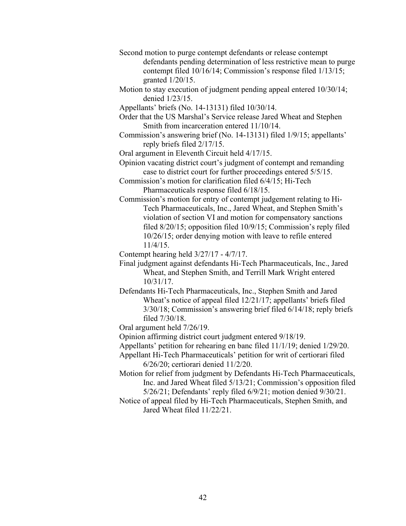- Second motion to purge contempt defendants or release contempt defendants pending determination of less restrictive mean to purge contempt filed 10/16/14; Commission's response filed 1/13/15; granted 1/20/15.
- Motion to stay execution of judgment pending appeal entered 10/30/14; denied 1/23/15.
- Appellants' briefs (No. 14-13131) filed 10/30/14.
- Order that the US Marshal's Service release Jared Wheat and Stephen Smith from incarceration entered 11/10/14.
- Commission's answering brief (No. 14-13131) filed 1/9/15; appellants' reply briefs filed 2/17/15.
- Oral argument in Eleventh Circuit held 4/17/15.
- Opinion vacating district court's judgment of contempt and remanding case to district court for further proceedings entered 5/5/15.
- Commission's motion for clarification filed 6/4/15; Hi-Tech Pharmaceuticals response filed 6/18/15.
- Commission's motion for entry of contempt judgement relating to Hi-Tech Pharmaceuticals, Inc., Jared Wheat, and Stephen Smith's violation of section VI and motion for compensatory sanctions filed 8/20/15; opposition filed 10/9/15; Commission's reply filed 10/26/15; order denying motion with leave to refile entered 11/4/15.

Contempt hearing held 3/27/17 - 4/7/17.

- Final judgment against defendants Hi-Tech Pharmaceuticals, Inc., Jared Wheat, and Stephen Smith, and Terrill Mark Wright entered 10/31/17.
- Defendants Hi-Tech Pharmaceuticals, Inc., Stephen Smith and Jared Wheat's notice of appeal filed 12/21/17; appellants' briefs filed 3/30/18; Commission's answering brief filed 6/14/18; reply briefs filed 7/30/18.
- Oral argument held 7/26/19.
- Opinion affirming district court judgment entered 9/18/19.
- Appellants' petition for rehearing en banc filed 11/1/19; denied 1/29/20.
- Appellant Hi-Tech Pharmaceuticals' petition for writ of certiorari filed 6/26/20; certiorari denied 11/2/20.
- Motion for relief from judgment by Defendants Hi-Tech Pharmaceuticals, Inc. and Jared Wheat filed 5/13/21; Commission's opposition filed 5/26/21; Defendants' reply filed 6/9/21; motion denied 9/30/21.
- Notice of appeal filed by Hi-Tech Pharmaceuticals, Stephen Smith, and Jared Wheat filed 11/22/21.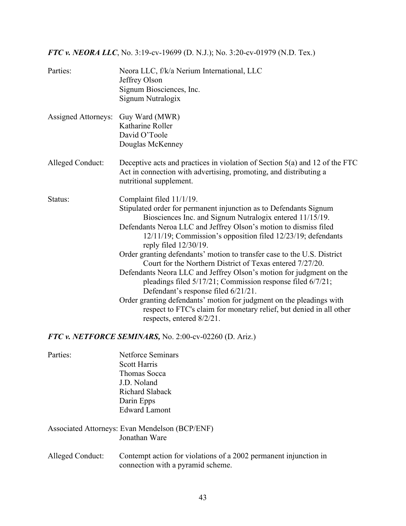# *FTC v. NEORA LLC*, No. 3:19-cv-19699 (D. N.J.); No. 3:20-cv-01979 (N.D. Tex.)

| Parties:                   | Neora LLC, f/k/a Nerium International, LLC<br>Jeffrey Olson<br>Signum Biosciences, Inc.<br>Signum Nutralogix                                                                                                                                                                                                                                                                                                                                                                                                                                                                                                                                                                                                                                                                                                           |
|----------------------------|------------------------------------------------------------------------------------------------------------------------------------------------------------------------------------------------------------------------------------------------------------------------------------------------------------------------------------------------------------------------------------------------------------------------------------------------------------------------------------------------------------------------------------------------------------------------------------------------------------------------------------------------------------------------------------------------------------------------------------------------------------------------------------------------------------------------|
| <b>Assigned Attorneys:</b> | Guy Ward (MWR)<br>Katharine Roller<br>David O'Toole<br>Douglas McKenney                                                                                                                                                                                                                                                                                                                                                                                                                                                                                                                                                                                                                                                                                                                                                |
| Alleged Conduct:           | Deceptive acts and practices in violation of Section $5(a)$ and 12 of the FTC<br>Act in connection with advertising, promoting, and distributing a<br>nutritional supplement.                                                                                                                                                                                                                                                                                                                                                                                                                                                                                                                                                                                                                                          |
| Status:                    | Complaint filed 11/1/19.<br>Stipulated order for permanent injunction as to Defendants Signum<br>Biosciences Inc. and Signum Nutralogix entered 11/15/19.<br>Defendants Neroa LLC and Jeffrey Olson's motion to dismiss filed<br>12/11/19; Commission's opposition filed 12/23/19; defendants<br>reply filed 12/30/19.<br>Order granting defendants' motion to transfer case to the U.S. District<br>Court for the Northern District of Texas entered 7/27/20.<br>Defendants Neora LLC and Jeffrey Olson's motion for judgment on the<br>pleadings filed 5/17/21; Commission response filed 6/7/21;<br>Defendant's response filed 6/21/21.<br>Order granting defendants' motion for judgment on the pleadings with<br>respect to FTC's claim for monetary relief, but denied in all other<br>respects, entered 8/2/21. |
|                            | FTC v. NETFORCE SEMINARS, No. 2:00-cv-02260 (D. Ariz.)                                                                                                                                                                                                                                                                                                                                                                                                                                                                                                                                                                                                                                                                                                                                                                 |
| Parties:                   | <b>Netforce Seminars</b><br><b>Scott Harris</b><br>Thomas Socca<br>J.D. Noland<br>Richard Slaback<br>Darin Epps<br><b>Edward Lamont</b>                                                                                                                                                                                                                                                                                                                                                                                                                                                                                                                                                                                                                                                                                |
|                            | Associated Attorneys: Evan Mendelson (BCP/ENF)<br>Jonathan Ware                                                                                                                                                                                                                                                                                                                                                                                                                                                                                                                                                                                                                                                                                                                                                        |
| Alleged Conduct:           | Contempt action for violations of a 2002 permanent injunction in                                                                                                                                                                                                                                                                                                                                                                                                                                                                                                                                                                                                                                                                                                                                                       |

connection with a pyramid scheme.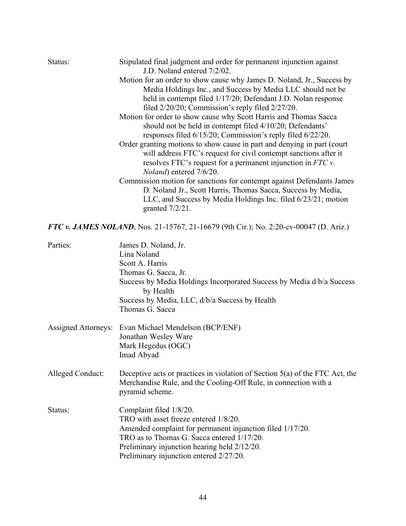| Motion for an order to show cause why James D. Noland, Jr., Success by<br>Media Holdings Inc., and Success by Media LLC should not be<br>held in contempt filed 1/17/20; Defendant J.D. Nolan response<br>filed 2/20/20; Commission's reply filed 2/27/20.<br>Motion for order to show cause why Scott Harris and Thomas Sacca<br>should not be held in contempt filed 4/10/20; Defendants'<br>responses filed 6/15/20; Commission's reply filed 6/22/20.<br>Order granting motions to show cause in part and denying in part (court<br>will address FTC's request for civil contempt sanctions after it<br>resolves FTC's request for a permanent injunction in $FTC$ v.<br><i>Noland</i> ) entered 7/6/20.<br>Commission motion for sanctions for contempt against Defendants James<br>D. Noland Jr., Scott Harris, Thomas Sacca, Success by Media,<br>LLC, and Success by Media Holdings Inc. filed 6/23/21; motion<br>granted $7/2/21$ .<br><b>FTC v. JAMES NOLAND</b> , Nos. 21-15767, 21-16679 (9th Cir.); No. 2:20-cv-00047 (D. Ariz.)<br>Parties:<br>James D. Noland, Jr.<br>Lina Noland<br>Scott A. Harris<br>Thomas G. Sacca, Jr.<br>Success by Media Holdings Incorporated Success by Media d/b/a Success<br>by Health<br>Success by Media, LLC, d/b/a Success by Health<br>Thomas G. Sacca<br><b>Assigned Attorneys:</b><br>Evan Michael Mendelson (BCP/ENF)<br>Jonathan Wesley Ware<br>Mark Hegedus (OGC)<br>Imad Abyad<br>Deceptive acts or practices in violation of Section 5(a) of the FTC Act, the<br>Merchandise Rule, and the Cooling-Off Rule, in connection with a<br>pyramid scheme.<br>Complaint filed 1/8/20.<br>Status:<br>TRO with asset freeze entered 1/8/20.<br>Amended complaint for permanent injunction filed 1/17/20.<br>TRO as to Thomas G. Sacca entered 1/17/20.<br>Preliminary injunction hearing held 2/12/20.<br>Preliminary injunction entered 2/27/20. | Status:          | Stipulated final judgment and order for permanent injunction against<br>J.D. Noland entered 7/2/02. |
|--------------------------------------------------------------------------------------------------------------------------------------------------------------------------------------------------------------------------------------------------------------------------------------------------------------------------------------------------------------------------------------------------------------------------------------------------------------------------------------------------------------------------------------------------------------------------------------------------------------------------------------------------------------------------------------------------------------------------------------------------------------------------------------------------------------------------------------------------------------------------------------------------------------------------------------------------------------------------------------------------------------------------------------------------------------------------------------------------------------------------------------------------------------------------------------------------------------------------------------------------------------------------------------------------------------------------------------------------------------------------------------------------------------------------------------------------------------------------------------------------------------------------------------------------------------------------------------------------------------------------------------------------------------------------------------------------------------------------------------------------------------------------------------------------------------------------------------------------------------------------------------------------|------------------|-----------------------------------------------------------------------------------------------------|
|                                                                                                                                                                                                                                                                                                                                                                                                                                                                                                                                                                                                                                                                                                                                                                                                                                                                                                                                                                                                                                                                                                                                                                                                                                                                                                                                                                                                                                                                                                                                                                                                                                                                                                                                                                                                                                                                                                  |                  |                                                                                                     |
|                                                                                                                                                                                                                                                                                                                                                                                                                                                                                                                                                                                                                                                                                                                                                                                                                                                                                                                                                                                                                                                                                                                                                                                                                                                                                                                                                                                                                                                                                                                                                                                                                                                                                                                                                                                                                                                                                                  |                  |                                                                                                     |
|                                                                                                                                                                                                                                                                                                                                                                                                                                                                                                                                                                                                                                                                                                                                                                                                                                                                                                                                                                                                                                                                                                                                                                                                                                                                                                                                                                                                                                                                                                                                                                                                                                                                                                                                                                                                                                                                                                  |                  |                                                                                                     |
|                                                                                                                                                                                                                                                                                                                                                                                                                                                                                                                                                                                                                                                                                                                                                                                                                                                                                                                                                                                                                                                                                                                                                                                                                                                                                                                                                                                                                                                                                                                                                                                                                                                                                                                                                                                                                                                                                                  |                  |                                                                                                     |
|                                                                                                                                                                                                                                                                                                                                                                                                                                                                                                                                                                                                                                                                                                                                                                                                                                                                                                                                                                                                                                                                                                                                                                                                                                                                                                                                                                                                                                                                                                                                                                                                                                                                                                                                                                                                                                                                                                  |                  |                                                                                                     |
|                                                                                                                                                                                                                                                                                                                                                                                                                                                                                                                                                                                                                                                                                                                                                                                                                                                                                                                                                                                                                                                                                                                                                                                                                                                                                                                                                                                                                                                                                                                                                                                                                                                                                                                                                                                                                                                                                                  |                  |                                                                                                     |
|                                                                                                                                                                                                                                                                                                                                                                                                                                                                                                                                                                                                                                                                                                                                                                                                                                                                                                                                                                                                                                                                                                                                                                                                                                                                                                                                                                                                                                                                                                                                                                                                                                                                                                                                                                                                                                                                                                  |                  |                                                                                                     |
|                                                                                                                                                                                                                                                                                                                                                                                                                                                                                                                                                                                                                                                                                                                                                                                                                                                                                                                                                                                                                                                                                                                                                                                                                                                                                                                                                                                                                                                                                                                                                                                                                                                                                                                                                                                                                                                                                                  |                  |                                                                                                     |
|                                                                                                                                                                                                                                                                                                                                                                                                                                                                                                                                                                                                                                                                                                                                                                                                                                                                                                                                                                                                                                                                                                                                                                                                                                                                                                                                                                                                                                                                                                                                                                                                                                                                                                                                                                                                                                                                                                  |                  |                                                                                                     |
|                                                                                                                                                                                                                                                                                                                                                                                                                                                                                                                                                                                                                                                                                                                                                                                                                                                                                                                                                                                                                                                                                                                                                                                                                                                                                                                                                                                                                                                                                                                                                                                                                                                                                                                                                                                                                                                                                                  |                  |                                                                                                     |
|                                                                                                                                                                                                                                                                                                                                                                                                                                                                                                                                                                                                                                                                                                                                                                                                                                                                                                                                                                                                                                                                                                                                                                                                                                                                                                                                                                                                                                                                                                                                                                                                                                                                                                                                                                                                                                                                                                  |                  |                                                                                                     |
|                                                                                                                                                                                                                                                                                                                                                                                                                                                                                                                                                                                                                                                                                                                                                                                                                                                                                                                                                                                                                                                                                                                                                                                                                                                                                                                                                                                                                                                                                                                                                                                                                                                                                                                                                                                                                                                                                                  |                  |                                                                                                     |
|                                                                                                                                                                                                                                                                                                                                                                                                                                                                                                                                                                                                                                                                                                                                                                                                                                                                                                                                                                                                                                                                                                                                                                                                                                                                                                                                                                                                                                                                                                                                                                                                                                                                                                                                                                                                                                                                                                  |                  |                                                                                                     |
|                                                                                                                                                                                                                                                                                                                                                                                                                                                                                                                                                                                                                                                                                                                                                                                                                                                                                                                                                                                                                                                                                                                                                                                                                                                                                                                                                                                                                                                                                                                                                                                                                                                                                                                                                                                                                                                                                                  |                  |                                                                                                     |
|                                                                                                                                                                                                                                                                                                                                                                                                                                                                                                                                                                                                                                                                                                                                                                                                                                                                                                                                                                                                                                                                                                                                                                                                                                                                                                                                                                                                                                                                                                                                                                                                                                                                                                                                                                                                                                                                                                  |                  |                                                                                                     |
|                                                                                                                                                                                                                                                                                                                                                                                                                                                                                                                                                                                                                                                                                                                                                                                                                                                                                                                                                                                                                                                                                                                                                                                                                                                                                                                                                                                                                                                                                                                                                                                                                                                                                                                                                                                                                                                                                                  |                  |                                                                                                     |
|                                                                                                                                                                                                                                                                                                                                                                                                                                                                                                                                                                                                                                                                                                                                                                                                                                                                                                                                                                                                                                                                                                                                                                                                                                                                                                                                                                                                                                                                                                                                                                                                                                                                                                                                                                                                                                                                                                  |                  |                                                                                                     |
|                                                                                                                                                                                                                                                                                                                                                                                                                                                                                                                                                                                                                                                                                                                                                                                                                                                                                                                                                                                                                                                                                                                                                                                                                                                                                                                                                                                                                                                                                                                                                                                                                                                                                                                                                                                                                                                                                                  |                  |                                                                                                     |
|                                                                                                                                                                                                                                                                                                                                                                                                                                                                                                                                                                                                                                                                                                                                                                                                                                                                                                                                                                                                                                                                                                                                                                                                                                                                                                                                                                                                                                                                                                                                                                                                                                                                                                                                                                                                                                                                                                  |                  |                                                                                                     |
|                                                                                                                                                                                                                                                                                                                                                                                                                                                                                                                                                                                                                                                                                                                                                                                                                                                                                                                                                                                                                                                                                                                                                                                                                                                                                                                                                                                                                                                                                                                                                                                                                                                                                                                                                                                                                                                                                                  |                  |                                                                                                     |
|                                                                                                                                                                                                                                                                                                                                                                                                                                                                                                                                                                                                                                                                                                                                                                                                                                                                                                                                                                                                                                                                                                                                                                                                                                                                                                                                                                                                                                                                                                                                                                                                                                                                                                                                                                                                                                                                                                  |                  |                                                                                                     |
|                                                                                                                                                                                                                                                                                                                                                                                                                                                                                                                                                                                                                                                                                                                                                                                                                                                                                                                                                                                                                                                                                                                                                                                                                                                                                                                                                                                                                                                                                                                                                                                                                                                                                                                                                                                                                                                                                                  |                  |                                                                                                     |
|                                                                                                                                                                                                                                                                                                                                                                                                                                                                                                                                                                                                                                                                                                                                                                                                                                                                                                                                                                                                                                                                                                                                                                                                                                                                                                                                                                                                                                                                                                                                                                                                                                                                                                                                                                                                                                                                                                  |                  |                                                                                                     |
|                                                                                                                                                                                                                                                                                                                                                                                                                                                                                                                                                                                                                                                                                                                                                                                                                                                                                                                                                                                                                                                                                                                                                                                                                                                                                                                                                                                                                                                                                                                                                                                                                                                                                                                                                                                                                                                                                                  |                  |                                                                                                     |
|                                                                                                                                                                                                                                                                                                                                                                                                                                                                                                                                                                                                                                                                                                                                                                                                                                                                                                                                                                                                                                                                                                                                                                                                                                                                                                                                                                                                                                                                                                                                                                                                                                                                                                                                                                                                                                                                                                  |                  |                                                                                                     |
|                                                                                                                                                                                                                                                                                                                                                                                                                                                                                                                                                                                                                                                                                                                                                                                                                                                                                                                                                                                                                                                                                                                                                                                                                                                                                                                                                                                                                                                                                                                                                                                                                                                                                                                                                                                                                                                                                                  |                  |                                                                                                     |
|                                                                                                                                                                                                                                                                                                                                                                                                                                                                                                                                                                                                                                                                                                                                                                                                                                                                                                                                                                                                                                                                                                                                                                                                                                                                                                                                                                                                                                                                                                                                                                                                                                                                                                                                                                                                                                                                                                  |                  |                                                                                                     |
|                                                                                                                                                                                                                                                                                                                                                                                                                                                                                                                                                                                                                                                                                                                                                                                                                                                                                                                                                                                                                                                                                                                                                                                                                                                                                                                                                                                                                                                                                                                                                                                                                                                                                                                                                                                                                                                                                                  |                  |                                                                                                     |
|                                                                                                                                                                                                                                                                                                                                                                                                                                                                                                                                                                                                                                                                                                                                                                                                                                                                                                                                                                                                                                                                                                                                                                                                                                                                                                                                                                                                                                                                                                                                                                                                                                                                                                                                                                                                                                                                                                  |                  |                                                                                                     |
|                                                                                                                                                                                                                                                                                                                                                                                                                                                                                                                                                                                                                                                                                                                                                                                                                                                                                                                                                                                                                                                                                                                                                                                                                                                                                                                                                                                                                                                                                                                                                                                                                                                                                                                                                                                                                                                                                                  |                  |                                                                                                     |
|                                                                                                                                                                                                                                                                                                                                                                                                                                                                                                                                                                                                                                                                                                                                                                                                                                                                                                                                                                                                                                                                                                                                                                                                                                                                                                                                                                                                                                                                                                                                                                                                                                                                                                                                                                                                                                                                                                  | Alleged Conduct: |                                                                                                     |
|                                                                                                                                                                                                                                                                                                                                                                                                                                                                                                                                                                                                                                                                                                                                                                                                                                                                                                                                                                                                                                                                                                                                                                                                                                                                                                                                                                                                                                                                                                                                                                                                                                                                                                                                                                                                                                                                                                  |                  |                                                                                                     |
|                                                                                                                                                                                                                                                                                                                                                                                                                                                                                                                                                                                                                                                                                                                                                                                                                                                                                                                                                                                                                                                                                                                                                                                                                                                                                                                                                                                                                                                                                                                                                                                                                                                                                                                                                                                                                                                                                                  |                  |                                                                                                     |
|                                                                                                                                                                                                                                                                                                                                                                                                                                                                                                                                                                                                                                                                                                                                                                                                                                                                                                                                                                                                                                                                                                                                                                                                                                                                                                                                                                                                                                                                                                                                                                                                                                                                                                                                                                                                                                                                                                  |                  |                                                                                                     |
|                                                                                                                                                                                                                                                                                                                                                                                                                                                                                                                                                                                                                                                                                                                                                                                                                                                                                                                                                                                                                                                                                                                                                                                                                                                                                                                                                                                                                                                                                                                                                                                                                                                                                                                                                                                                                                                                                                  |                  |                                                                                                     |
|                                                                                                                                                                                                                                                                                                                                                                                                                                                                                                                                                                                                                                                                                                                                                                                                                                                                                                                                                                                                                                                                                                                                                                                                                                                                                                                                                                                                                                                                                                                                                                                                                                                                                                                                                                                                                                                                                                  |                  |                                                                                                     |
|                                                                                                                                                                                                                                                                                                                                                                                                                                                                                                                                                                                                                                                                                                                                                                                                                                                                                                                                                                                                                                                                                                                                                                                                                                                                                                                                                                                                                                                                                                                                                                                                                                                                                                                                                                                                                                                                                                  |                  |                                                                                                     |
|                                                                                                                                                                                                                                                                                                                                                                                                                                                                                                                                                                                                                                                                                                                                                                                                                                                                                                                                                                                                                                                                                                                                                                                                                                                                                                                                                                                                                                                                                                                                                                                                                                                                                                                                                                                                                                                                                                  |                  |                                                                                                     |
|                                                                                                                                                                                                                                                                                                                                                                                                                                                                                                                                                                                                                                                                                                                                                                                                                                                                                                                                                                                                                                                                                                                                                                                                                                                                                                                                                                                                                                                                                                                                                                                                                                                                                                                                                                                                                                                                                                  |                  |                                                                                                     |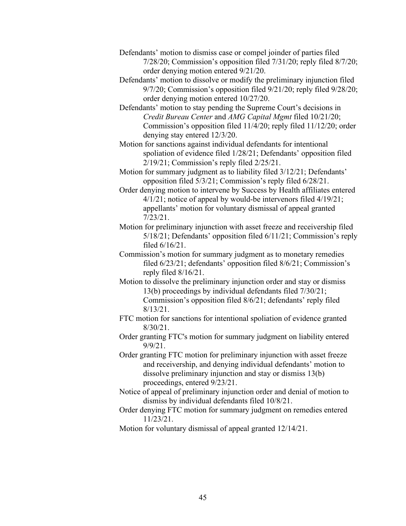- Defendants' motion to dismiss case or compel joinder of parties filed 7/28/20; Commission's opposition filed 7/31/20; reply filed 8/7/20; order denying motion entered 9/21/20.
- Defendants' motion to dissolve or modify the preliminary injunction filed 9/7/20; Commission's opposition filed 9/21/20; reply filed 9/28/20; order denying motion entered 10/27/20.
- Defendants' motion to stay pending the Supreme Court's decisions in *Credit Bureau Center* and *AMG Capital Mgmt* filed 10/21/20; Commission's opposition filed 11/4/20; reply filed 11/12/20; order denying stay entered 12/3/20.
- Motion for sanctions against individual defendants for intentional spoliation of evidence filed 1/28/21; Defendants' opposition filed 2/19/21; Commission's reply filed 2/25/21.
- Motion for summary judgment as to liability filed 3/12/21; Defendants' opposition filed 5/3/21; Commission's reply filed 6/28/21.
- Order denying motion to intervene by Success by Health affiliates entered 4/1/21; notice of appeal by would-be intervenors filed 4/19/21; appellants' motion for voluntary dismissal of appeal granted 7/23/21.
- Motion for preliminary injunction with asset freeze and receivership filed 5/18/21; Defendants' opposition filed 6/11/21; Commission's reply filed 6/16/21.
- Commission's motion for summary judgment as to monetary remedies filed 6/23/21; defendants' opposition filed 8/6/21; Commission's reply filed 8/16/21.
- Motion to dissolve the preliminary injunction order and stay or dismiss 13(b) proceedings by individual defendants filed 7/30/21; Commission's opposition filed 8/6/21; defendants' reply filed 8/13/21.
- FTC motion for sanctions for intentional spoliation of evidence granted 8/30/21.
- Order granting FTC's motion for summary judgment on liability entered 9/9/21.
- Order granting FTC motion for preliminary injunction with asset freeze and receivership, and denying individual defendants' motion to dissolve preliminary injunction and stay or dismiss 13(b) proceedings, entered 9/23/21.
- Notice of appeal of preliminary injunction order and denial of motion to dismiss by individual defendants filed 10/8/21.
- Order denying FTC motion for summary judgment on remedies entered 11/23/21.
- Motion for voluntary dismissal of appeal granted 12/14/21.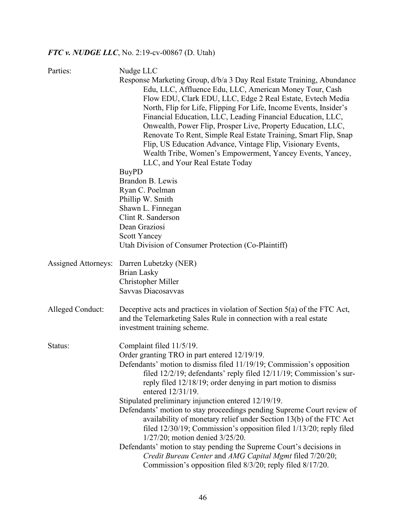# *FTC v. NUDGE LLC*, No. 2:19-cv-00867 (D. Utah)

| Parties:                   | Nudge LLC                                                                                             |
|----------------------------|-------------------------------------------------------------------------------------------------------|
|                            | Response Marketing Group, d/b/a 3 Day Real Estate Training, Abundance                                 |
|                            | Edu, LLC, Affluence Edu, LLC, American Money Tour, Cash                                               |
|                            | Flow EDU, Clark EDU, LLC, Edge 2 Real Estate, Evtech Media                                            |
|                            | North, Flip for Life, Flipping For Life, Income Events, Insider's                                     |
|                            | Financial Education, LLC, Leading Financial Education, LLC,                                           |
|                            | Onwealth, Power Flip, Prosper Live, Property Education, LLC,                                          |
|                            | Renovate To Rent, Simple Real Estate Training, Smart Flip, Snap                                       |
|                            | Flip, US Education Advance, Vintage Flip, Visionary Events,                                           |
|                            | Wealth Tribe, Women's Empowerment, Yancey Events, Yancey,                                             |
|                            | LLC, and Your Real Estate Today                                                                       |
|                            | <b>BuyPD</b>                                                                                          |
|                            | Brandon B. Lewis                                                                                      |
|                            | Ryan C. Poelman                                                                                       |
|                            | Phillip W. Smith                                                                                      |
|                            | Shawn L. Finnegan                                                                                     |
|                            | Clint R. Sanderson                                                                                    |
|                            | Dean Graziosi                                                                                         |
|                            | <b>Scott Yancey</b>                                                                                   |
|                            | Utah Division of Consumer Protection (Co-Plaintiff)                                                   |
| <b>Assigned Attorneys:</b> | Darren Lubetzky (NER)                                                                                 |
|                            | <b>Brian Lasky</b>                                                                                    |
|                            | Christopher Miller                                                                                    |
|                            | Savvas Diacosavvas                                                                                    |
| Alleged Conduct:           | Deceptive acts and practices in violation of Section $5(a)$ of the FTC Act,                           |
|                            | and the Telemarketing Sales Rule in connection with a real estate                                     |
|                            | investment training scheme.                                                                           |
| Status:                    | Complaint filed 11/5/19.                                                                              |
|                            | Order granting TRO in part entered 12/19/19.                                                          |
|                            | Defendants' motion to dismiss filed 11/19/19; Commission's opposition                                 |
|                            | filed 12/2/19; defendants' reply filed 12/11/19; Commission's sur-                                    |
|                            | reply filed 12/18/19; order denying in part motion to dismiss                                         |
|                            | entered 12/31/19.                                                                                     |
|                            | Stipulated preliminary injunction entered 12/19/19.                                                   |
|                            | Defendants' motion to stay proceedings pending Supreme Court review of                                |
|                            | availability of monetary relief under Section 13(b) of the FTC Act                                    |
|                            | filed 12/30/19; Commission's opposition filed 1/13/20; reply filed<br>1/27/20; motion denied 3/25/20. |
|                            | Defendants' motion to stay pending the Supreme Court's decisions in                                   |
|                            | Credit Bureau Center and AMG Capital Mgmt filed 7/20/20;                                              |
|                            | Commission's opposition filed 8/3/20; reply filed 8/17/20.                                            |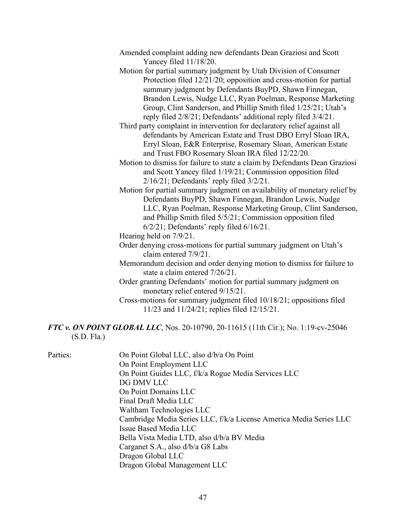- Amended complaint adding new defendants Dean Graziosi and Scott Yancey filed 11/18/20.
- Motion for partial summary judgment by Utah Division of Consumer Protection filed 12/21/20; opposition and cross-motion for partial summary judgment by Defendants BuyPD, Shawn Finnegan, Brandon Lewis, Nudge LLC, Ryan Poelman, Response Marketing Group, Clint Sanderson, and Phillip Smith filed 1/25/21; Utah's reply filed 2/8/21; Defendants' additional reply filed 3/4/21.
- Third party complaint in intervention for declaratory relief against all defendants by American Estate and Trust DBO Erryl Sloan IRA, Erryl Sloan, E&R Enterprise, Rosemary Sloan, American Estate and Trust FBO Rosemary Sloan IRA filed 12/22/20.
- Motion to dismiss for failure to state a claim by Defendants Dean Graziosi and Scott Yancey filed 1/19/21; Commission opposition filed 2/16/21; Defendants' reply filed 3/2/21.
- Motion for partial summary judgment on availability of monetary relief by Defendants BuyPD, Shawn Finnegan, Brandon Lewis, Nudge LLC, Ryan Poelman, Response Marketing Group, Clint Sanderson, and Phillip Smith filed 5/5/21; Commission opposition filed 6/2/21; Defendants' reply filed 6/16/21.
- Hearing held on 7/9/21.
- Order denying cross-motions for partial summary judgment on Utah's claim entered 7/9/21.
- Memorandum decision and order denying motion to dismiss for failure to state a claim entered 7/26/21.
- Order granting Defendants' motion for partial summary judgment on monetary relief entered 9/15/21.
- Cross-motions for summary judgment filed 10/18/21; oppositions filed 11/23 and 11/24/21; replies filed 12/15/21.

*FTC v. ON POINT GLOBAL LLC*, Nos. 20-10790, 20-11615 (11th Cir.); No. 1:19-cv-25046 (S.D. Fla.)

| Parties: | On Point Global LLC, also d/b/a On Point                           |
|----------|--------------------------------------------------------------------|
|          | On Point Employment LLC                                            |
|          | On Point Guides LLC, f/k/a Rogue Media Services LLC                |
|          | DG DMV LLC                                                         |
|          | On Point Domains LLC                                               |
|          | Final Draft Media LLC                                              |
|          | Waltham Technologies LLC                                           |
|          | Cambridge Media Series LLC, f/k/a License America Media Series LLC |
|          | Issue Based Media LLC                                              |
|          | Bella Vista Media LTD, also d/b/a BV Media                         |
|          | Carganet S.A., also d/b/a G8 Labs                                  |
|          | Dragon Global LLC                                                  |
|          | Dragon Global Management LLC                                       |
|          |                                                                    |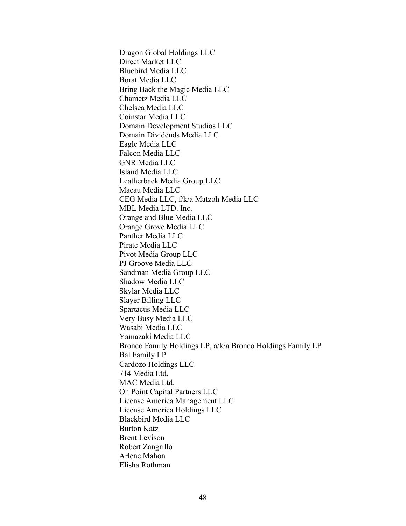Dragon Global Holdings LLC Direct Market LLC Bluebird Media LLC Borat Media LLC Bring Back the Magic Media LLC Chametz Media LLC Chelsea Media LLC Coinstar Media LLC Domain Development Studios LLC Domain Dividends Media LLC Eagle Media LLC Falcon Media LLC GNR Media LLC Island Media LLC Leatherback Media Group LLC Macau Media LLC CEG Media LLC, f/k/a Matzoh Media LLC MBL Media LTD. Inc. Orange and Blue Media LLC Orange Grove Media LLC Panther Media LLC Pirate Media LLC Pivot Media Group LLC PJ Groove Media LLC Sandman Media Group LLC Shadow Media LLC Skylar Media LLC Slayer Billing LLC Spartacus Media LLC Very Busy Media LLC Wasabi Media LLC Yamazaki Media LLC Bronco Family Holdings LP, a/k/a Bronco Holdings Family LP Bal Family LP Cardozo Holdings LLC 714 Media Ltd. MAC Media Ltd. On Point Capital Partners LLC License America Management LLC License America Holdings LLC Blackbird Media LLC Burton Katz Brent Levison Robert Zangrillo Arlene Mahon Elisha Rothman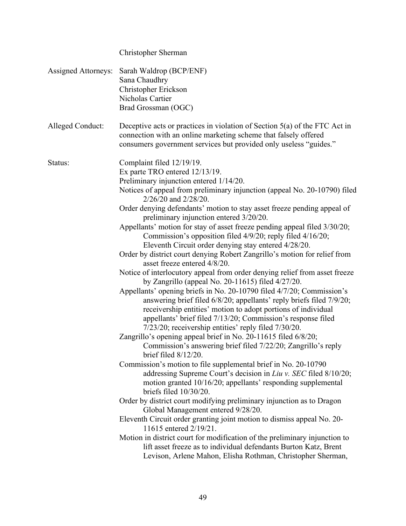|                            | Christopher Sherman                                                                                                                                                                                                                                                                                                                                                                                                                                                                                                                                                                                                                                                                                                                                                                                                                                                                                                                                                                                                                                                                                                                                                                                                                                                                                                                                                                                                                                                                                                                                                                                                                                                                                                                                                                                                                                                                                                                                                 |
|----------------------------|---------------------------------------------------------------------------------------------------------------------------------------------------------------------------------------------------------------------------------------------------------------------------------------------------------------------------------------------------------------------------------------------------------------------------------------------------------------------------------------------------------------------------------------------------------------------------------------------------------------------------------------------------------------------------------------------------------------------------------------------------------------------------------------------------------------------------------------------------------------------------------------------------------------------------------------------------------------------------------------------------------------------------------------------------------------------------------------------------------------------------------------------------------------------------------------------------------------------------------------------------------------------------------------------------------------------------------------------------------------------------------------------------------------------------------------------------------------------------------------------------------------------------------------------------------------------------------------------------------------------------------------------------------------------------------------------------------------------------------------------------------------------------------------------------------------------------------------------------------------------------------------------------------------------------------------------------------------------|
| <b>Assigned Attorneys:</b> | Sarah Waldrop (BCP/ENF)<br>Sana Chaudhry<br>Christopher Erickson<br>Nicholas Cartier<br>Brad Grossman (OGC)                                                                                                                                                                                                                                                                                                                                                                                                                                                                                                                                                                                                                                                                                                                                                                                                                                                                                                                                                                                                                                                                                                                                                                                                                                                                                                                                                                                                                                                                                                                                                                                                                                                                                                                                                                                                                                                         |
| Alleged Conduct:           | Deceptive acts or practices in violation of Section $5(a)$ of the FTC Act in<br>connection with an online marketing scheme that falsely offered<br>consumers government services but provided only useless "guides."                                                                                                                                                                                                                                                                                                                                                                                                                                                                                                                                                                                                                                                                                                                                                                                                                                                                                                                                                                                                                                                                                                                                                                                                                                                                                                                                                                                                                                                                                                                                                                                                                                                                                                                                                |
| Status:                    | Complaint filed 12/19/19.<br>Ex parte TRO entered 12/13/19.<br>Preliminary injunction entered 1/14/20.<br>Notices of appeal from preliminary injunction (appeal No. 20-10790) filed<br>2/26/20 and 2/28/20.<br>Order denying defendants' motion to stay asset freeze pending appeal of<br>preliminary injunction entered 3/20/20.<br>Appellants' motion for stay of asset freeze pending appeal filed 3/30/20;<br>Commission's opposition filed 4/9/20; reply filed 4/16/20;<br>Eleventh Circuit order denying stay entered 4/28/20.<br>Order by district court denying Robert Zangrillo's motion for relief from<br>asset freeze entered 4/8/20.<br>Notice of interlocutory appeal from order denying relief from asset freeze<br>by Zangrillo (appeal No. 20-11615) filed $4/27/20$ .<br>Appellants' opening briefs in No. 20-10790 filed 4/7/20; Commission's<br>answering brief filed 6/8/20; appellants' reply briefs filed 7/9/20;<br>receivership entities' motion to adopt portions of individual<br>appellants' brief filed 7/13/20; Commission's response filed<br>7/23/20; receivership entities' reply filed 7/30/20.<br>Zangrillo's opening appeal brief in No. 20-11615 filed 6/8/20;<br>Commission's answering brief filed 7/22/20; Zangrillo's reply<br>brief filed $8/12/20$ .<br>Commission's motion to file supplemental brief in No. 20-10790<br>addressing Supreme Court's decision in Liu v. SEC filed 8/10/20;<br>motion granted 10/16/20; appellants' responding supplemental<br>briefs filed 10/30/20.<br>Order by district court modifying preliminary injunction as to Dragon<br>Global Management entered 9/28/20.<br>Eleventh Circuit order granting joint motion to dismiss appeal No. 20-<br>11615 entered 2/19/21.<br>Motion in district court for modification of the preliminary injunction to<br>lift asset freeze as to individual defendants Burton Katz, Brent<br>Levison, Arlene Mahon, Elisha Rothman, Christopher Sherman, |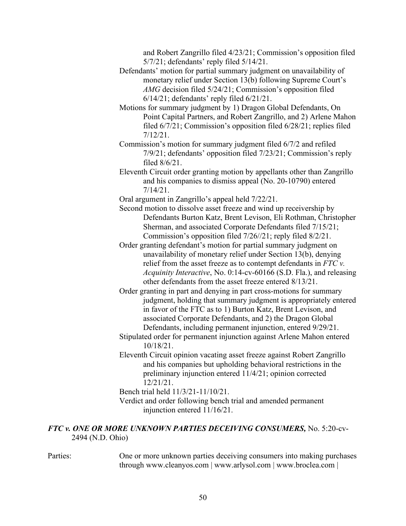and Robert Zangrillo filed 4/23/21; Commission's opposition filed 5/7/21; defendants' reply filed 5/14/21.

- Defendants' motion for partial summary judgment on unavailability of monetary relief under Section 13(b) following Supreme Court's *AMG* decision filed 5/24/21; Commission's opposition filed 6/14/21; defendants' reply filed 6/21/21.
- Motions for summary judgment by 1) Dragon Global Defendants, On Point Capital Partners, and Robert Zangrillo, and 2) Arlene Mahon filed 6/7/21; Commission's opposition filed 6/28/21; replies filed 7/12/21.
- Commission's motion for summary judgment filed 6/7/2 and refiled 7/9/21; defendants' opposition filed 7/23/21; Commission's reply filed 8/6/21.
- Eleventh Circuit order granting motion by appellants other than Zangrillo and his companies to dismiss appeal (No. 20-10790) entered 7/14/21.

Oral argument in Zangrillo's appeal held 7/22/21.

- Second motion to dissolve asset freeze and wind up receivership by Defendants Burton Katz, Brent Levison, Eli Rothman, Christopher Sherman, and associated Corporate Defendants filed 7/15/21; Commission's opposition filed 7/26//21; reply filed 8/2/21.
- Order granting defendant's motion for partial summary judgment on unavailability of monetary relief under Section 13(b), denying relief from the asset freeze as to contempt defendants in *FTC v. Acquinity Interactive*, No. 0:14-cv-60166 (S.D. Fla.), and releasing other defendants from the asset freeze entered 8/13/21.
- Order granting in part and denying in part cross-motions for summary judgment, holding that summary judgment is appropriately entered in favor of the FTC as to 1) Burton Katz, Brent Levison, and associated Corporate Defendants, and 2) the Dragon Global Defendants, including permanent injunction, entered 9/29/21.
- Stipulated order for permanent injunction against Arlene Mahon entered 10/18/21.
- Eleventh Circuit opinion vacating asset freeze against Robert Zangrillo and his companies but upholding behavioral restrictions in the preliminary injunction entered 11/4/21; opinion corrected 12/21/21.

Bench trial held 11/3/21-11/10/21.

Verdict and order following bench trial and amended permanent injunction entered 11/16/21.

### *FTC v. ONE OR MORE UNKNOWN PARTIES DECEIVING CONSUMERS,* No. 5:20-cv-2494 (N.D. Ohio)

Parties: One or more unknown parties deceiving consumers into making purchases through www.cleanyos.com | www.arlysol.com | www.broclea.com |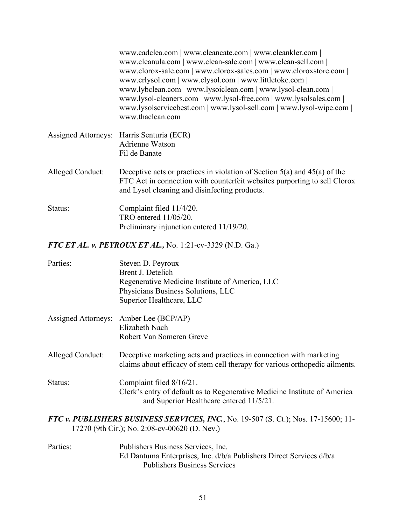|                  | www.cadclea.com   www.cleancate.com   www.cleankler.com  <br>www.cleanula.com   www.clean-sale.com   www.clean-sell.com  <br>www.clorox-sale.com   www.clorox-sales.com   www.cloroxstore.com  <br>www.crlysol.com   www.elysol.com   www.littletoke.com  <br>www.lybclean.com   www.lysoiclean.com   www.lysol-clean.com  <br>www.lysol-cleaners.com   www.lysol-free.com   www.lysolsales.com  <br>www.lysolservicebest.com   www.lysol-sell.com   www.lysol-wipe.com  <br>www.thaclean.com |
|------------------|-----------------------------------------------------------------------------------------------------------------------------------------------------------------------------------------------------------------------------------------------------------------------------------------------------------------------------------------------------------------------------------------------------------------------------------------------------------------------------------------------|
|                  | Assigned Attorneys: Harris Senturia (ECR)<br>Adrienne Watson<br>Fil de Banate                                                                                                                                                                                                                                                                                                                                                                                                                 |
| Alleged Conduct: | Deceptive acts or practices in violation of Section $5(a)$ and $45(a)$ of the<br>FTC Act in connection with counterfeit websites purporting to sell Clorox<br>and Lysol cleaning and disinfecting products.                                                                                                                                                                                                                                                                                   |
| Status:          | Complaint filed 11/4/20.<br>TRO entered 11/05/20.<br>Preliminary injunction entered 11/19/20.                                                                                                                                                                                                                                                                                                                                                                                                 |

*FTC ET AL. v. PEYROUX ET AL.,* No. 1:21-cv-3329 (N.D. Ga.)

| Parties:                   | Steven D. Peyroux<br>Brent J. Detelich<br>Regenerative Medicine Institute of America, LLC<br>Physicians Business Solutions, LLC<br>Superior Healthcare, LLC |
|----------------------------|-------------------------------------------------------------------------------------------------------------------------------------------------------------|
| <b>Assigned Attorneys:</b> | Amber Lee (BCP/AP)<br>Elizabeth Nach<br>Robert Van Someren Greve                                                                                            |
| Alleged Conduct:           | Deceptive marketing acts and practices in connection with marketing<br>claims about efficacy of stem cell therapy for various orthopedic ailments.          |
| Status:                    | Complaint filed 8/16/21.<br>Clerk's entry of default as to Regenerative Medicine Institute of America<br>and Superior Healthcare entered 11/5/21.           |

*FTC v. PUBLISHERS BUSINESS SERVICES, INC.*, No. 19-507 (S. Ct.); Nos. 17-15600; 11- 17270 (9th Cir.); No. 2:08-cv-00620 (D. Nev.)

Parties: Publishers Business Services, Inc. Ed Dantuma Enterprises, Inc. d/b/a Publishers Direct Services d/b/a Publishers Business Services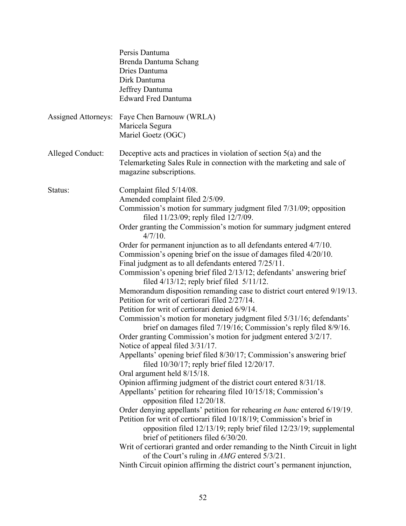|                            | Persis Dantuma<br>Brenda Dantuma Schang<br>Dries Dantuma<br>Dirk Dantuma<br>Jeffrey Dantuma<br><b>Edward Fred Dantuma</b>                                                                                                                                                                                                                                                                                                                                                                                                                                                                                                                                                                                                                                                                                                                                                                                                                                                                                                                                                                                                                                                                                                                                                                                                                                                                                                                                                                                                                                                                                                                                                                                                                                                                                                                             |
|----------------------------|-------------------------------------------------------------------------------------------------------------------------------------------------------------------------------------------------------------------------------------------------------------------------------------------------------------------------------------------------------------------------------------------------------------------------------------------------------------------------------------------------------------------------------------------------------------------------------------------------------------------------------------------------------------------------------------------------------------------------------------------------------------------------------------------------------------------------------------------------------------------------------------------------------------------------------------------------------------------------------------------------------------------------------------------------------------------------------------------------------------------------------------------------------------------------------------------------------------------------------------------------------------------------------------------------------------------------------------------------------------------------------------------------------------------------------------------------------------------------------------------------------------------------------------------------------------------------------------------------------------------------------------------------------------------------------------------------------------------------------------------------------------------------------------------------------------------------------------------------------|
| <b>Assigned Attorneys:</b> | Faye Chen Barnouw (WRLA)<br>Maricela Segura<br>Mariel Goetz (OGC)                                                                                                                                                                                                                                                                                                                                                                                                                                                                                                                                                                                                                                                                                                                                                                                                                                                                                                                                                                                                                                                                                                                                                                                                                                                                                                                                                                                                                                                                                                                                                                                                                                                                                                                                                                                     |
| Alleged Conduct:           | Deceptive acts and practices in violation of section $5(a)$ and the<br>Telemarketing Sales Rule in connection with the marketing and sale of<br>magazine subscriptions.                                                                                                                                                                                                                                                                                                                                                                                                                                                                                                                                                                                                                                                                                                                                                                                                                                                                                                                                                                                                                                                                                                                                                                                                                                                                                                                                                                                                                                                                                                                                                                                                                                                                               |
| Status:                    | Complaint filed 5/14/08.<br>Amended complaint filed 2/5/09.<br>Commission's motion for summary judgment filed 7/31/09; opposition<br>filed 11/23/09; reply filed 12/7/09.<br>Order granting the Commission's motion for summary judgment entered<br>$4/7/10$ .<br>Order for permanent injunction as to all defendants entered 4/7/10.<br>Commission's opening brief on the issue of damages filed 4/20/10.<br>Final judgment as to all defendants entered 7/25/11.<br>Commission's opening brief filed 2/13/12; defendants' answering brief<br>filed $4/13/12$ ; reply brief filed $5/11/12$ .<br>Memorandum disposition remanding case to district court entered 9/19/13.<br>Petition for writ of certiorari filed 2/27/14.<br>Petition for writ of certiorari denied 6/9/14.<br>Commission's motion for monetary judgment filed 5/31/16; defendants'<br>brief on damages filed 7/19/16; Commission's reply filed 8/9/16.<br>Order granting Commission's motion for judgment entered 3/2/17.<br>Notice of appeal filed 3/31/17.<br>Appellants' opening brief filed 8/30/17; Commission's answering brief<br>filed $10/30/17$ ; reply brief filed $12/20/17$ .<br>Oral argument held 8/15/18.<br>Opinion affirming judgment of the district court entered 8/31/18.<br>Appellants' petition for rehearing filed 10/15/18; Commission's<br>opposition filed 12/20/18.<br>Order denying appellants' petition for rehearing en banc entered 6/19/19.<br>Petition for writ of certiorari filed 10/18/19; Commission's brief in<br>opposition filed 12/13/19; reply brief filed 12/23/19; supplemental<br>brief of petitioners filed 6/30/20.<br>Writ of certiorari granted and order remanding to the Ninth Circuit in light<br>of the Court's ruling in AMG entered 5/3/21.<br>Ninth Circuit opinion affirming the district court's permanent injunction, |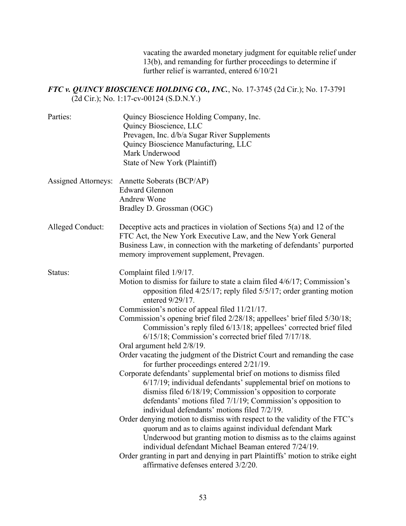vacating the awarded monetary judgment for equitable relief under 13(b), and remanding for further proceedings to determine if further relief is warranted, entered 6/10/21

### *FTC v. QUINCY BIOSCIENCE HOLDING CO., INC.*, No. 17-3745 (2d Cir.); No. 17-3791 (2d Cir.); No. 1:17-cv-00124 (S.D.N.Y.)

| Parties:                   | Quincy Bioscience Holding Company, Inc.<br>Quincy Bioscience, LLC<br>Prevagen, Inc. d/b/a Sugar River Supplements<br>Quincy Bioscience Manufacturing, LLC<br>Mark Underwood<br>State of New York (Plaintiff)                                                                                                                                                                                                                                                                                                                                                                                                                                                                                                                                                                                                                                                                                                                                                                                                                                                                                                                                                                                                                                                                                                                                       |
|----------------------------|----------------------------------------------------------------------------------------------------------------------------------------------------------------------------------------------------------------------------------------------------------------------------------------------------------------------------------------------------------------------------------------------------------------------------------------------------------------------------------------------------------------------------------------------------------------------------------------------------------------------------------------------------------------------------------------------------------------------------------------------------------------------------------------------------------------------------------------------------------------------------------------------------------------------------------------------------------------------------------------------------------------------------------------------------------------------------------------------------------------------------------------------------------------------------------------------------------------------------------------------------------------------------------------------------------------------------------------------------|
| <b>Assigned Attorneys:</b> | Annette Soberats (BCP/AP)<br><b>Edward Glennon</b><br><b>Andrew Wone</b><br>Bradley D. Grossman (OGC)                                                                                                                                                                                                                                                                                                                                                                                                                                                                                                                                                                                                                                                                                                                                                                                                                                                                                                                                                                                                                                                                                                                                                                                                                                              |
| Alleged Conduct:           | Deceptive acts and practices in violation of Sections $5(a)$ and 12 of the<br>FTC Act, the New York Executive Law, and the New York General<br>Business Law, in connection with the marketing of defendants' purported<br>memory improvement supplement, Prevagen.                                                                                                                                                                                                                                                                                                                                                                                                                                                                                                                                                                                                                                                                                                                                                                                                                                                                                                                                                                                                                                                                                 |
| Status:                    | Complaint filed 1/9/17.<br>Motion to dismiss for failure to state a claim filed 4/6/17; Commission's<br>opposition filed 4/25/17; reply filed 5/5/17; order granting motion<br>entered 9/29/17.<br>Commission's notice of appeal filed 11/21/17.<br>Commission's opening brief filed 2/28/18; appellees' brief filed 5/30/18;<br>Commission's reply filed 6/13/18; appellees' corrected brief filed<br>6/15/18; Commission's corrected brief filed 7/17/18.<br>Oral argument held 2/8/19.<br>Order vacating the judgment of the District Court and remanding the case<br>for further proceedings entered $2/21/19$ .<br>Corporate defendants' supplemental brief on motions to dismiss filed<br>$6/17/19$ ; individual defendants' supplemental brief on motions to<br>dismiss filed 6/18/19; Commission's opposition to corporate<br>defendants' motions filed 7/1/19; Commission's opposition to<br>individual defendants' motions filed 7/2/19.<br>Order denying motion to dismiss with respect to the validity of the FTC's<br>quorum and as to claims against individual defendant Mark<br>Underwood but granting motion to dismiss as to the claims against<br>individual defendant Michael Beaman entered 7/24/19.<br>Order granting in part and denying in part Plaintiffs' motion to strike eight<br>affirmative defenses entered 3/2/20. |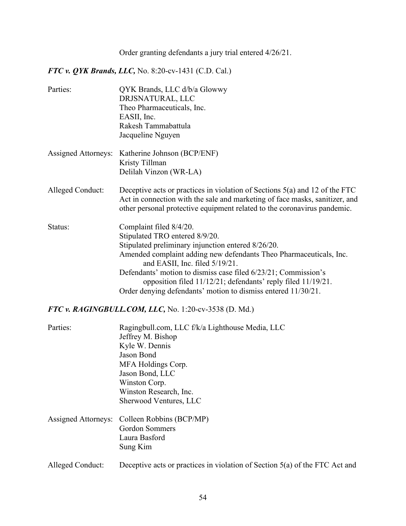# Order granting defendants a jury trial entered 4/26/21.

*FTC v. QYK Brands, LLC,* No. 8:20-cv-1431 (C.D. Cal.)

| Parties:                   | QYK Brands, LLC d/b/a Glowwy<br>DRJSNATURAL, LLC<br>Theo Pharmaceuticals, Inc.<br>EASII, Inc.<br>Rakesh Tammabattula<br>Jacqueline Nguyen                                                                                                                                                                                                                                                                                  |
|----------------------------|----------------------------------------------------------------------------------------------------------------------------------------------------------------------------------------------------------------------------------------------------------------------------------------------------------------------------------------------------------------------------------------------------------------------------|
| <b>Assigned Attorneys:</b> | Katherine Johnson (BCP/ENF)<br>Kristy Tillman<br>Delilah Vinzon (WR-LA)                                                                                                                                                                                                                                                                                                                                                    |
| Alleged Conduct:           | Deceptive acts or practices in violation of Sections $5(a)$ and 12 of the FTC<br>Act in connection with the sale and marketing of face masks, sanitizer, and<br>other personal protective equipment related to the coronavirus pandemic.                                                                                                                                                                                   |
| Status:                    | Complaint filed 8/4/20.<br>Stipulated TRO entered 8/9/20.<br>Stipulated preliminary injunction entered 8/26/20.<br>Amended complaint adding new defendants Theo Pharmaceuticals, Inc.<br>and EASII, Inc. filed 5/19/21.<br>Defendants' motion to dismiss case filed 6/23/21; Commission's<br>opposition filed 11/12/21; defendants' reply filed 11/19/21.<br>Order denying defendants' motion to dismiss entered 11/30/21. |
|                            | FTC v. RAGINGBULL.COM, LLC, No. 1:20-cv-3538 (D. Md.)                                                                                                                                                                                                                                                                                                                                                                      |

| Parties:         | Ragingbull.com, LLC f/k/a Lighthouse Media, LLC                               |
|------------------|-------------------------------------------------------------------------------|
|                  | Jeffrey M. Bishop                                                             |
|                  | Kyle W. Dennis                                                                |
|                  | Jason Bond                                                                    |
|                  | MFA Holdings Corp.                                                            |
|                  | Jason Bond, LLC                                                               |
|                  | Winston Corp.                                                                 |
|                  | Winston Research, Inc.                                                        |
|                  | Sherwood Ventures, LLC                                                        |
|                  | Assigned Attorneys: Colleen Robbins (BCP/MP)                                  |
|                  | <b>Gordon Sommers</b>                                                         |
|                  | Laura Basford                                                                 |
|                  | Sung Kim                                                                      |
| Alleged Conduct: | Deceptive acts or practices in violation of Section $5(a)$ of the FTC Act and |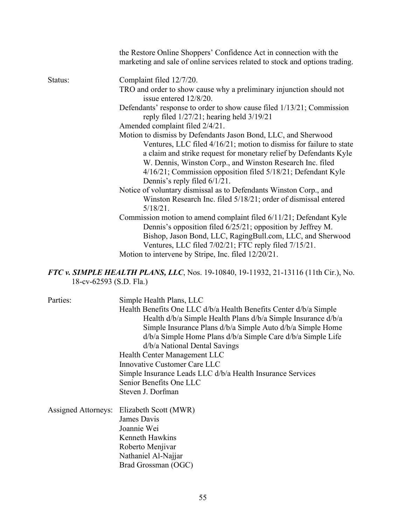|         | the Restore Online Shoppers' Confidence Act in connection with the<br>marketing and sale of online services related to stock and options trading.                                                                                                        |
|---------|----------------------------------------------------------------------------------------------------------------------------------------------------------------------------------------------------------------------------------------------------------|
| Status: | Complaint filed 12/7/20.                                                                                                                                                                                                                                 |
|         | TRO and order to show cause why a preliminary injunction should not<br>issue entered 12/8/20.                                                                                                                                                            |
|         | Defendants' response to order to show cause filed 1/13/21; Commission<br>reply filed $1/27/21$ ; hearing held $3/19/21$                                                                                                                                  |
|         | Amended complaint filed 2/4/21.                                                                                                                                                                                                                          |
|         | Motion to dismiss by Defendants Jason Bond, LLC, and Sherwood                                                                                                                                                                                            |
|         | Ventures, LLC filed 4/16/21; motion to dismiss for failure to state                                                                                                                                                                                      |
|         | a claim and strike request for monetary relief by Defendants Kyle                                                                                                                                                                                        |
|         | W. Dennis, Winston Corp., and Winston Research Inc. filed                                                                                                                                                                                                |
|         | 4/16/21; Commission opposition filed 5/18/21; Defendant Kyle                                                                                                                                                                                             |
|         | Dennis's reply filed 6/1/21.                                                                                                                                                                                                                             |
|         | Notice of voluntary dismissal as to Defendants Winston Corp., and                                                                                                                                                                                        |
|         | Winston Research Inc. filed 5/18/21; order of dismissal entered<br>$5/18/21$ .                                                                                                                                                                           |
|         | Commission motion to amend complaint filed 6/11/21; Defendant Kyle<br>Dennis's opposition filed 6/25/21; opposition by Jeffrey M.<br>Bishop, Jason Bond, LLC, RagingBull.com, LLC, and Sherwood<br>Ventures, LLC filed 7/02/21; FTC reply filed 7/15/21. |
|         | Motion to intervene by Stripe, Inc. filed 12/20/21.                                                                                                                                                                                                      |

*FTC v. SIMPLE HEALTH PLANS, LLC*, Nos. 19-10840, 19-11932, 21-13116 (11th Cir.), No. 18-cv-62593 (S.D. Fla.)

| Parties:            | Simple Health Plans, LLC                                          |
|---------------------|-------------------------------------------------------------------|
|                     | Health Benefits One LLC d/b/a Health Benefits Center d/b/a Simple |
|                     | Health d/b/a Simple Health Plans d/b/a Simple Insurance d/b/a     |
|                     | Simple Insurance Plans d/b/a Simple Auto d/b/a Simple Home        |
|                     | d/b/a Simple Home Plans d/b/a Simple Care d/b/a Simple Life       |
|                     | d/b/a National Dental Savings                                     |
|                     | Health Center Management LLC                                      |
|                     | Innovative Customer Care LLC                                      |
|                     | Simple Insurance Leads LLC d/b/a Health Insurance Services        |
|                     | Senior Benefits One LLC                                           |
|                     | Steven J. Dorfman                                                 |
| Assigned Attorneys: | Elizabeth Scott (MWR)                                             |
|                     | James Davis                                                       |
|                     | Joannie Wei                                                       |
|                     | Kenneth Hawkins                                                   |
|                     | Roberto Menjivar                                                  |
|                     | Nathaniel Al-Najjar                                               |
|                     | Brad Grossman (OGC)                                               |
|                     |                                                                   |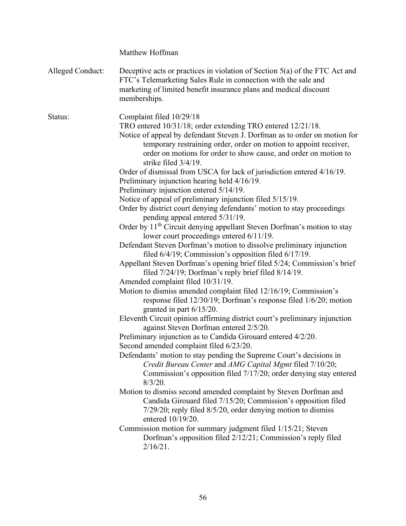|                  | Matthew Hoffman                                                                                                                                                                                                                                                                                                                                                                                                                                                                                                                                                                                                                                                                                                                                                                                                                                                                                                                                                                                                                                                                                                                                                                                                                                                                                                                                                                                                                                                                                                                                                                                                                                                                                                                                                                                                                                                                                                                                                                                                                                                                                                                                         |
|------------------|---------------------------------------------------------------------------------------------------------------------------------------------------------------------------------------------------------------------------------------------------------------------------------------------------------------------------------------------------------------------------------------------------------------------------------------------------------------------------------------------------------------------------------------------------------------------------------------------------------------------------------------------------------------------------------------------------------------------------------------------------------------------------------------------------------------------------------------------------------------------------------------------------------------------------------------------------------------------------------------------------------------------------------------------------------------------------------------------------------------------------------------------------------------------------------------------------------------------------------------------------------------------------------------------------------------------------------------------------------------------------------------------------------------------------------------------------------------------------------------------------------------------------------------------------------------------------------------------------------------------------------------------------------------------------------------------------------------------------------------------------------------------------------------------------------------------------------------------------------------------------------------------------------------------------------------------------------------------------------------------------------------------------------------------------------------------------------------------------------------------------------------------------------|
| Alleged Conduct: | Deceptive acts or practices in violation of Section 5(a) of the FTC Act and<br>FTC's Telemarketing Sales Rule in connection with the sale and<br>marketing of limited benefit insurance plans and medical discount<br>memberships.                                                                                                                                                                                                                                                                                                                                                                                                                                                                                                                                                                                                                                                                                                                                                                                                                                                                                                                                                                                                                                                                                                                                                                                                                                                                                                                                                                                                                                                                                                                                                                                                                                                                                                                                                                                                                                                                                                                      |
| Status:          | Complaint filed 10/29/18<br>TRO entered 10/31/18; order extending TRO entered 12/21/18.<br>Notice of appeal by defendant Steven J. Dorfman as to order on motion for<br>temporary restraining order, order on motion to appoint receiver,<br>order on motions for order to show cause, and order on motion to<br>strike filed $3/4/19$ .<br>Order of dismissal from USCA for lack of jurisdiction entered 4/16/19.<br>Preliminary injunction hearing held 4/16/19.<br>Preliminary injunction entered 5/14/19.<br>Notice of appeal of preliminary injunction filed 5/15/19.<br>Order by district court denying defendants' motion to stay proceedings<br>pending appeal entered 5/31/19.<br>Order by 11 <sup>th</sup> Circuit denying appellant Steven Dorfman's motion to stay<br>lower court proceedings entered 6/11/19.<br>Defendant Steven Dorfman's motion to dissolve preliminary injunction<br>filed $6/4/19$ ; Commission's opposition filed $6/17/19$ .<br>Appellant Steven Dorfman's opening brief filed 5/24; Commission's brief<br>filed $7/24/19$ ; Dorfman's reply brief filed $8/14/19$ .<br>Amended complaint filed 10/31/19.<br>Motion to dismiss amended complaint filed 12/16/19; Commission's<br>response filed 12/30/19; Dorfman's response filed 1/6/20; motion<br>granted in part $6/15/20$ .<br>Eleventh Circuit opinion affirming district court's preliminary injunction<br>against Steven Dorfman entered 2/5/20.<br>Preliminary injunction as to Candida Girouard entered 4/2/20.<br>Second amended complaint filed 6/23/20.<br>Defendants' motion to stay pending the Supreme Court's decisions in<br>Credit Bureau Center and AMG Capital Mgmt filed 7/10/20;<br>Commission's opposition filed 7/17/20; order denying stay entered<br>$8/3/20$ .<br>Motion to dismiss second amended complaint by Steven Dorfman and<br>Candida Girouard filed 7/15/20; Commission's opposition filed<br>7/29/20; reply filed 8/5/20, order denying motion to dismiss<br>entered 10/19/20.<br>Commission motion for summary judgment filed 1/15/21; Steven<br>Dorfman's opposition filed 2/12/21; Commission's reply filed<br>$2/16/21$ . |
|                  |                                                                                                                                                                                                                                                                                                                                                                                                                                                                                                                                                                                                                                                                                                                                                                                                                                                                                                                                                                                                                                                                                                                                                                                                                                                                                                                                                                                                                                                                                                                                                                                                                                                                                                                                                                                                                                                                                                                                                                                                                                                                                                                                                         |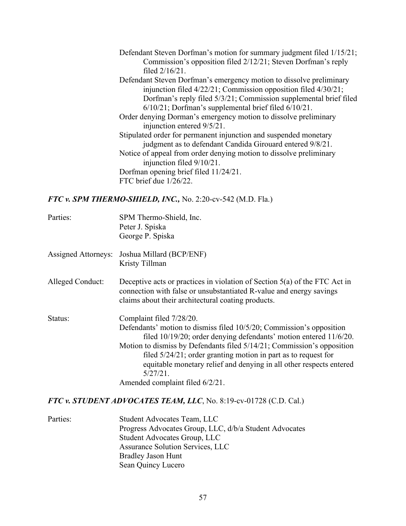Defendant Steven Dorfman's motion for summary judgment filed 1/15/21; Commission's opposition filed 2/12/21; Steven Dorfman's reply filed 2/16/21. Defendant Steven Dorfman's emergency motion to dissolve preliminary injunction filed 4/22/21; Commission opposition filed 4/30/21; Dorfman's reply filed 5/3/21; Commission supplemental brief filed 6/10/21; Dorfman's supplemental brief filed 6/10/21. Order denying Dorman's emergency motion to dissolve preliminary injunction entered 9/5/21. Stipulated order for permanent injunction and suspended monetary judgment as to defendant Candida Girouard entered 9/8/21. Notice of appeal from order denying motion to dissolve preliminary injunction filed 9/10/21. Dorfman opening brief filed 11/24/21. FTC brief due 1/26/22.

### *FTC v. SPM THERMO-SHIELD, INC.,* No. 2:20-cv-542 (M.D. Fla.)

| Parties:            | SPM Thermo-Shield, Inc.<br>Peter J. Spiska<br>George P. Spiska                                                                                                                                                                                                                                                                                                                                                                                |
|---------------------|-----------------------------------------------------------------------------------------------------------------------------------------------------------------------------------------------------------------------------------------------------------------------------------------------------------------------------------------------------------------------------------------------------------------------------------------------|
| Assigned Attorneys: | Joshua Millard (BCP/ENF)<br>Kristy Tillman                                                                                                                                                                                                                                                                                                                                                                                                    |
| Alleged Conduct:    | Deceptive acts or practices in violation of Section $5(a)$ of the FTC Act in<br>connection with false or unsubstantiated R-value and energy savings<br>claims about their architectural coating products.                                                                                                                                                                                                                                     |
| Status:             | Complaint filed 7/28/20.<br>Defendants' motion to dismiss filed 10/5/20; Commission's opposition<br>filed 10/19/20; order denying defendants' motion entered 11/6/20.<br>Motion to dismiss by Defendants filed 5/14/21; Commission's opposition<br>filed $5/24/21$ ; order granting motion in part as to request for<br>equitable monetary relief and denying in all other respects entered<br>$5/27/21$ .<br>Amended complaint filed 6/2/21. |

## *FTC v. STUDENT ADVOCATES TEAM, LLC*, No. 8:19-cv-01728 (C.D. Cal.)

| Parties: | Student Advocates Team, LLC                            |
|----------|--------------------------------------------------------|
|          | Progress Advocates Group, LLC, d/b/a Student Advocates |
|          | Student Advocates Group, LLC                           |
|          | Assurance Solution Services, LLC                       |
|          | <b>Bradley Jason Hunt</b>                              |
|          | Sean Quincy Lucero                                     |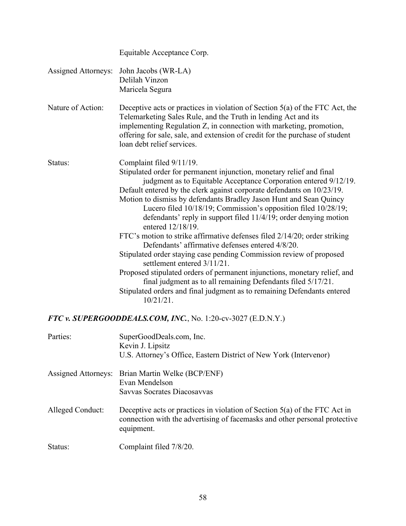|                                                              | Equitable Acceptance Corp.                                                                                                                                                                                                                                                                                                                                                                                                                                                                                                                                                                                                                                                                                                                                                                                                                                                                                                                                        |  |
|--------------------------------------------------------------|-------------------------------------------------------------------------------------------------------------------------------------------------------------------------------------------------------------------------------------------------------------------------------------------------------------------------------------------------------------------------------------------------------------------------------------------------------------------------------------------------------------------------------------------------------------------------------------------------------------------------------------------------------------------------------------------------------------------------------------------------------------------------------------------------------------------------------------------------------------------------------------------------------------------------------------------------------------------|--|
| <b>Assigned Attorneys:</b>                                   | John Jacobs (WR-LA)<br>Delilah Vinzon<br>Maricela Segura                                                                                                                                                                                                                                                                                                                                                                                                                                                                                                                                                                                                                                                                                                                                                                                                                                                                                                          |  |
| Nature of Action:                                            | Deceptive acts or practices in violation of Section 5(a) of the FTC Act, the<br>Telemarketing Sales Rule, and the Truth in lending Act and its<br>implementing Regulation Z, in connection with marketing, promotion,<br>offering for sale, sale, and extension of credit for the purchase of student<br>loan debt relief services.                                                                                                                                                                                                                                                                                                                                                                                                                                                                                                                                                                                                                               |  |
| Status:                                                      | Complaint filed 9/11/19.<br>Stipulated order for permanent injunction, monetary relief and final<br>judgment as to Equitable Acceptance Corporation entered 9/12/19.<br>Default entered by the clerk against corporate defendants on 10/23/19.<br>Motion to dismiss by defendants Bradley Jason Hunt and Sean Quincy<br>Lucero filed 10/18/19; Commission's opposition filed 10/28/19;<br>defendants' reply in support filed 11/4/19; order denying motion<br>entered 12/18/19.<br>FTC's motion to strike affirmative defenses filed 2/14/20; order striking<br>Defendants' affirmative defenses entered 4/8/20.<br>Stipulated order staying case pending Commission review of proposed<br>settlement entered $3/11/21$ .<br>Proposed stipulated orders of permanent injunctions, monetary relief, and<br>final judgment as to all remaining Defendants filed 5/17/21.<br>Stipulated orders and final judgment as to remaining Defendants entered<br>$10/21/21$ . |  |
| FTC v. SUPERGOODDEALS.COM, INC., No. 1:20-cv-3027 (E.D.N.Y.) |                                                                                                                                                                                                                                                                                                                                                                                                                                                                                                                                                                                                                                                                                                                                                                                                                                                                                                                                                                   |  |
| Parties:                                                     | SuperGoodDeals.com, Inc.<br>Kevin J. Lipsitz<br>U.S. Attorney's Office, Eastern District of New York (Intervenor)                                                                                                                                                                                                                                                                                                                                                                                                                                                                                                                                                                                                                                                                                                                                                                                                                                                 |  |
| <b>Assigned Attorneys:</b>                                   | Brian Martin Welke (BCP/ENF)<br>Evan Mendelson<br>Savvas Socrates Diacosavvas                                                                                                                                                                                                                                                                                                                                                                                                                                                                                                                                                                                                                                                                                                                                                                                                                                                                                     |  |
| Alleged Conduct:                                             | Deceptive acts or practices in violation of Section $5(a)$ of the FTC Act in<br>connection with the advertising of facemasks and other personal protective<br>equipment.                                                                                                                                                                                                                                                                                                                                                                                                                                                                                                                                                                                                                                                                                                                                                                                          |  |

Status: Complaint filed 7/8/20.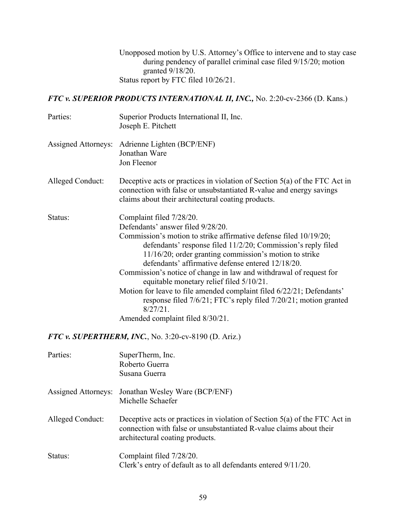Unopposed motion by U.S. Attorney's Office to intervene and to stay case during pendency of parallel criminal case filed 9/15/20; motion granted 9/18/20. Status report by FTC filed 10/26/21.

*FTC v. SUPERIOR PRODUCTS INTERNATIONAL II, INC.,* No. 2:20-cv-2366 (D. Kans.)

| Parties:                   | Superior Products International II, Inc.<br>Joseph E. Pitchett                                                                                                                                                                                                                                                                                                                                                                                                                                                                                                                                                                      |
|----------------------------|-------------------------------------------------------------------------------------------------------------------------------------------------------------------------------------------------------------------------------------------------------------------------------------------------------------------------------------------------------------------------------------------------------------------------------------------------------------------------------------------------------------------------------------------------------------------------------------------------------------------------------------|
| <b>Assigned Attorneys:</b> | Adrienne Lighten (BCP/ENF)<br>Jonathan Ware<br>Jon Fleenor                                                                                                                                                                                                                                                                                                                                                                                                                                                                                                                                                                          |
| Alleged Conduct:           | Deceptive acts or practices in violation of Section $5(a)$ of the FTC Act in<br>connection with false or unsubstantiated R-value and energy savings<br>claims about their architectural coating products.                                                                                                                                                                                                                                                                                                                                                                                                                           |
| Status:                    | Complaint filed 7/28/20.<br>Defendants' answer filed 9/28/20.<br>Commission's motion to strike affirmative defense filed 10/19/20;<br>defendants' response filed 11/2/20; Commission's reply filed<br>11/16/20; order granting commission's motion to strike<br>defendants' affirmative defense entered 12/18/20.<br>Commission's notice of change in law and withdrawal of request for<br>equitable monetary relief filed 5/10/21.<br>Motion for leave to file amended complaint filed 6/22/21; Defendants'<br>response filed 7/6/21; FTC's reply filed 7/20/21; motion granted<br>$8/27/21$ .<br>Amended complaint filed 8/30/21. |
|                            | FTC v. SUPERTHERM, INC., No. 3:20-cv-8190 (D. Ariz.)                                                                                                                                                                                                                                                                                                                                                                                                                                                                                                                                                                                |
| Parties:                   | SuperTherm, Inc.<br>Roberto Guerra<br>Susana Guerra                                                                                                                                                                                                                                                                                                                                                                                                                                                                                                                                                                                 |
|                            | Assigned Attorneys: Jonathan Wesley Ware (BCP/ENF)<br>Michelle Schaefer                                                                                                                                                                                                                                                                                                                                                                                                                                                                                                                                                             |
| Alleged Conduct:           | Deceptive acts or practices in violation of Section $5(a)$ of the FTC Act in<br>connection with false or unsubstantiated R-value claims about their<br>architectural coating products.                                                                                                                                                                                                                                                                                                                                                                                                                                              |
| Status:                    | Complaint filed 7/28/20.<br>Clerk's entry of default as to all defendants entered 9/11/20.                                                                                                                                                                                                                                                                                                                                                                                                                                                                                                                                          |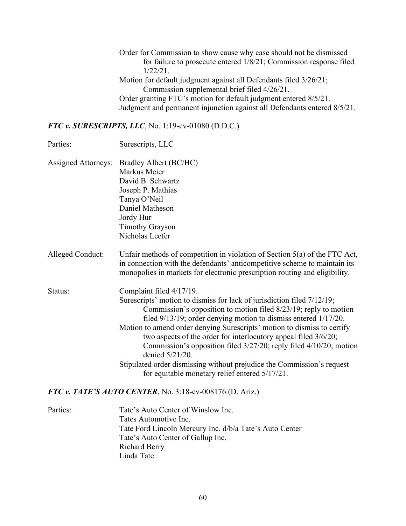Order for Commission to show cause why case should not be dismissed for failure to prosecute entered 1/8/21; Commission response filed 1/22/21. Motion for default judgment against all Defendants filed 3/26/21; Commission supplemental brief filed 4/26/21. Order granting FTC's motion for default judgment entered 8/5/21. Judgment and permanent injunction against all Defendants entered 8/5/21.

*FTC v. SURESCRIPTS, LLC*, No. 1:19-cv-01080 (D.D.C.)

| Parties:                   | Surescripts, LLC                                                                                                                                                                                                                                                                                                                                                                                                                                                                                                                                                                                             |
|----------------------------|--------------------------------------------------------------------------------------------------------------------------------------------------------------------------------------------------------------------------------------------------------------------------------------------------------------------------------------------------------------------------------------------------------------------------------------------------------------------------------------------------------------------------------------------------------------------------------------------------------------|
| <b>Assigned Attorneys:</b> | Bradley Albert (BC/HC)<br>Markus Meier<br>David B. Schwartz<br>Joseph P. Mathias<br>Tanya O'Neil<br>Daniel Matheson<br>Jordy Hur<br><b>Timothy Grayson</b><br>Nicholas Leefer                                                                                                                                                                                                                                                                                                                                                                                                                                |
| Alleged Conduct:           | Unfair methods of competition in violation of Section $5(a)$ of the FTC Act,<br>in connection with the defendants' anticompetitive scheme to maintain its<br>monopolies in markets for electronic prescription routing and eligibility.                                                                                                                                                                                                                                                                                                                                                                      |
| Status:                    | Complaint filed 4/17/19.<br>Surescripts' motion to dismiss for lack of jurisdiction filed 7/12/19;<br>Commission's opposition to motion filed 8/23/19; reply to motion<br>filed 9/13/19; order denying motion to dismiss entered 1/17/20.<br>Motion to amend order denying Surescripts' motion to dismiss to certify<br>two aspects of the order for interlocutory appeal filed 3/6/20;<br>Commission's opposition filed 3/27/20; reply filed 4/10/20; motion<br>denied 5/21/20.<br>Stipulated order dismissing without prejudice the Commission's request<br>for equitable monetary relief entered 5/17/21. |
|                            | FTC v. TATE'S AUTO CENTER, No. 3:18-cv-008176 (D. Ariz.)                                                                                                                                                                                                                                                                                                                                                                                                                                                                                                                                                     |
| Parties:                   | Tate's Auto Center of Winslow Inc.<br>Tates Automotive Inc.<br>Tate Ford Lincoln Mercury Inc. d/b/a Tate's Auto Center                                                                                                                                                                                                                                                                                                                                                                                                                                                                                       |

Tate's Auto Center of Gallup Inc. Richard Berry

Linda Tate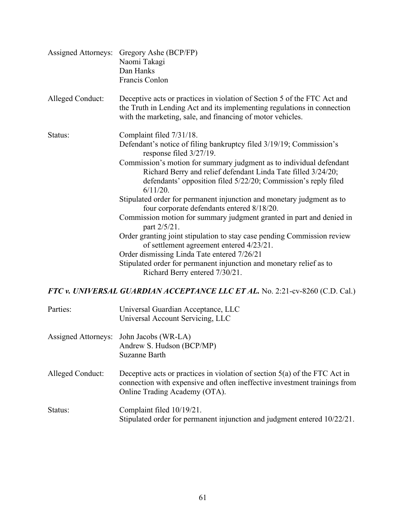| <b>Assigned Attorneys:</b> | Gregory Ashe (BCP/FP)<br>Naomi Takagi<br>Dan Hanks<br>Francis Conlon                                                                                                                                                                                                                                                                                                                                                                                                                                                                                                                                                                                                                                                                                                                                                                                 |
|----------------------------|------------------------------------------------------------------------------------------------------------------------------------------------------------------------------------------------------------------------------------------------------------------------------------------------------------------------------------------------------------------------------------------------------------------------------------------------------------------------------------------------------------------------------------------------------------------------------------------------------------------------------------------------------------------------------------------------------------------------------------------------------------------------------------------------------------------------------------------------------|
| Alleged Conduct:           | Deceptive acts or practices in violation of Section 5 of the FTC Act and<br>the Truth in Lending Act and its implementing regulations in connection<br>with the marketing, sale, and financing of motor vehicles.                                                                                                                                                                                                                                                                                                                                                                                                                                                                                                                                                                                                                                    |
| Status:                    | Complaint filed 7/31/18.<br>Defendant's notice of filing bankruptcy filed 3/19/19; Commission's<br>response filed $3/27/19$ .<br>Commission's motion for summary judgment as to individual defendant<br>Richard Berry and relief defendant Linda Tate filled 3/24/20;<br>defendants' opposition filed 5/22/20; Commission's reply filed<br>$6/11/20$ .<br>Stipulated order for permanent injunction and monetary judgment as to<br>four corporate defendants entered 8/18/20.<br>Commission motion for summary judgment granted in part and denied in<br>part 2/5/21.<br>Order granting joint stipulation to stay case pending Commission review<br>of settlement agreement entered 4/23/21.<br>Order dismissing Linda Tate entered 7/26/21<br>Stipulated order for permanent injunction and monetary relief as to<br>Richard Berry entered 7/30/21. |
|                            | FTC v. UNIVERSAL GUARDIAN ACCEPTANCE LLC ET AL. No. 2:21-cv-8260 (C.D. Cal.)                                                                                                                                                                                                                                                                                                                                                                                                                                                                                                                                                                                                                                                                                                                                                                         |
|                            |                                                                                                                                                                                                                                                                                                                                                                                                                                                                                                                                                                                                                                                                                                                                                                                                                                                      |

| Parties:            | Universal Guardian Acceptance, LLC<br>Universal Account Servicing, LLC                                                                                                                     |
|---------------------|--------------------------------------------------------------------------------------------------------------------------------------------------------------------------------------------|
| Assigned Attorneys: | John Jacobs (WR-LA)<br>Andrew S. Hudson (BCP/MP)<br>Suzanne Barth                                                                                                                          |
| Alleged Conduct:    | Deceptive acts or practices in violation of section $5(a)$ of the FTC Act in<br>connection with expensive and often ineffective investment trainings from<br>Online Trading Academy (OTA). |
| Status:             | Complaint filed 10/19/21.<br>Stipulated order for permanent injunction and judgment entered 10/22/21.                                                                                      |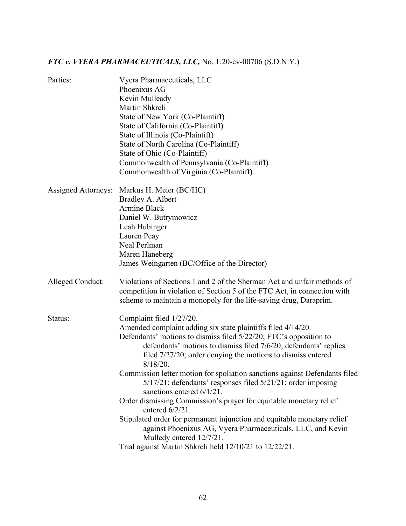# *FTC v. VYERA PHARMACEUTICALS, LLC,* No. 1:20-cv-00706 (S.D.N.Y.)

| Parties:            | Vyera Pharmaceuticals, LLC<br>Phoenixus AG<br>Kevin Mulleady<br>Martin Shkreli<br>State of New York (Co-Plaintiff)<br>State of California (Co-Plaintiff)<br>State of Illinois (Co-Plaintiff)<br>State of North Carolina (Co-Plaintiff)<br>State of Ohio (Co-Plaintiff)<br>Commonwealth of Pennsylvania (Co-Plaintiff)<br>Commonwealth of Virginia (Co-Plaintiff)                                                          |
|---------------------|---------------------------------------------------------------------------------------------------------------------------------------------------------------------------------------------------------------------------------------------------------------------------------------------------------------------------------------------------------------------------------------------------------------------------|
| Assigned Attorneys: | Markus H. Meier (BC/HC)<br>Bradley A. Albert<br><b>Armine Black</b><br>Daniel W. Butrymowicz<br>Leah Hubinger<br>Lauren Peay<br>Neal Perlman<br>Maren Haneberg<br>James Weingarten (BC/Office of the Director)                                                                                                                                                                                                            |
| Alleged Conduct:    | Violations of Sections 1 and 2 of the Sherman Act and unfair methods of<br>competition in violation of Section 5 of the FTC Act, in connection with<br>scheme to maintain a monopoly for the life-saving drug, Daraprim.                                                                                                                                                                                                  |
| Status:             | Complaint filed 1/27/20.<br>Amended complaint adding six state plaintiffs filed 4/14/20.<br>Defendants' motions to dismiss filed 5/22/20; FTC's opposition to<br>defendants' motions to dismiss filed 7/6/20; defendants' replies<br>filed $7/27/20$ ; order denying the motions to dismiss entered<br>8/18/20.<br>Commission letter motion for spoliation sanctions against Defendants filed                             |
|                     | 5/17/21; defendants' responses filed 5/21/21; order imposing<br>sanctions entered $6/1/21$ .<br>Order dismissing Commission's prayer for equitable monetary relief<br>entered $6/2/21$ .<br>Stipulated order for permanent injunction and equitable monetary relief<br>against Phoenixus AG, Vyera Pharmaceuticals, LLC, and Kevin<br>Mulledy entered 12/7/21.<br>Trial against Martin Shkreli held 12/10/21 to 12/22/21. |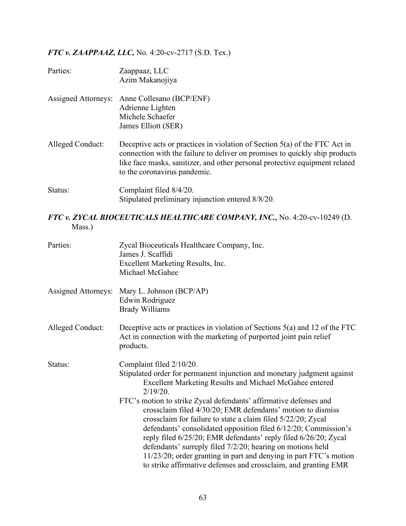## *FTC v. ZAAPPAAZ, LLC,* No. 4:20-cv-2717 (S.D. Tex.)

| Parties:            | Zaappaaz, LLC<br>Azim Makanojiya                                                                                                                                                                                                                                           |
|---------------------|----------------------------------------------------------------------------------------------------------------------------------------------------------------------------------------------------------------------------------------------------------------------------|
| Assigned Attorneys: | Anne Collesano (BCP/ENF)<br>Adrienne Lighten<br>Michele Schaefer<br>James Elliott (SER)                                                                                                                                                                                    |
| Alleged Conduct:    | Deceptive acts or practices in violation of Section $5(a)$ of the FTC Act in<br>connection with the failure to deliver on promises to quickly ship products<br>like face masks, sanitizer, and other personal protective equipment related<br>to the coronavirus pandemic. |
| Status:             | Complaint filed 8/4/20.<br>Stipulated preliminary injunction entered 8/8/20.                                                                                                                                                                                               |

### *FTC v. ZYCAL BIOCEUTICALS HEALTHCARE COMPANY, INC.,* No. 4:20-cv-10249 (D. Mass.)

| Parties:                   | Zycal Bioceuticals Healthcare Company, Inc.<br>James J. Scaffidi<br>Excellent Marketing Results, Inc.<br>Michael McGahee                                                                                                                                                                                                                                                                                                                                                                                                                                                                                                                                                                                                   |
|----------------------------|----------------------------------------------------------------------------------------------------------------------------------------------------------------------------------------------------------------------------------------------------------------------------------------------------------------------------------------------------------------------------------------------------------------------------------------------------------------------------------------------------------------------------------------------------------------------------------------------------------------------------------------------------------------------------------------------------------------------------|
| <b>Assigned Attorneys:</b> | Mary L. Johnson (BCP/AP)<br>Edwin Rodriguez<br><b>Brady Williams</b>                                                                                                                                                                                                                                                                                                                                                                                                                                                                                                                                                                                                                                                       |
| Alleged Conduct:           | Deceptive acts or practices in violation of Sections $5(a)$ and 12 of the FTC<br>Act in connection with the marketing of purported joint pain relief<br>products.                                                                                                                                                                                                                                                                                                                                                                                                                                                                                                                                                          |
| Status:                    | Complaint filed 2/10/20.<br>Stipulated order for permanent injunction and monetary judgment against<br>Excellent Marketing Results and Michael McGahee entered<br>2/19/20.<br>FTC's motion to strike Zycal defendants' affirmative defenses and<br>crossclaim filed 4/30/20; EMR defendants' motion to dismiss<br>crossclaim for failure to state a claim filed 5/22/20; Zycal<br>defendants' consolidated opposition filed 6/12/20; Commission's<br>reply filed 6/25/20; EMR defendants' reply filed 6/26/20; Zycal<br>defendants' surreply filed 7/2/20; hearing on motions held<br>11/23/20; order granting in part and denying in part FTC's motion<br>to strike affirmative defenses and crossclaim, and granting EMR |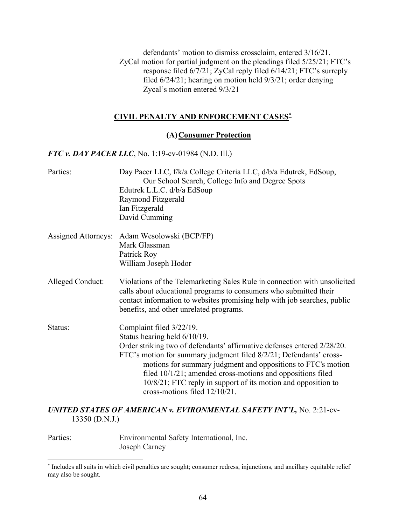defendants' motion to dismiss crossclaim, entered 3/16/21. ZyCal motion for partial judgment on the pleadings filed 5/25/21; FTC's response filed 6/7/21; ZyCal reply filed 6/14/21; FTC's surreply filed 6/24/21; hearing on motion held 9/3/21; order denying Zycal's motion entered 9/3/21

#### **CIVIL PENALTY AND ENFORCEMENT CASES[\\*](#page-66-0)**

#### **(A)Consumer Protection**

#### *FTC v. DAY PACER LLC*, No. 1:19-cv-01984 (N.D. Ill.)

| Parties:                   | Day Pacer LLC, f/k/a College Criteria LLC, d/b/a Edutrek, EdSoup,<br>Our School Search, College Info and Degree Spots<br>Edutrek L.L.C. d/b/a EdSoup<br>Raymond Fitzgerald<br>Ian Fitzgerald<br>David Cumming                                                                                                                                                                                                                                |
|----------------------------|----------------------------------------------------------------------------------------------------------------------------------------------------------------------------------------------------------------------------------------------------------------------------------------------------------------------------------------------------------------------------------------------------------------------------------------------|
| <b>Assigned Attorneys:</b> | Adam Wesolowski (BCP/FP)<br>Mark Glassman<br>Patrick Roy<br>William Joseph Hodor                                                                                                                                                                                                                                                                                                                                                             |
| <b>Alleged Conduct:</b>    | Violations of the Telemarketing Sales Rule in connection with unsolicited<br>calls about educational programs to consumers who submitted their<br>contact information to websites promising help with job searches, public<br>benefits, and other unrelated programs.                                                                                                                                                                        |
| Status:                    | Complaint filed 3/22/19.<br>Status hearing held 6/10/19.<br>Order striking two of defendants' affirmative defenses entered 2/28/20.<br>FTC's motion for summary judgment filed 8/2/21; Defendants' cross-<br>motions for summary judgment and oppositions to FTC's motion<br>filed $10/1/21$ ; amended cross-motions and oppositions filed<br>10/8/21; FTC reply in support of its motion and opposition to<br>cross-motions filed 12/10/21. |

#### *UNITED STATES OF AMERICAN v. EVIRONMENTAL SAFETY INT'L,* No. 2:21-cv-13350 (D.N.J.)

Parties: Environmental Safety International, Inc. Joseph Carney

<span id="page-66-0"></span><sup>\*</sup> Includes all suits in which civil penalties are sought; consumer redress, injunctions, and ancillary equitable relief may also be sought.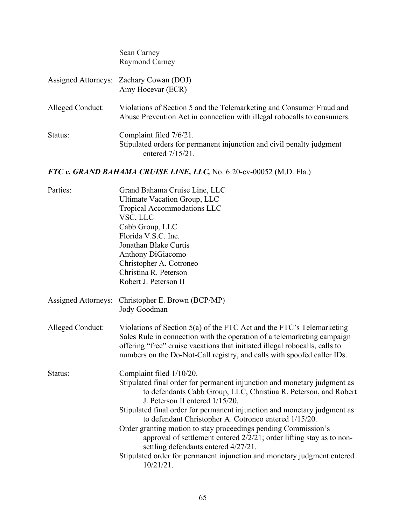|                            | Sean Carney<br><b>Raymond Carney</b>                                                                                                                                                                                                                                                                       |
|----------------------------|------------------------------------------------------------------------------------------------------------------------------------------------------------------------------------------------------------------------------------------------------------------------------------------------------------|
| <b>Assigned Attorneys:</b> | Zachary Cowan (DOJ)<br>Amy Hocevar (ECR)                                                                                                                                                                                                                                                                   |
| Alleged Conduct:           | Violations of Section 5 and the Telemarketing and Consumer Fraud and<br>Abuse Prevention Act in connection with illegal robocalls to consumers.                                                                                                                                                            |
| Status:                    | Complaint filed 7/6/21.<br>Stipulated orders for permanent injunction and civil penalty judgment<br>entered 7/15/21.                                                                                                                                                                                       |
|                            | FTC v. GRAND BAHAMA CRUISE LINE, LLC, No. 6:20-cv-00052 (M.D. Fla.)                                                                                                                                                                                                                                        |
| Parties:                   | Grand Bahama Cruise Line, LLC<br><b>Ultimate Vacation Group, LLC</b><br>Tropical Accommodations LLC<br>VSC, LLC<br>Cabb Group, LLC<br>Florida V.S.C. Inc.<br>Jonathan Blake Curtis<br>Anthony DiGiacomo<br>Christopher A. Cotroneo<br>Christina R. Peterson<br>Robert J. Peterson II                       |
| <b>Assigned Attorneys:</b> | Christopher E. Brown (BCP/MP)<br>Jody Goodman                                                                                                                                                                                                                                                              |
| Alleged Conduct:           | Violations of Section 5(a) of the FTC Act and the FTC's Telemarketing<br>Sales Rule in connection with the operation of a telemarketing campaign<br>offering "free" cruise vacations that initiated illegal robocalls, calls to<br>numbers on the Do-Not-Call registry, and calls with spoofed caller IDs. |

Status: Complaint filed  $1/10/20$ . Stipulated final order for permanent injunction and monetary judgment as to defendants Cabb Group, LLC, Christina R. Peterson, and Robert J. Peterson II entered 1/15/20. Stipulated final order for permanent injunction and monetary judgment as to defendant Christopher A. Cotroneo entered 1/15/20. Order granting motion to stay proceedings pending Commission's approval of settlement entered 2/2/21; order lifting stay as to nonsettling defendants entered 4/27/21. Stipulated order for permanent injunction and monetary judgment entered

10/21/21.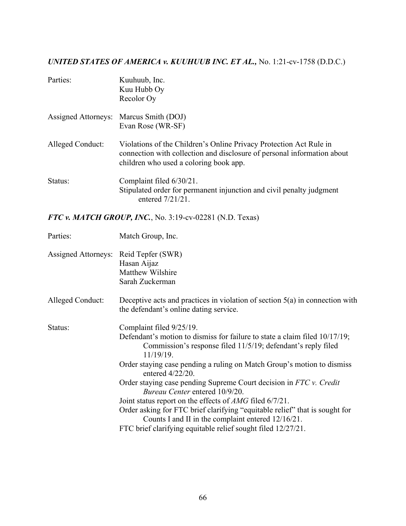## *UNITED STATES OF AMERICA v. KUUHUUB INC. ET AL.,* No. 1:21-cv-1758 (D.D.C.)

| Parties:         | Kuuhuub, Inc.<br>Kuu Hubb Oy<br>Recolor Oy                                                                                                                                              |
|------------------|-----------------------------------------------------------------------------------------------------------------------------------------------------------------------------------------|
|                  | Assigned Attorneys: Marcus Smith (DOJ)<br>Evan Rose (WR-SF)                                                                                                                             |
| Alleged Conduct: | Violations of the Children's Online Privacy Protection Act Rule in<br>connection with collection and disclosure of personal information about<br>children who used a coloring book app. |
| Status:          | Complaint filed 6/30/21.<br>Stipulated order for permanent injunction and civil penalty judgment<br>entered $7/21/21$ .                                                                 |

*FTC v. MATCH GROUP, INC.*, No. 3:19-cv-02281 (N.D. Texas)

| Parties:                              | Match Group, Inc.                                                                                                                                                                                                                                                                                                                                                         |
|---------------------------------------|---------------------------------------------------------------------------------------------------------------------------------------------------------------------------------------------------------------------------------------------------------------------------------------------------------------------------------------------------------------------------|
| Assigned Attorneys: Reid Tepfer (SWR) | Hasan Aijaz<br>Matthew Wilshire<br>Sarah Zuckerman                                                                                                                                                                                                                                                                                                                        |
| Alleged Conduct:                      | Deceptive acts and practices in violation of section $5(a)$ in connection with<br>the defendant's online dating service.                                                                                                                                                                                                                                                  |
| Status:                               | Complaint filed 9/25/19.<br>Defendant's motion to dismiss for failure to state a claim filed $10/17/19$ ;<br>Commission's response filed 11/5/19; defendant's reply filed<br>$11/19/19$ .<br>Order staying case pending a ruling on Match Group's motion to dismiss<br>entered 4/22/20.                                                                                   |
|                                       | Order staying case pending Supreme Court decision in FTC v. Credit<br>Bureau Center entered 10/9/20.<br>Joint status report on the effects of $AMG$ filed $6/7/21$ .<br>Order asking for FTC brief clarifying "equitable relief" that is sought for<br>Counts I and II in the complaint entered 12/16/21.<br>FTC brief clarifying equitable relief sought filed 12/27/21. |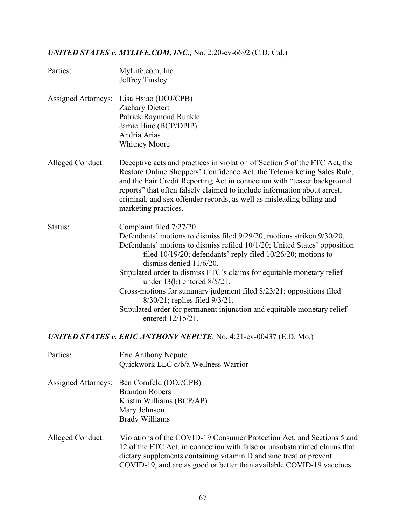# *UNITED STATES v. MYLIFE.COM, INC.,* No. 2:20-cv-6692 (C.D. Cal.)

| Parties:                                                                  | MyLife.com, Inc.<br>Jeffrey Tinsley                                                                                                                                                                                                                                                                                                                                                                                                                                                                                                                                                                     |  |
|---------------------------------------------------------------------------|---------------------------------------------------------------------------------------------------------------------------------------------------------------------------------------------------------------------------------------------------------------------------------------------------------------------------------------------------------------------------------------------------------------------------------------------------------------------------------------------------------------------------------------------------------------------------------------------------------|--|
| <b>Assigned Attorneys:</b>                                                | Lisa Hsiao (DOJ/CPB)<br>Zachary Dietert<br>Patrick Raymond Runkle<br>Jamie Hine (BCP/DPIP)<br>Andria Arias<br><b>Whitney Moore</b>                                                                                                                                                                                                                                                                                                                                                                                                                                                                      |  |
| Alleged Conduct:                                                          | Deceptive acts and practices in violation of Section 5 of the FTC Act, the<br>Restore Online Shoppers' Confidence Act, the Telemarketing Sales Rule,<br>and the Fair Credit Reporting Act in connection with "teaser background<br>reports" that often falsely claimed to include information about arrest,<br>criminal, and sex offender records, as well as misleading billing and<br>marketing practices.                                                                                                                                                                                            |  |
| Status:                                                                   | Complaint filed 7/27/20.<br>Defendants' motions to dismiss filed 9/29/20; motions striken 9/30/20.<br>Defendants' motions to dismiss refiled 10/1/20; United States' opposition<br>filed $10/19/20$ ; defendants' reply filed $10/26/20$ ; motions to<br>dismiss denied 11/6/20.<br>Stipulated order to dismiss FTC's claims for equitable monetary relief<br>under $13(b)$ entered $8/5/21$ .<br>Cross-motions for summary judgment filed 8/23/21; oppositions filed<br>8/30/21; replies filed 9/3/21.<br>Stipulated order for permanent injunction and equitable monetary relief<br>entered 12/15/21. |  |
| <b>UNITED STATES v. ERIC ANTHONY NEPUTE, No. 4:21-cv-00437 (E.D. Mo.)</b> |                                                                                                                                                                                                                                                                                                                                                                                                                                                                                                                                                                                                         |  |
| Parties:                                                                  | Eric Anthony Nepute<br>Quickwork LLC d/b/a Wellness Warrior                                                                                                                                                                                                                                                                                                                                                                                                                                                                                                                                             |  |
| <b>Assigned Attorneys:</b>                                                | Ben Cornfeld (DOJ/CPB)<br><b>Brandon Robers</b><br>Kristin Williams (BCP/AP)<br>Mary Johnson<br><b>Brady Williams</b>                                                                                                                                                                                                                                                                                                                                                                                                                                                                                   |  |
| Alleged Conduct:                                                          | Violations of the COVID-19 Consumer Protection Act, and Sections 5 and<br>12 of the FTC Act, in connection with false or unsubstantiated claims that<br>dietary supplements containing vitamin D and zinc treat or prevent<br>COVID-19, and are as good or better than available COVID-19 vaccines                                                                                                                                                                                                                                                                                                      |  |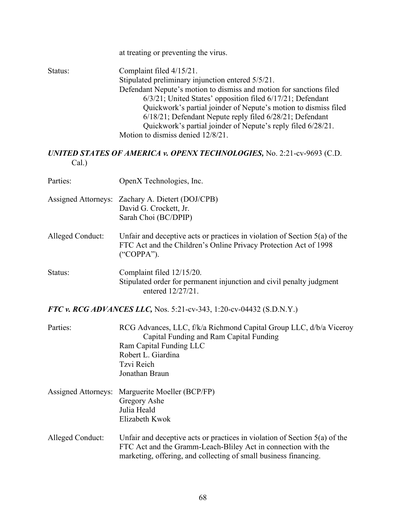|                                                                                    | at treating or preventing the virus.                                                                                                                                                                                                                                                                                                                                                                                                                   |  |
|------------------------------------------------------------------------------------|--------------------------------------------------------------------------------------------------------------------------------------------------------------------------------------------------------------------------------------------------------------------------------------------------------------------------------------------------------------------------------------------------------------------------------------------------------|--|
| Status:                                                                            | Complaint filed 4/15/21.<br>Stipulated preliminary injunction entered 5/5/21.<br>Defendant Nepute's motion to dismiss and motion for sanctions filed<br>6/3/21; United States' opposition filed 6/17/21; Defendant<br>Quickwork's partial joinder of Nepute's motion to dismiss filed<br>6/18/21; Defendant Nepute reply filed 6/28/21; Defendant<br>Quickwork's partial joinder of Nepute's reply filed 6/28/21.<br>Motion to dismiss denied 12/8/21. |  |
| UNITED STATES OF AMERICA v. OPENX TECHNOLOGIES, No. 2:21-cv-9693 (C.D.<br>$Cal.$ ) |                                                                                                                                                                                                                                                                                                                                                                                                                                                        |  |
| Parties:                                                                           | OpenX Technologies, Inc.                                                                                                                                                                                                                                                                                                                                                                                                                               |  |
|                                                                                    | Assigned Attorneys: Zachary A. Dietert (DOJ/CPB)<br>David G. Crockett, Jr.<br>Sarah Choi (BC/DPIP)                                                                                                                                                                                                                                                                                                                                                     |  |
| Alleged Conduct:                                                                   | Unfair and deceptive acts or practices in violation of Section $5(a)$ of the<br>FTC Act and the Children's Online Privacy Protection Act of 1998<br>("COPPA").                                                                                                                                                                                                                                                                                         |  |
| Status:                                                                            | Complaint filed 12/15/20.<br>Stipulated order for permanent injunction and civil penalty judgment<br>entered 12/27/21.                                                                                                                                                                                                                                                                                                                                 |  |
| FTC v. RCG ADVANCES LLC, Nos. 5:21-cv-343, 1:20-cv-04432 (S.D.N.Y.)                |                                                                                                                                                                                                                                                                                                                                                                                                                                                        |  |
| Parties:                                                                           | RCG Advances, LLC, f/k/a Richmond Capital Group LLC, d/b/a Viceroy<br>Capital Funding and Ram Capital Funding<br>Ram Capital Funding LLC<br>Robert L. Giardina<br>Tzvi Reich<br>Jonathan Braun                                                                                                                                                                                                                                                         |  |
| <b>Assigned Attorneys:</b>                                                         | Marguerite Moeller (BCP/FP)<br>Gregory Ashe<br>Julia Heald<br>Elizabeth Kwok                                                                                                                                                                                                                                                                                                                                                                           |  |
| Alleged Conduct:                                                                   | Unfair and deceptive acts or practices in violation of Section $5(a)$ of the<br>FTC Act and the Gramm-Leach-Bliley Act in connection with the<br>marketing, offering, and collecting of small business financing.                                                                                                                                                                                                                                      |  |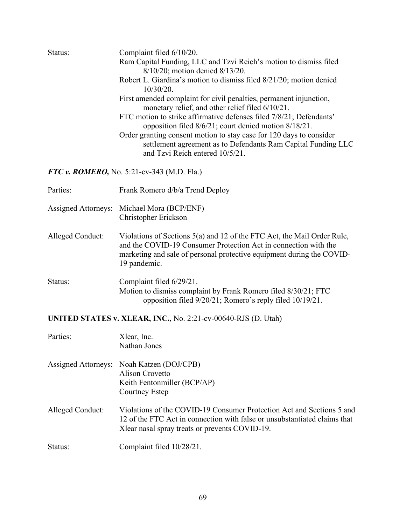| Status:                                                       | Complaint filed 6/10/20.<br>Ram Capital Funding, LLC and Tzvi Reich's motion to dismiss filed<br>8/10/20; motion denied 8/13/20.<br>Robert L. Giardina's motion to dismiss filed 8/21/20; motion denied<br>$10/30/20$ .<br>First amended complaint for civil penalties, permanent injunction,<br>monetary relief, and other relief filed 6/10/21.<br>FTC motion to strike affirmative defenses filed 7/8/21; Defendants'<br>opposition filed 8/6/21; court denied motion 8/18/21.<br>Order granting consent motion to stay case for 120 days to consider<br>settlement agreement as to Defendants Ram Capital Funding LLC<br>and Tzvi Reich entered 10/5/21. |  |
|---------------------------------------------------------------|--------------------------------------------------------------------------------------------------------------------------------------------------------------------------------------------------------------------------------------------------------------------------------------------------------------------------------------------------------------------------------------------------------------------------------------------------------------------------------------------------------------------------------------------------------------------------------------------------------------------------------------------------------------|--|
| FTC v. ROMERO, No. 5:21-cv-343 (M.D. Fla.)                    |                                                                                                                                                                                                                                                                                                                                                                                                                                                                                                                                                                                                                                                              |  |
| Parties:                                                      | Frank Romero d/b/a Trend Deploy                                                                                                                                                                                                                                                                                                                                                                                                                                                                                                                                                                                                                              |  |
| <b>Assigned Attorneys:</b>                                    | Michael Mora (BCP/ENF)<br>Christopher Erickson                                                                                                                                                                                                                                                                                                                                                                                                                                                                                                                                                                                                               |  |
| Alleged Conduct:                                              | Violations of Sections 5(a) and 12 of the FTC Act, the Mail Order Rule,<br>and the COVID-19 Consumer Protection Act in connection with the<br>marketing and sale of personal protective equipment during the COVID-<br>19 pandemic.                                                                                                                                                                                                                                                                                                                                                                                                                          |  |
| Status:                                                       | Complaint filed 6/29/21.<br>Motion to dismiss complaint by Frank Romero filed 8/30/21; FTC<br>opposition filed 9/20/21; Romero's reply filed 10/19/21.                                                                                                                                                                                                                                                                                                                                                                                                                                                                                                       |  |
| UNITED STATES v. XLEAR, INC., No. 2:21-cv-00640-RJS (D. Utah) |                                                                                                                                                                                                                                                                                                                                                                                                                                                                                                                                                                                                                                                              |  |

| Parties:                   | Xlear, Inc.<br>Nathan Jones                                                                                                                                                                           |
|----------------------------|-------------------------------------------------------------------------------------------------------------------------------------------------------------------------------------------------------|
| <b>Assigned Attorneys:</b> | Noah Katzen (DOJ/CPB)<br>Alison Crovetto<br>Keith Fentonmiller (BCP/AP)<br>Courtney Estep                                                                                                             |
| Alleged Conduct:           | Violations of the COVID-19 Consumer Protection Act and Sections 5 and<br>12 of the FTC Act in connection with false or unsubstantiated claims that<br>X lear nasal spray treats or prevents COVID-19. |
| Status:                    | Complaint filed 10/28/21.                                                                                                                                                                             |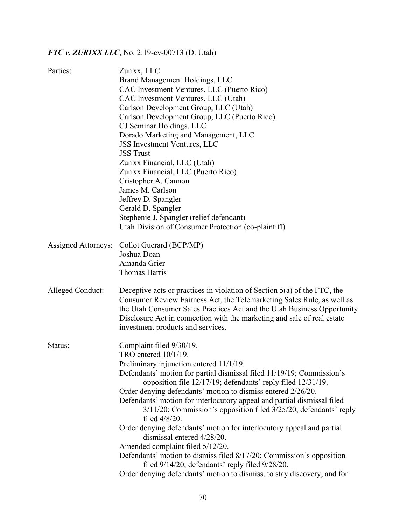# *FTC v. ZURIXX LLC*, No. 2:19-cv-00713 (D. Utah)

| Parties:                   | Zurixx, LLC                                                                        |  |  |
|----------------------------|------------------------------------------------------------------------------------|--|--|
|                            | Brand Management Holdings, LLC                                                     |  |  |
|                            | CAC Investment Ventures, LLC (Puerto Rico)                                         |  |  |
|                            | CAC Investment Ventures, LLC (Utah)                                                |  |  |
|                            | Carlson Development Group, LLC (Utah)                                              |  |  |
|                            | Carlson Development Group, LLC (Puerto Rico)                                       |  |  |
|                            | CJ Seminar Holdings, LLC                                                           |  |  |
|                            | Dorado Marketing and Management, LLC                                               |  |  |
|                            | JSS Investment Ventures, LLC                                                       |  |  |
|                            | <b>JSS Trust</b>                                                                   |  |  |
|                            | Zurixx Financial, LLC (Utah)                                                       |  |  |
|                            | Zurixx Financial, LLC (Puerto Rico)                                                |  |  |
|                            | Cristopher A. Cannon                                                               |  |  |
|                            | James M. Carlson                                                                   |  |  |
|                            | Jeffrey D. Spangler                                                                |  |  |
|                            | Gerald D. Spangler                                                                 |  |  |
|                            | Stephenie J. Spangler (relief defendant)                                           |  |  |
|                            | Utah Division of Consumer Protection (co-plaintiff)                                |  |  |
| <b>Assigned Attorneys:</b> | Collot Guerard (BCP/MP)                                                            |  |  |
|                            | Joshua Doan                                                                        |  |  |
|                            | Amanda Grier                                                                       |  |  |
|                            | <b>Thomas Harris</b>                                                               |  |  |
|                            |                                                                                    |  |  |
| Alleged Conduct:           | Deceptive acts or practices in violation of Section 5(a) of the FTC, the           |  |  |
|                            | Consumer Review Fairness Act, the Telemarketing Sales Rule, as well as             |  |  |
|                            | the Utah Consumer Sales Practices Act and the Utah Business Opportunity            |  |  |
|                            | Disclosure Act in connection with the marketing and sale of real estate            |  |  |
|                            | investment products and services.                                                  |  |  |
| Status:                    | Complaint filed 9/30/19.                                                           |  |  |
|                            | TRO entered 10/1/19.                                                               |  |  |
|                            | Preliminary injunction entered 11/1/19.                                            |  |  |
|                            | Defendants' motion for partial dismissal filed 11/19/19; Commission's              |  |  |
|                            | opposition file 12/17/19; defendants' reply filed 12/31/19.                        |  |  |
|                            | Order denying defendants' motion to dismiss entered 2/26/20.                       |  |  |
|                            | Defendants' motion for interlocutory appeal and partial dismissal filed            |  |  |
|                            | 3/11/20; Commission's opposition filed 3/25/20; defendants' reply<br>filed 4/8/20. |  |  |
|                            | Order denying defendants' motion for interlocutory appeal and partial              |  |  |
|                            | dismissal entered 4/28/20.                                                         |  |  |
|                            | Amended complaint filed 5/12/20.                                                   |  |  |
|                            | Defendants' motion to dismiss filed 8/17/20; Commission's opposition               |  |  |
|                            | filed 9/14/20; defendants' reply filed 9/28/20.                                    |  |  |
|                            | Order denying defendants' motion to dismiss, to stay discovery, and for            |  |  |
|                            |                                                                                    |  |  |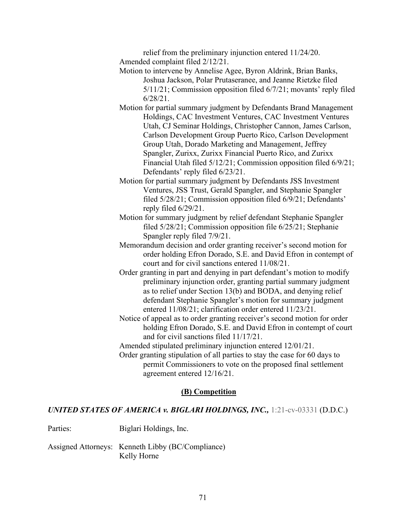relief from the preliminary injunction entered 11/24/20. Amended complaint filed 2/12/21.

- Motion to intervene by Annelise Agee, Byron Aldrink, Brian Banks, Joshua Jackson, Polar Prutaseranee, and Jeanne Rietzke filed 5/11/21; Commission opposition filed 6/7/21; movants' reply filed 6/28/21.
- Motion for partial summary judgment by Defendants Brand Management Holdings, CAC Investment Ventures, CAC Investment Ventures Utah, CJ Seminar Holdings, Christopher Cannon, James Carlson, Carlson Development Group Puerto Rico, Carlson Development Group Utah, Dorado Marketing and Management, Jeffrey Spangler, Zurixx, Zurixx Financial Puerto Rico, and Zurixx Financial Utah filed 5/12/21; Commission opposition filed 6/9/21; Defendants' reply filed 6/23/21.
- Motion for partial summary judgment by Defendants JSS Investment Ventures, JSS Trust, Gerald Spangler, and Stephanie Spangler filed 5/28/21; Commission opposition filed 6/9/21; Defendants' reply filed 6/29/21.
- Motion for summary judgment by relief defendant Stephanie Spangler filed 5/28/21; Commission opposition file 6/25/21; Stephanie Spangler reply filed 7/9/21.
- Memorandum decision and order granting receiver's second motion for order holding Efron Dorado, S.E. and David Efron in contempt of court and for civil sanctions entered 11/08/21.
- Order granting in part and denying in part defendant's motion to modify preliminary injunction order, granting partial summary judgment as to relief under Section 13(b) and BODA, and denying relief defendant Stephanie Spangler's motion for summary judgment entered 11/08/21; clarification order entered 11/23/21.
- Notice of appeal as to order granting receiver's second motion for order holding Efron Dorado, S.E. and David Efron in contempt of court and for civil sanctions filed 11/17/21.
- Amended stipulated preliminary injunction entered 12/01/21.
- Order granting stipulation of all parties to stay the case for 60 days to permit Commissioners to vote on the proposed final settlement agreement entered 12/16/21.

#### **(B) Competition**

#### *UNITED STATES OF AMERICA v. BIGLARI HOLDINGS, INC.,* 1:21-cv-03331 (D.D.C.)

- Parties: Biglari Holdings, Inc.
- Assigned Attorneys: Kenneth Libby (BC/Compliance) Kelly Horne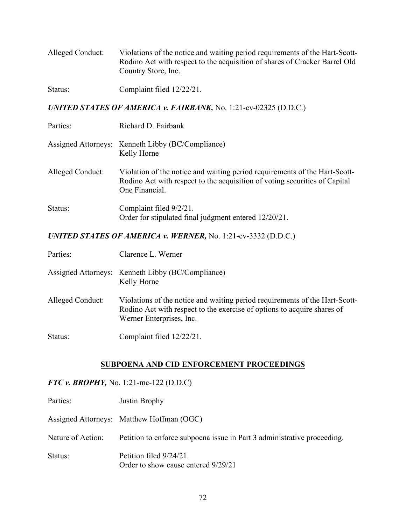| Alleged Conduct: | Violations of the notice and waiting period requirements of the Hart-Scott- |
|------------------|-----------------------------------------------------------------------------|
|                  | Rodino Act with respect to the acquisition of shares of Cracker Barrel Old  |
|                  | Country Store, Inc.                                                         |

Status: Complaint filed  $12/22/21$ .

*UNITED STATES OF AMERICA v. FAIRBANK,* No. 1:21-cv-02325 (D.D.C.)

| Parties:         | Richard D. Fairbank                                                                                                                                                        |  |
|------------------|----------------------------------------------------------------------------------------------------------------------------------------------------------------------------|--|
|                  | Assigned Attorneys: Kenneth Libby (BC/Compliance)<br>Kelly Horne                                                                                                           |  |
| Alleged Conduct: | Violation of the notice and waiting period requirements of the Hart-Scott-<br>Rodino Act with respect to the acquisition of voting securities of Capital<br>One Financial. |  |
| Status:          | Complaint filed 9/2/21.<br>Order for stipulated final judgment entered 12/20/21.                                                                                           |  |

*UNITED STATES OF AMERICA v. WERNER,* No. 1:21-cv-3332 (D.D.C.)

| Parties:         | Clarence L. Werner                                                                                                                                                                 |
|------------------|------------------------------------------------------------------------------------------------------------------------------------------------------------------------------------|
|                  | Assigned Attorneys: Kenneth Libby (BC/Compliance)<br>Kelly Horne                                                                                                                   |
| Alleged Conduct: | Violations of the notice and waiting period requirements of the Hart-Scott-<br>Rodino Act with respect to the exercise of options to acquire shares of<br>Werner Enterprises, Inc. |
| Status:          | Complaint filed 12/22/21.                                                                                                                                                          |

## **SUBPOENA AND CID ENFORCEMENT PROCEEDINGS**

*FTC v. BROPHY,* No. 1:21-mc-122 (D.D.C)

| Parties:          | Justin Brophy                                                           |  |  |
|-------------------|-------------------------------------------------------------------------|--|--|
|                   | Assigned Attorneys: Matthew Hoffman (OGC)                               |  |  |
| Nature of Action: | Petition to enforce subpoena issue in Part 3 administrative proceeding. |  |  |
| Status:           | Petition filed 9/24/21.<br>Order to show cause entered 9/29/21          |  |  |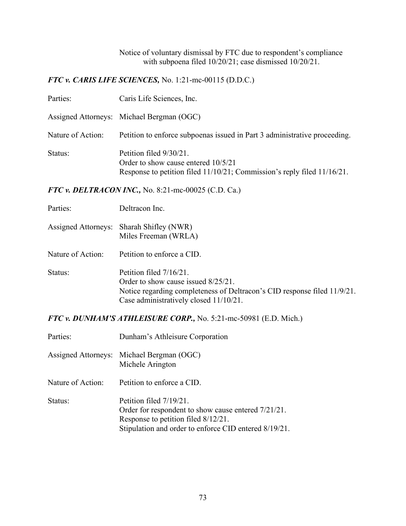Notice of voluntary dismissal by FTC due to respondent's compliance with subpoena filed 10/20/21; case dismissed 10/20/21.

*FTC v. CARIS LIFE SCIENCES,* No. 1:21-mc-00115 (D.D.C.)

| Parties:          | Caris Life Sciences, Inc.                                                                                                                 |  |  |
|-------------------|-------------------------------------------------------------------------------------------------------------------------------------------|--|--|
|                   | Assigned Attorneys: Michael Bergman (OGC)                                                                                                 |  |  |
| Nature of Action: | Petition to enforce subpoenas issued in Part 3 administrative proceeding.                                                                 |  |  |
| Status:           | Petition filed 9/30/21.<br>Order to show cause entered 10/5/21<br>Response to petition filed 11/10/21; Commission's reply filed 11/16/21. |  |  |

*FTC v. DELTRACON INC.,* No. 8:21-mc-00025 (C.D. Ca.)

Assigned Attorneys: Sharah Shifley (NWR) Miles Freeman (WRLA)

Nature of Action: Petition to enforce a CID.

Status: Petition filed  $7/16/21$ . Order to show cause issued 8/25/21. Notice regarding completeness of Deltracon's CID response filed 11/9/21. Case administratively closed 11/10/21.

*FTC v. DUNHAM'S ATHLEISURE CORP.,* No. 5:21-mc-50981 (E.D. Mich.)

| Parties:          | Dunham's Athleisure Corporation                                                                                                                                                |  |  |
|-------------------|--------------------------------------------------------------------------------------------------------------------------------------------------------------------------------|--|--|
|                   | Assigned Attorneys: Michael Bergman (OGC)<br>Michele Arington                                                                                                                  |  |  |
| Nature of Action: | Petition to enforce a CID.                                                                                                                                                     |  |  |
| Status:           | Petition filed 7/19/21.<br>Order for respondent to show cause entered 7/21/21.<br>Response to petition filed 8/12/21.<br>Stipulation and order to enforce CID entered 8/19/21. |  |  |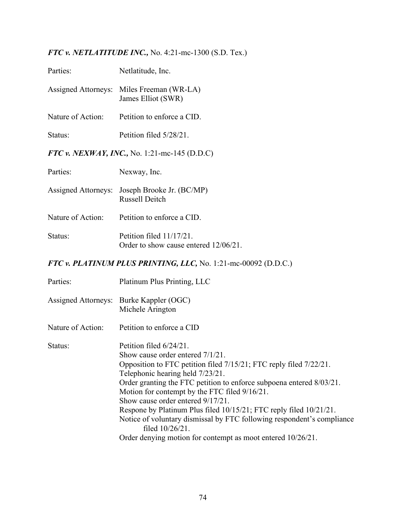*FTC v. NETLATITUDE INC.,* No. 4:21-mc-1300 (S.D. Tex.)

| Parties:                   | Netlatitude, Inc.                                                                                                                                                                                                                                                                                                                                                                                                                                                                                                                                                     |  |  |
|----------------------------|-----------------------------------------------------------------------------------------------------------------------------------------------------------------------------------------------------------------------------------------------------------------------------------------------------------------------------------------------------------------------------------------------------------------------------------------------------------------------------------------------------------------------------------------------------------------------|--|--|
| <b>Assigned Attorneys:</b> | Miles Freeman (WR-LA)<br>James Elliot (SWR)                                                                                                                                                                                                                                                                                                                                                                                                                                                                                                                           |  |  |
| Nature of Action:          | Petition to enforce a CID.                                                                                                                                                                                                                                                                                                                                                                                                                                                                                                                                            |  |  |
| Status:                    | Petition filed 5/28/21.                                                                                                                                                                                                                                                                                                                                                                                                                                                                                                                                               |  |  |
|                            | FTC v. NEXWAY, INC., No. 1:21-mc-145 (D.D.C)                                                                                                                                                                                                                                                                                                                                                                                                                                                                                                                          |  |  |
| Parties:                   | Nexway, Inc.                                                                                                                                                                                                                                                                                                                                                                                                                                                                                                                                                          |  |  |
| <b>Assigned Attorneys:</b> | Joseph Brooke Jr. (BC/MP)<br><b>Russell Deitch</b>                                                                                                                                                                                                                                                                                                                                                                                                                                                                                                                    |  |  |
| Nature of Action:          | Petition to enforce a CID.                                                                                                                                                                                                                                                                                                                                                                                                                                                                                                                                            |  |  |
| Status:                    | Petition filed 11/17/21.<br>Order to show cause entered 12/06/21.                                                                                                                                                                                                                                                                                                                                                                                                                                                                                                     |  |  |
|                            | FTC v. PLATINUM PLUS PRINTING, LLC, No. 1:21-mc-00092 (D.D.C.)                                                                                                                                                                                                                                                                                                                                                                                                                                                                                                        |  |  |
| Parties:                   | Platinum Plus Printing, LLC                                                                                                                                                                                                                                                                                                                                                                                                                                                                                                                                           |  |  |
|                            | Assigned Attorneys: Burke Kappler (OGC)<br>Michele Arington                                                                                                                                                                                                                                                                                                                                                                                                                                                                                                           |  |  |
| Nature of Action:          | Petition to enforce a CID                                                                                                                                                                                                                                                                                                                                                                                                                                                                                                                                             |  |  |
| Status:                    | Petition filed 6/24/21.<br>Show cause order entered 7/1/21.<br>Opposition to FTC petition filed 7/15/21; FTC reply filed 7/22/21.<br>Telephonic hearing held 7/23/21.<br>Order granting the FTC petition to enforce subpoena entered 8/03/21.<br>Motion for contempt by the FTC filed 9/16/21.<br>Show cause order entered 9/17/21.<br>Respone by Platinum Plus filed 10/15/21; FTC reply filed 10/21/21.<br>Notice of voluntary dismissal by FTC following respondent's compliance<br>filed 10/26/21.<br>Order denying motion for contempt as moot entered 10/26/21. |  |  |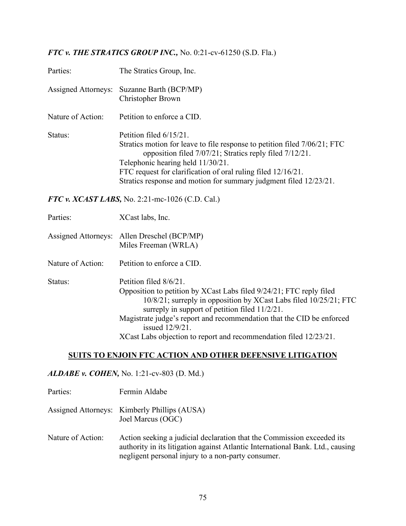## *FTC v. THE STRATICS GROUP INC.,* No. 0:21-cv-61250 (S.D. Fla.)

| Parties:                   | The Stratics Group, Inc.                                                                                                                                                                                                                                                                                                                                                                 |  |  |
|----------------------------|------------------------------------------------------------------------------------------------------------------------------------------------------------------------------------------------------------------------------------------------------------------------------------------------------------------------------------------------------------------------------------------|--|--|
| <b>Assigned Attorneys:</b> | Suzanne Barth (BCP/MP)<br><b>Christopher Brown</b>                                                                                                                                                                                                                                                                                                                                       |  |  |
| Nature of Action:          | Petition to enforce a CID.                                                                                                                                                                                                                                                                                                                                                               |  |  |
| Status:                    | Petition filed 6/15/21.<br>Stratics motion for leave to file response to petition filed 7/06/21; FTC<br>opposition filed 7/07/21; Stratics reply filed 7/12/21.<br>Telephonic hearing held 11/30/21.<br>FTC request for clarification of oral ruling filed 12/16/21.<br>Stratics response and motion for summary judgment filed 12/23/21.                                                |  |  |
|                            | FTC v. $XCAST LABS$ , No. 2:21-mc-1026 (C.D. Cal.)                                                                                                                                                                                                                                                                                                                                       |  |  |
| Parties:                   | XCast labs, Inc.                                                                                                                                                                                                                                                                                                                                                                         |  |  |
|                            | Assigned Attorneys: Allen Dreschel (BCP/MP)<br>Miles Freeman (WRLA)                                                                                                                                                                                                                                                                                                                      |  |  |
| Nature of Action:          | Petition to enforce a CID.                                                                                                                                                                                                                                                                                                                                                               |  |  |
| Status:                    | Petition filed 8/6/21.<br>Opposition to petition by XCast Labs filed 9/24/21; FTC reply filed<br>10/8/21; surreply in opposition by XCast Labs filed 10/25/21; FTC<br>surreply in support of petition filed $11/2/21$ .<br>Magistrate judge's report and recommendation that the CID be enforced<br>issued 12/9/21.<br>XCast Labs objection to report and recommendation filed 12/23/21. |  |  |

### **SUITS TO ENJOIN FTC ACTION AND OTHER DEFENSIVE LITIGATION**

## *ALDABE v. COHEN,* No. 1:21-cv-803 (D. Md.)

| Parties:          | Fermin Aldabe                                                                             |
|-------------------|-------------------------------------------------------------------------------------------|
|                   | Assigned Attorneys: Kimberly Phillips (AUSA)<br>Joel Marcus (OGC)                         |
| Nature of Action: | Action seeking a judicial declaration that<br>outhoutry in its litigation occure Atlantic |

the Commission exceeded its authority in its litigation against Atlantic International Bank. Ltd., causing negligent personal injury to a non-party consumer.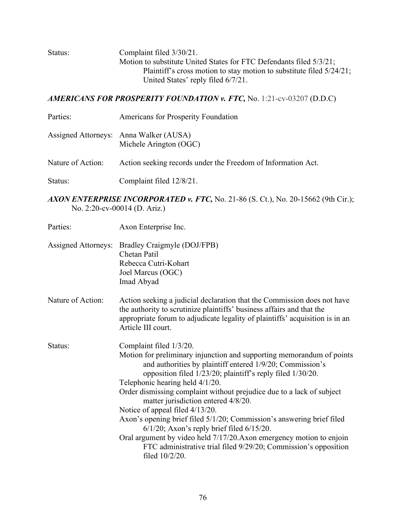Status: Complaint filed  $3/30/21$ . Motion to substitute United States for FTC Defendants filed 5/3/21; Plaintiff's cross motion to stay motion to substitute filed 5/24/21; United States' reply filed 6/7/21.

#### *AMERICANS FOR PROSPERITY FOUNDATION v. FTC,* No. 1:21-cv-03207 (D.D.C)

- Parties: Americans for Prosperity Foundation
- Assigned Attorneys: Anna Walker (AUSA) Michele Arington (OGC)
- Nature of Action: Action seeking records under the Freedom of Information Act.
- Status: Complaint filed  $12/8/21$ .
- *AXON ENTERPRISE INCORPORATED v. FTC,* No. 21-86 (S. Ct.), No. 20-15662 (9th Cir.); No. 2:20-cv-00014 (D. Ariz.)

| Parties:                   | Axon Enterprise Inc.                                                                                                                                                                                                                                                                                                                                                                                                                                                                                                                                                                                                                                                                                       |  |  |
|----------------------------|------------------------------------------------------------------------------------------------------------------------------------------------------------------------------------------------------------------------------------------------------------------------------------------------------------------------------------------------------------------------------------------------------------------------------------------------------------------------------------------------------------------------------------------------------------------------------------------------------------------------------------------------------------------------------------------------------------|--|--|
| <b>Assigned Attorneys:</b> | Bradley Craigmyle (DOJ/FPB)<br>Chetan Patil<br>Rebecca Cutri-Kohart<br>Joel Marcus (OGC)<br>Imad Abyad                                                                                                                                                                                                                                                                                                                                                                                                                                                                                                                                                                                                     |  |  |
| Nature of Action:          | Action seeking a judicial declaration that the Commission does not have<br>the authority to scrutinize plaintiffs' business affairs and that the<br>appropriate forum to adjudicate legality of plaintiffs' acquisition is in an<br>Article III court.                                                                                                                                                                                                                                                                                                                                                                                                                                                     |  |  |
| Status:                    | Complaint filed 1/3/20.<br>Motion for preliminary injunction and supporting memorandum of points<br>and authorities by plaintiff entered 1/9/20; Commission's<br>opposition filed 1/23/20; plaintiff's reply filed 1/30/20.<br>Telephonic hearing held 4/1/20.<br>Order dismissing complaint without prejudice due to a lack of subject<br>matter jurisdiction entered 4/8/20.<br>Notice of appeal filed 4/13/20.<br>Axon's opening brief filed 5/1/20; Commission's answering brief filed<br>$6/1/20$ ; Axon's reply brief filed $6/15/20$ .<br>Oral argument by video held 7/17/20. Axon emergency motion to enjoin<br>FTC administrative trial filed 9/29/20; Commission's opposition<br>filed 10/2/20. |  |  |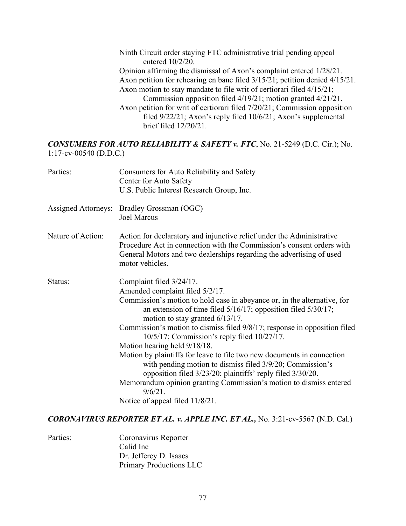Ninth Circuit order staying FTC administrative trial pending appeal entered 10/2/20. Opinion affirming the dismissal of Axon's complaint entered 1/28/21. Axon petition for rehearing en banc filed 3/15/21; petition denied 4/15/21. Axon motion to stay mandate to file writ of certiorari filed 4/15/21; Commission opposition filed 4/19/21; motion granted 4/21/21. Axon petition for writ of certiorari filed 7/20/21; Commission opposition filed 9/22/21; Axon's reply filed 10/6/21; Axon's supplemental brief filed 12/20/21.

#### *CONSUMERS FOR AUTO RELIABILITY & SAFETY v. FTC*, No. 21-5249 (D.C. Cir.); No. 1:17-cv-00540 (D.D.C.)

| Parties:            | Consumers for Auto Reliability and Safety<br>Center for Auto Safety<br>U.S. Public Interest Research Group, Inc.                                                                                                                                                                                                                                                                                                                                                                                                                                                                                                                                                                                                                             |
|---------------------|----------------------------------------------------------------------------------------------------------------------------------------------------------------------------------------------------------------------------------------------------------------------------------------------------------------------------------------------------------------------------------------------------------------------------------------------------------------------------------------------------------------------------------------------------------------------------------------------------------------------------------------------------------------------------------------------------------------------------------------------|
| Assigned Attorneys: | Bradley Grossman (OGC)<br><b>Joel Marcus</b>                                                                                                                                                                                                                                                                                                                                                                                                                                                                                                                                                                                                                                                                                                 |
| Nature of Action:   | Action for declaratory and injunctive relief under the Administrative<br>Procedure Act in connection with the Commission's consent orders with<br>General Motors and two dealerships regarding the advertising of used<br>motor vehicles.                                                                                                                                                                                                                                                                                                                                                                                                                                                                                                    |
| Status:             | Complaint filed 3/24/17.<br>Amended complaint filed 5/2/17.<br>Commission's motion to hold case in abeyance or, in the alternative, for<br>an extension of time filed $5/16/17$ ; opposition filed $5/30/17$ ;<br>motion to stay granted $6/13/17$ .<br>Commission's motion to dismiss filed 9/8/17; response in opposition filed<br>10/5/17; Commission's reply filed 10/27/17.<br>Motion hearing held 9/18/18.<br>Motion by plaintiffs for leave to file two new documents in connection<br>with pending motion to dismiss filed 3/9/20; Commission's<br>opposition filed 3/23/20; plaintiffs' reply filed 3/30/20.<br>Memorandum opinion granting Commission's motion to dismiss entered<br>$9/6/21$ .<br>Notice of appeal filed 11/8/21. |

#### *CORONAVIRUS REPORTER ET AL. v. APPLE INC. ET AL.,* No. 3:21-cv-5567 (N.D. Cal.)

| Parties: | Coronavirus Reporter           |
|----------|--------------------------------|
|          | Calid Inc                      |
|          | Dr. Jefferey D. Isaacs         |
|          | <b>Primary Productions LLC</b> |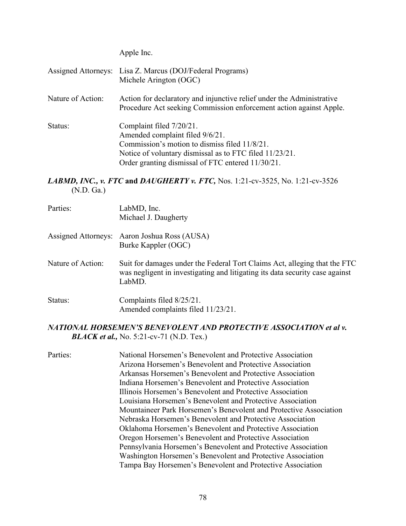Apple Inc.

|                   | Assigned Attorneys: Lisa Z. Marcus (DOJ/Federal Programs)<br>Michele Arington (OGC)                                                                                                                                          |
|-------------------|------------------------------------------------------------------------------------------------------------------------------------------------------------------------------------------------------------------------------|
| Nature of Action: | Action for declaratory and injunctive relief under the Administrative<br>Procedure Act seeking Commission enforcement action against Apple.                                                                                  |
| Status:           | Complaint filed 7/20/21.<br>Amended complaint filed 9/6/21.<br>Commission's motion to dismiss filed 11/8/21.<br>Notice of voluntary dismissal as to FTC filed 11/23/21.<br>Order granting dismissal of FTC entered 11/30/21. |

*LABMD, INC., v. FTC* **and** *DAUGHERTY v. FTC,* Nos. 1:21-cv-3525, No. 1:21-cv-3526 (N.D. Ga.)

| Parties:          | LabMD, Inc.<br>Michael J. Daugherty                                                                                                                                 |
|-------------------|---------------------------------------------------------------------------------------------------------------------------------------------------------------------|
|                   | Assigned Attorneys: Aaron Joshua Ross (AUSA)<br>Burke Kappler (OGC)                                                                                                 |
| Nature of Action: | Suit for damages under the Federal Tort Claims Act, alleging that the FTC<br>was negligent in investigating and litigating its data security case against<br>LabMD. |
| Status:           | Complaints filed 8/25/21.<br>Amended complaints filed 11/23/21.                                                                                                     |

#### *NATIONAL HORSEMEN'S BENEVOLENT AND PROTECTIVE ASSOCIATION et al v. BLACK et al., No.* 5:21-cv-71 (N.D. Tex.)

Parties: National Horsemen's Benevolent and Protective Association Arizona Horsemen's Benevolent and Protective Association Arkansas Horsemen's Benevolent and Protective Association Indiana Horsemen's Benevolent and Protective Association Illinois Horsemen's Benevolent and Protective Association Louisiana Horsemen's Benevolent and Protective Association Mountaineer Park Horsemen's Benevolent and Protective Association Nebraska Horsemen's Benevolent and Protective Association Oklahoma Horsemen's Benevolent and Protective Association Oregon Horsemen's Benevolent and Protective Association Pennsylvania Horsemen's Benevolent and Protective Association Washington Horsemen's Benevolent and Protective Association Tampa Bay Horsemen's Benevolent and Protective Association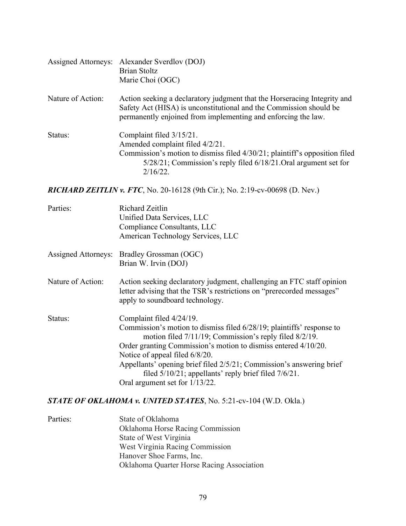|                   | Assigned Attorneys: Alexander Sverdlov (DOJ)<br><b>Brian Stoltz</b><br>Marie Choi (OGC)                                                                                                                                         |
|-------------------|---------------------------------------------------------------------------------------------------------------------------------------------------------------------------------------------------------------------------------|
| Nature of Action: | Action seeking a declaratory judgment that the Horseracing Integrity and<br>Safety Act (HISA) is unconstitutional and the Commission should be<br>permanently enjoined from implementing and enforcing the law.                 |
| Status:           | Complaint filed $3/15/21$ .<br>Amended complaint filed 4/2/21.<br>Commission's motion to dismiss filed 4/30/21; plaintiff's opposition filed<br>5/28/21; Commission's reply filed 6/18/21. Oral argument set for<br>$2/16/22$ . |

*RICHARD ZEITLIN v. FTC*, No. 20-16128 (9th Cir.); No. 2:19-cv-00698 (D. Nev.)

| Parties:            | Richard Zeitlin<br>Unified Data Services, LLC<br>Compliance Consultants, LLC<br>American Technology Services, LLC                                                                                                                                                                                                                                                                                                                       |
|---------------------|-----------------------------------------------------------------------------------------------------------------------------------------------------------------------------------------------------------------------------------------------------------------------------------------------------------------------------------------------------------------------------------------------------------------------------------------|
| Assigned Attorneys: | Bradley Grossman (OGC)<br>Brian W. Irvin (DOJ)                                                                                                                                                                                                                                                                                                                                                                                          |
| Nature of Action:   | Action seeking declaratory judgment, challenging an FTC staff opinion<br>letter advising that the TSR's restrictions on "prerecorded messages"<br>apply to soundboard technology.                                                                                                                                                                                                                                                       |
| Status:             | Complaint filed 4/24/19.<br>Commission's motion to dismiss filed 6/28/19; plaintiffs' response to<br>motion filed 7/11/19; Commission's reply filed 8/2/19.<br>Order granting Commission's motion to dismiss entered 4/10/20.<br>Notice of appeal filed 6/8/20.<br>Appellants' opening brief filed 2/5/21; Commission's answering brief<br>filed $5/10/21$ ; appellants' reply brief filed $7/6/21$ .<br>Oral argument set for 1/13/22. |

## *STATE OF OKLAHOMA v. UNITED STATES*, No. 5:21-cv-104 (W.D. Okla.)

| Parties: | State of Oklahoma                         |
|----------|-------------------------------------------|
|          | <b>Oklahoma Horse Racing Commission</b>   |
|          | State of West Virginia                    |
|          | West Virginia Racing Commission           |
|          | Hanover Shoe Farms, Inc.                  |
|          | Oklahoma Quarter Horse Racing Association |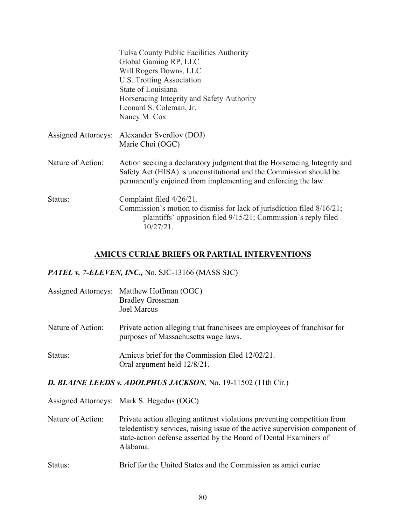|                   | Tulsa County Public Facilities Authority<br>Global Gaming RP, LLC<br>Will Rogers Downs, LLC<br>U.S. Trotting Association<br>State of Louisiana<br>Horseracing Integrity and Safety Authority<br>Leonard S. Coleman, Jr.<br>Nancy M. Cox |
|-------------------|-----------------------------------------------------------------------------------------------------------------------------------------------------------------------------------------------------------------------------------------|
|                   | Assigned Attorneys: Alexander Sverdlov (DOJ)<br>Marie Choi (OGC)                                                                                                                                                                        |
| Nature of Action: | Action seeking a declaratory judgment that the Horseracing Integrity and<br>Safety Act (HISA) is unconstitutional and the Commission should be<br>permanently enjoined from implementing and enforcing the law.                         |
| Status:           | Complaint filed 4/26/21.<br>Commission's motion to dismiss for lack of jurisdiction filed 8/16/21;<br>plaintiffs' opposition filed 9/15/21; Commission's reply filed<br>10/27/21.                                                       |

#### **AMICUS CURIAE BRIEFS OR PARTIAL INTERVENTIONS**

#### *PATEL v. 7-ELEVEN, INC.,* No. SJC-13166 (MASS SJC)

|                   | Assigned Attorneys: Matthew Hoffman (OGC)<br><b>Bradley Grossman</b><br><b>Joel Marcus</b>                       |
|-------------------|------------------------------------------------------------------------------------------------------------------|
| Nature of Action: | Private action alleging that franchisees are employees of franchisor for<br>purposes of Massachusetts wage laws. |
| Status:           | Amicus brief for the Commission filed 12/02/21.<br>Oral argument held 12/8/21.                                   |

#### *D. BLAINE LEEDS v. ADOLPHUS JACKSON*, No. 19-11502 (11th Cir.)

Assigned Attorneys: Mark S. Hegedus (OGC)

- Nature of Action: Private action alleging antitrust violations preventing competition from teledentistry services, raising issue of the active supervision component of state-action defense asserted by the Board of Dental Examiners of Alabama.
- Status: Brief for the United States and the Commission as amici curiae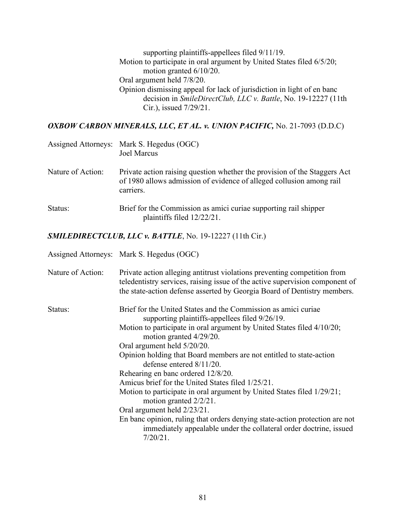supporting plaintiffs-appellees filed 9/11/19. Motion to participate in oral argument by United States filed 6/5/20; motion granted 6/10/20. Oral argument held 7/8/20. Opinion dismissing appeal for lack of jurisdiction in light of en banc decision in *SmileDirectClub, LLC v. Battle*, No. 19-12227 (11th Cir.), issued 7/29/21.

*OXBOW CARBON MINERALS, LLC, ET AL. v. UNION PACIFIC,* No. 21-7093 (D.D.C)

|                   | Assigned Attorneys: Mark S. Hegedus (OGC)<br><b>Joel Marcus</b>                                                                                                |
|-------------------|----------------------------------------------------------------------------------------------------------------------------------------------------------------|
| Nature of Action: | Private action raising question whether the provision of the Staggers Act<br>of 1980 allows admission of evidence of alleged collusion among rail<br>carriers. |
| Status:           | Brief for the Commission as amici curiae supporting rail shipper<br>plaintiffs filed $12/22/21$ .                                                              |

*SMILEDIRECTCLUB, LLC v. BATTLE*, No. 19-12227 (11th Cir.)

|                   | Assigned Attorneys: Mark S. Hegedus (OGC)                                                                                                                                                                                                                                                                                                                                                                                                                                                                                                                                                                                                                                                                                                                    |
|-------------------|--------------------------------------------------------------------------------------------------------------------------------------------------------------------------------------------------------------------------------------------------------------------------------------------------------------------------------------------------------------------------------------------------------------------------------------------------------------------------------------------------------------------------------------------------------------------------------------------------------------------------------------------------------------------------------------------------------------------------------------------------------------|
| Nature of Action: | Private action alleging antitrust violations preventing competition from<br>teledentistry services, raising issue of the active supervision component of<br>the state-action defense asserted by Georgia Board of Dentistry members.                                                                                                                                                                                                                                                                                                                                                                                                                                                                                                                         |
| Status:           | Brief for the United States and the Commission as amici curiae<br>supporting plaintiffs-appellees filed 9/26/19.<br>Motion to participate in oral argument by United States filed 4/10/20;<br>motion granted 4/29/20.<br>Oral argument held 5/20/20.<br>Opinion holding that Board members are not entitled to state-action<br>defense entered $8/11/20$ .<br>Rehearing en banc ordered 12/8/20.<br>Amicus brief for the United States filed 1/25/21.<br>Motion to participate in oral argument by United States filed 1/29/21;<br>motion granted 2/2/21.<br>Oral argument held 2/23/21.<br>En banc opinion, ruling that orders denying state-action protection are not<br>immediately appealable under the collateral order doctrine, issued<br>$7/20/21$ . |